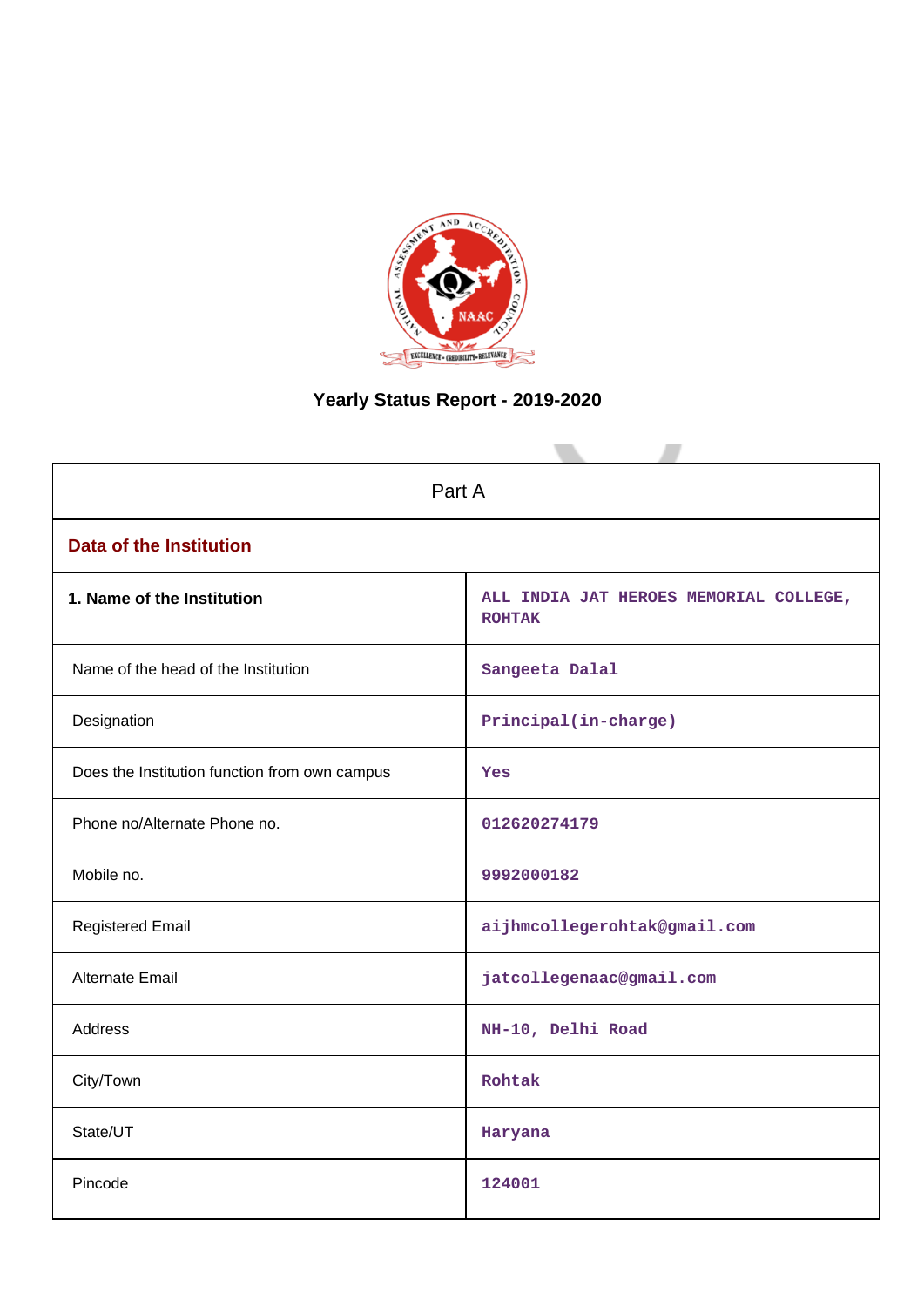

# **Yearly Status Report - 2019-2020**

| Part A                                        |                                                         |  |  |  |
|-----------------------------------------------|---------------------------------------------------------|--|--|--|
| <b>Data of the Institution</b>                |                                                         |  |  |  |
| 1. Name of the Institution                    | ALL INDIA JAT HEROES MEMORIAL COLLEGE,<br><b>ROHTAK</b> |  |  |  |
| Name of the head of the Institution           | Sangeeta Dalal                                          |  |  |  |
| Designation                                   | Principal(in-charge)                                    |  |  |  |
| Does the Institution function from own campus | <b>Yes</b>                                              |  |  |  |
| Phone no/Alternate Phone no.                  | 012620274179                                            |  |  |  |
| Mobile no.                                    | 9992000182                                              |  |  |  |
| <b>Registered Email</b>                       | aijhmcollegerohtak@gmail.com                            |  |  |  |
| Alternate Email                               | jatcollegenaac@gmail.com                                |  |  |  |
| <b>Address</b>                                | NH-10, Delhi Road                                       |  |  |  |
| City/Town                                     | Rohtak                                                  |  |  |  |
| State/UT                                      | Haryana                                                 |  |  |  |
| Pincode                                       | 124001                                                  |  |  |  |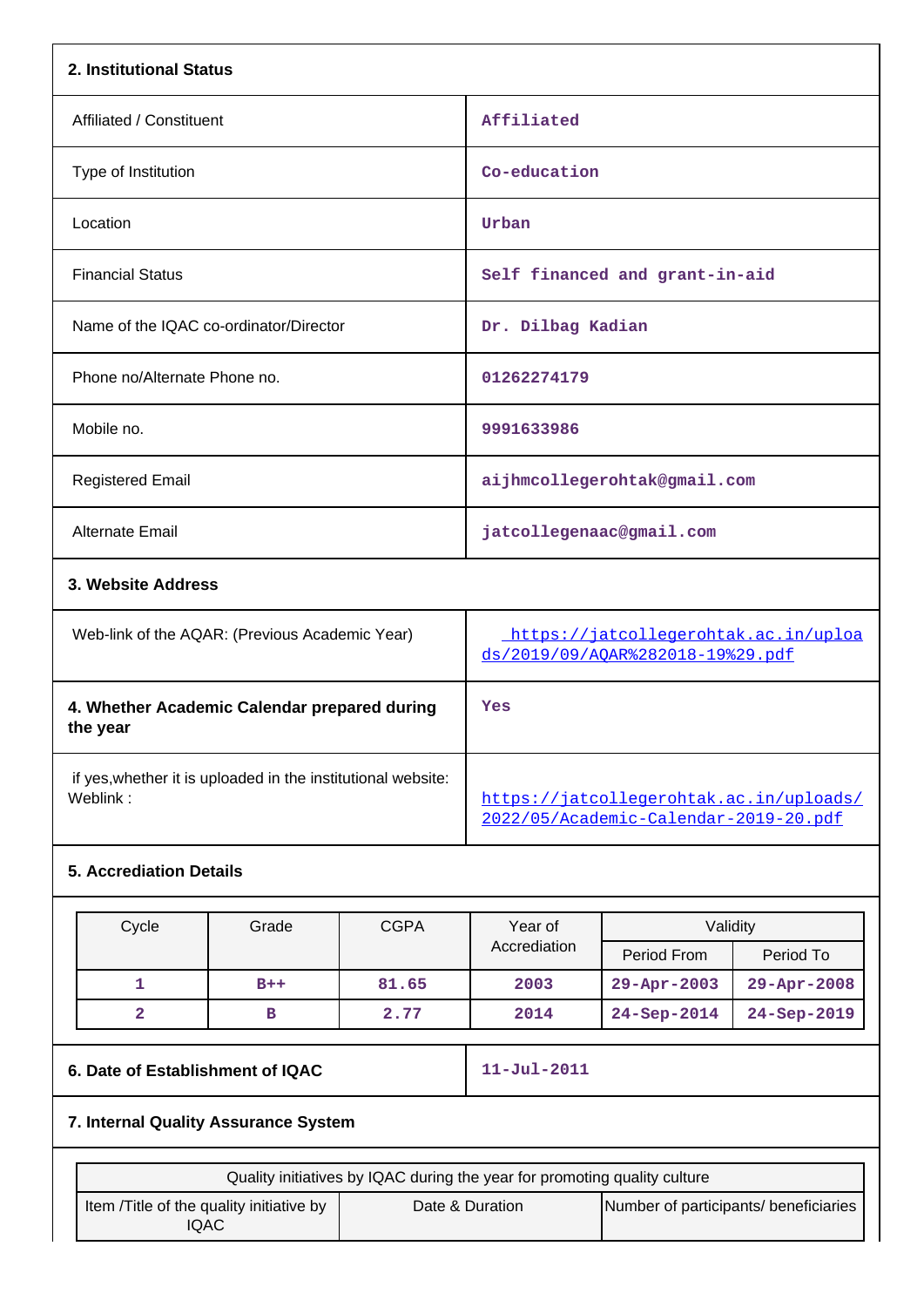| 2. Institutional Status                                                  |                                                                                  |
|--------------------------------------------------------------------------|----------------------------------------------------------------------------------|
| Affiliated / Constituent                                                 | Affiliated                                                                       |
| Type of Institution                                                      | Co-education                                                                     |
| Location                                                                 | Urban                                                                            |
| <b>Financial Status</b>                                                  | Self financed and grant-in-aid                                                   |
| Name of the IQAC co-ordinator/Director                                   | Dr. Dilbag Kadian                                                                |
| Phone no/Alternate Phone no.                                             | 01262274179                                                                      |
| Mobile no.                                                               | 9991633986                                                                       |
| <b>Registered Email</b>                                                  | aijhmcollegerohtak@gmail.com                                                     |
| Alternate Email                                                          | jatcollegenaac@gmail.com                                                         |
| 3. Website Address                                                       |                                                                                  |
| Web-link of the AQAR: (Previous Academic Year)                           | https://jatcollegerohtak.ac.in/uploa<br>ds/2019/09/AQAR%282018-19%29.pdf         |
| 4. Whether Academic Calendar prepared during<br>the year                 | Yes                                                                              |
| if yes, whether it is uploaded in the institutional website:<br>Weblink: | https://jatcollegerohtak.ac.in/uploads/<br>2022/05/Academic-Calendar-2019-20.pdf |

## **5. Accrediation Details**

| Cycle | Grade | <b>CGPA</b> | Year of      | Validity          |                   |
|-------|-------|-------------|--------------|-------------------|-------------------|
|       |       |             | Accrediation | Period From       | Period To         |
|       | $B++$ | 81.65       | 2003         | $29 - Apr - 2003$ | $29 - Apr - 2008$ |
|       | в     | 2.77        | 2014         | $24 - Sep - 2014$ | $24 - Sep - 2019$ |

## **6. Date of Establishment of IQAC** 11-Jul-2011

## **7. Internal Quality Assurance System**

| Quality initiatives by IQAC during the year for promoting quality culture |                 |                                       |  |
|---------------------------------------------------------------------------|-----------------|---------------------------------------|--|
| Item / Title of the quality initiative by<br>IQAC                         | Date & Duration | Number of participants/ beneficiaries |  |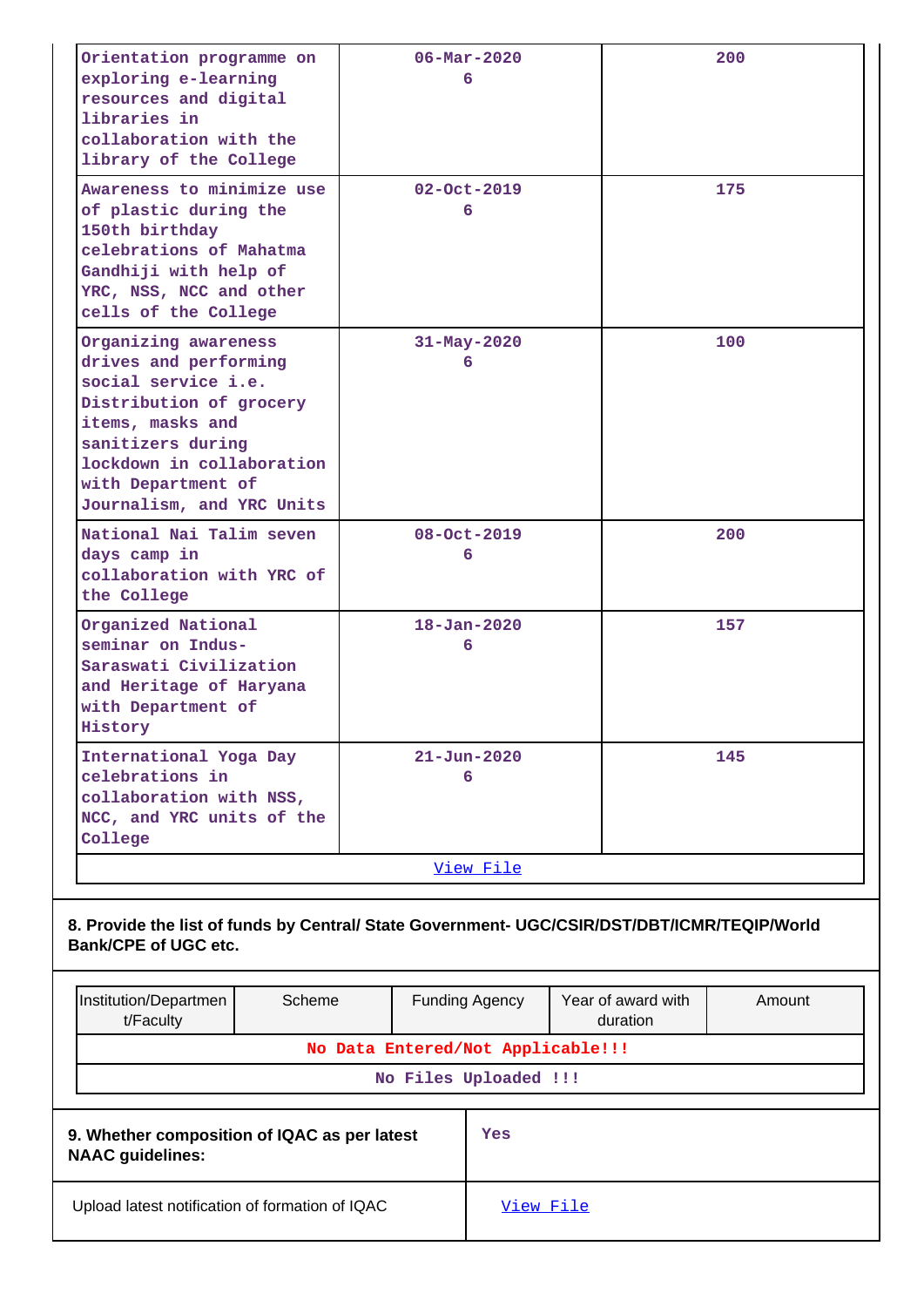| Orientation programme on<br>exploring e-learning<br>resources and digital<br>libraries in<br>collaboration with the<br>library of the College                                                                            |                                                                                              |  | $06 - \text{Mar} - 2020$<br>6     |           |                                | 200    |
|--------------------------------------------------------------------------------------------------------------------------------------------------------------------------------------------------------------------------|----------------------------------------------------------------------------------------------|--|-----------------------------------|-----------|--------------------------------|--------|
| Awareness to minimize use<br>of plastic during the<br>150th birthday<br>celebrations of Mahatma<br>Gandhiji with help of<br>YRC, NSS, NCC and other<br>cells of the College                                              |                                                                                              |  | $02 - Oct - 2019$<br>6            |           |                                | 175    |
| Organizing awareness<br>drives and performing<br>social service i.e.<br>Distribution of grocery<br>items, masks and<br>sanitizers during<br>lockdown in collaboration<br>with Department of<br>Journalism, and YRC Units |                                                                                              |  | $31 - May - 2020$<br>6            |           |                                | 100    |
| National Nai Talim seven<br>days camp in<br>collaboration with YRC of<br>the College                                                                                                                                     |                                                                                              |  | 08-Oct-2019<br>6                  |           |                                | 200    |
| Organized National<br>seminar on Indus-<br>Saraswati Civilization<br>and Heritage of Haryana<br>with Department of<br>History                                                                                            |                                                                                              |  | $18 - Jan - 2020$<br>6            |           |                                | 157    |
| International Yoga Day<br>celebrations in<br>collaboration with NSS,<br>NCC, and YRC units of the<br>College                                                                                                             |                                                                                              |  | $21 - Jun - 2020$<br>6            |           |                                | 145    |
|                                                                                                                                                                                                                          |                                                                                              |  | View File                         |           |                                |        |
| <b>Bank/CPE of UGC etc.</b>                                                                                                                                                                                              | 8. Provide the list of funds by Central/ State Government- UGC/CSIR/DST/DBT/ICMR/TEQIP/World |  |                                   |           |                                |        |
| Scheme<br>Institution/Departmen<br>t/Faculty                                                                                                                                                                             | <b>Funding Agency</b>                                                                        |  |                                   |           | Year of award with<br>duration | Amount |
|                                                                                                                                                                                                                          |                                                                                              |  | No Data Entered/Not Applicable!!! |           |                                |        |
|                                                                                                                                                                                                                          |                                                                                              |  | No Files Uploaded !!!             |           |                                |        |
| 9. Whether composition of IQAC as per latest<br><b>NAAC</b> guidelines:                                                                                                                                                  |                                                                                              |  | Yes                               |           |                                |        |
| Upload latest notification of formation of IQAC                                                                                                                                                                          |                                                                                              |  |                                   | View File |                                |        |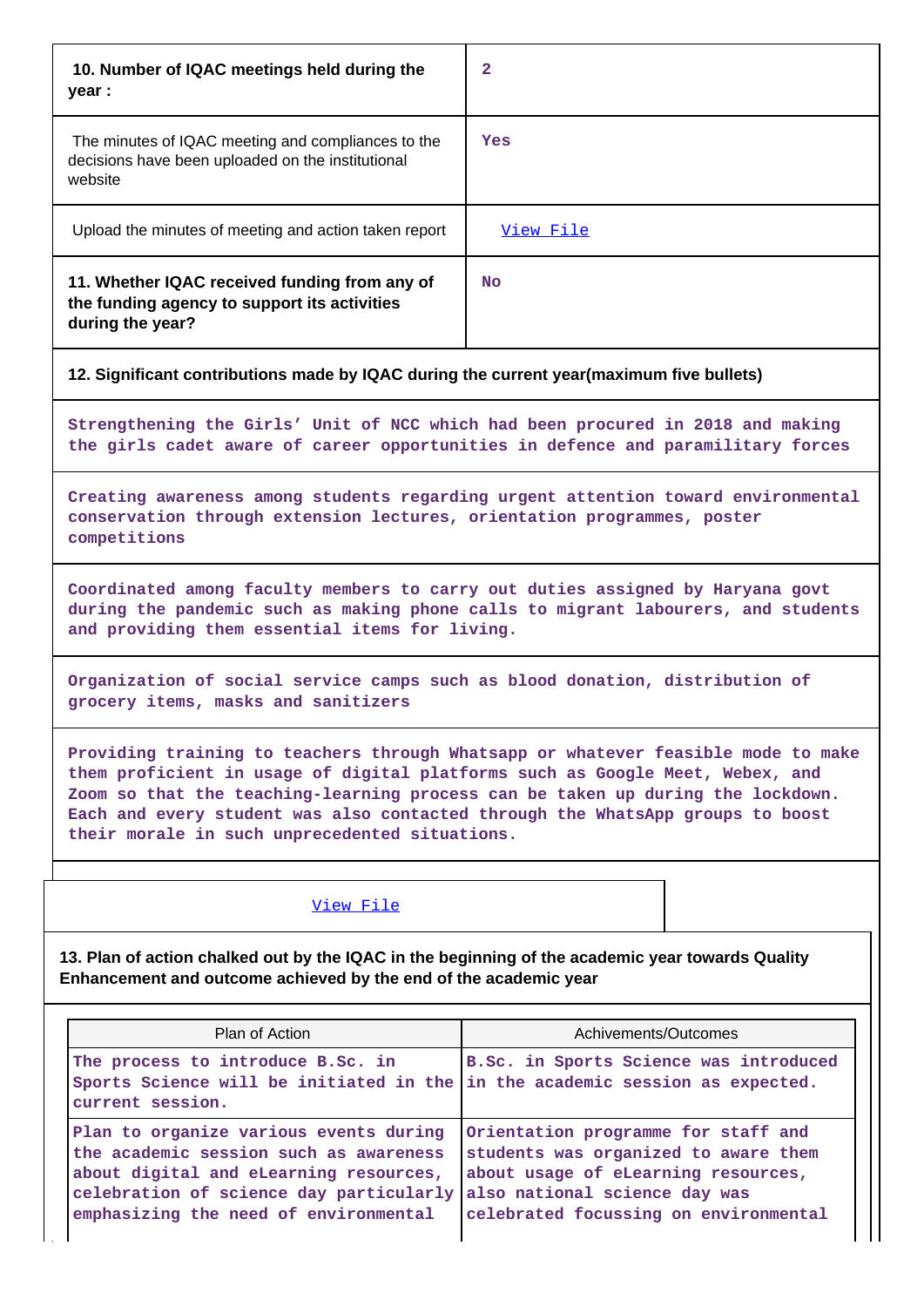| 10. Number of IQAC meetings held during the<br>year :                                                              | 2         |
|--------------------------------------------------------------------------------------------------------------------|-----------|
| The minutes of IQAC meeting and compliances to the<br>decisions have been uploaded on the institutional<br>website | Yes       |
| Upload the minutes of meeting and action taken report                                                              | View File |
| 11. Whether IQAC received funding from any of<br>the funding agency to support its activities<br>during the year?  | No.       |

#### **12. Significant contributions made by IQAC during the current year(maximum five bullets)**

**Strengthening the Girls' Unit of NCC which had been procured in 2018 and making the girls cadet aware of career opportunities in defence and paramilitary forces**

**Creating awareness among students regarding urgent attention toward environmental conservation through extension lectures, orientation programmes, poster competitions**

**Coordinated among faculty members to carry out duties assigned by Haryana govt during the pandemic such as making phone calls to migrant labourers, and students and providing them essential items for living.**

**Organization of social service camps such as blood donation, distribution of grocery items, masks and sanitizers**

**Providing training to teachers through Whatsapp or whatever feasible mode to make them proficient in usage of digital platforms such as Google Meet, Webex, and Zoom so that the teaching-learning process can be taken up during the lockdown. Each and every student was also contacted through the WhatsApp groups to boost their morale in such unprecedented situations.**

#### [View File](https://assessmentonline.naac.gov.in/public/Postacc/Contribution/20884_Contribution.xlsx)

**13. Plan of action chalked out by the IQAC in the beginning of the academic year towards Quality Enhancement and outcome achieved by the end of the academic year**

| Plan of Action                                                                                                                                                                                                 | Achivements/Outcomes                                                                                                                                                                         |
|----------------------------------------------------------------------------------------------------------------------------------------------------------------------------------------------------------------|----------------------------------------------------------------------------------------------------------------------------------------------------------------------------------------------|
| The process to introduce B.Sc. in<br>Sports Science will be initiated in the<br>current session.                                                                                                               | B.Sc. in Sports Science was introduced<br>in the academic session as expected.                                                                                                               |
| Plan to organize various events during<br>the academic session such as awareness<br>about digital and eLearning resources,<br>celebration of science day particularly<br>emphasizing the need of environmental | Orientation programme for staff and<br>students was organized to aware them<br>about usage of eLearning resources,<br>also national science day was<br>celebrated focussing on environmental |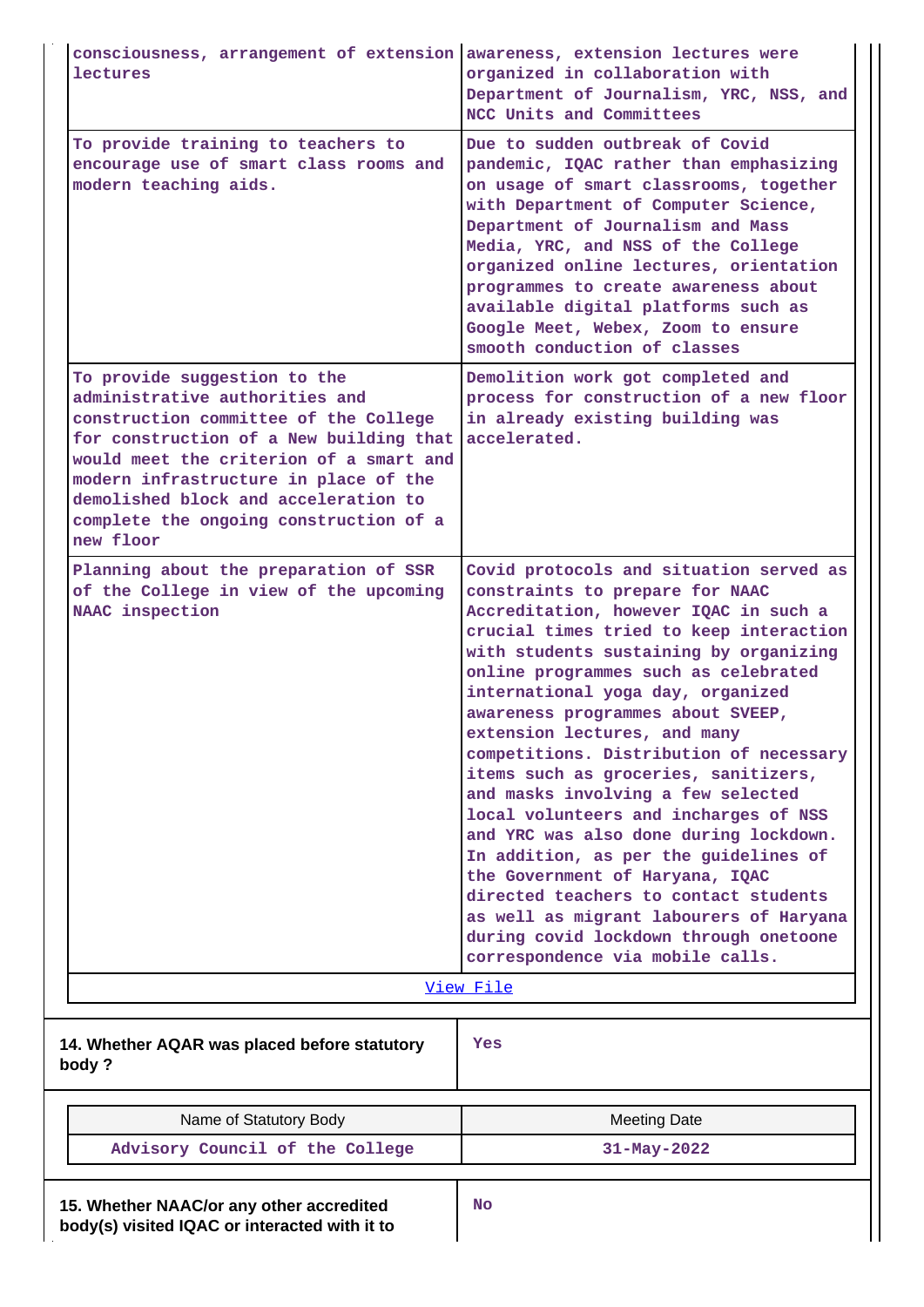| consciousness, arrangement of extension awareness, extension lectures were<br>lectures                                                                                                                                                                                                                                                | organized in collaboration with<br>Department of Journalism, YRC, NSS, and                                                                                                                                                                                                                                                                                                                                                                                                                                                                                                                                                                                                                                                                                                                                           |
|---------------------------------------------------------------------------------------------------------------------------------------------------------------------------------------------------------------------------------------------------------------------------------------------------------------------------------------|----------------------------------------------------------------------------------------------------------------------------------------------------------------------------------------------------------------------------------------------------------------------------------------------------------------------------------------------------------------------------------------------------------------------------------------------------------------------------------------------------------------------------------------------------------------------------------------------------------------------------------------------------------------------------------------------------------------------------------------------------------------------------------------------------------------------|
|                                                                                                                                                                                                                                                                                                                                       | NCC Units and Committees                                                                                                                                                                                                                                                                                                                                                                                                                                                                                                                                                                                                                                                                                                                                                                                             |
| To provide training to teachers to<br>encourage use of smart class rooms and<br>modern teaching aids.                                                                                                                                                                                                                                 | Due to sudden outbreak of Covid<br>pandemic, IQAC rather than emphasizing<br>on usage of smart classrooms, together<br>with Department of Computer Science,<br>Department of Journalism and Mass<br>Media, YRC, and NSS of the College<br>organized online lectures, orientation<br>programmes to create awareness about<br>available digital platforms such as<br>Google Meet, Webex, Zoom to ensure<br>smooth conduction of classes                                                                                                                                                                                                                                                                                                                                                                                |
| To provide suggestion to the<br>administrative authorities and<br>construction committee of the College<br>for construction of a New building that<br>would meet the criterion of a smart and<br>modern infrastructure in place of the<br>demolished block and acceleration to<br>complete the ongoing construction of a<br>new floor | Demolition work got completed and<br>process for construction of a new floor<br>in already existing building was<br>accelerated.                                                                                                                                                                                                                                                                                                                                                                                                                                                                                                                                                                                                                                                                                     |
| Planning about the preparation of SSR<br>of the College in view of the upcoming<br>NAAC inspection                                                                                                                                                                                                                                    | Covid protocols and situation served as<br>constraints to prepare for NAAC<br>Accreditation, however IQAC in such a<br>crucial times tried to keep interaction<br>with students sustaining by organizing<br>online programmes such as celebrated<br>international yoga day, organized<br>awareness programmes about SVEEP,<br>extension lectures, and many<br>competitions. Distribution of necessary<br>items such as groceries, sanitizers,<br>and masks involving a few selected<br>local volunteers and incharges of NSS<br>and YRC was also done during lockdown.<br>In addition, as per the guidelines of<br>the Government of Haryana, IQAC<br>directed teachers to contact students<br>as well as migrant labourers of Haryana<br>during covid lockdown through onetoone<br>correspondence via mobile calls. |
|                                                                                                                                                                                                                                                                                                                                       | View File                                                                                                                                                                                                                                                                                                                                                                                                                                                                                                                                                                                                                                                                                                                                                                                                            |
| 14. Whether AQAR was placed before statutory<br>body?                                                                                                                                                                                                                                                                                 | Yes                                                                                                                                                                                                                                                                                                                                                                                                                                                                                                                                                                                                                                                                                                                                                                                                                  |
| Name of Statutory Body                                                                                                                                                                                                                                                                                                                | <b>Meeting Date</b>                                                                                                                                                                                                                                                                                                                                                                                                                                                                                                                                                                                                                                                                                                                                                                                                  |

| Advisory Council of the College | $31 - May - 2022$ |
|---------------------------------|-------------------|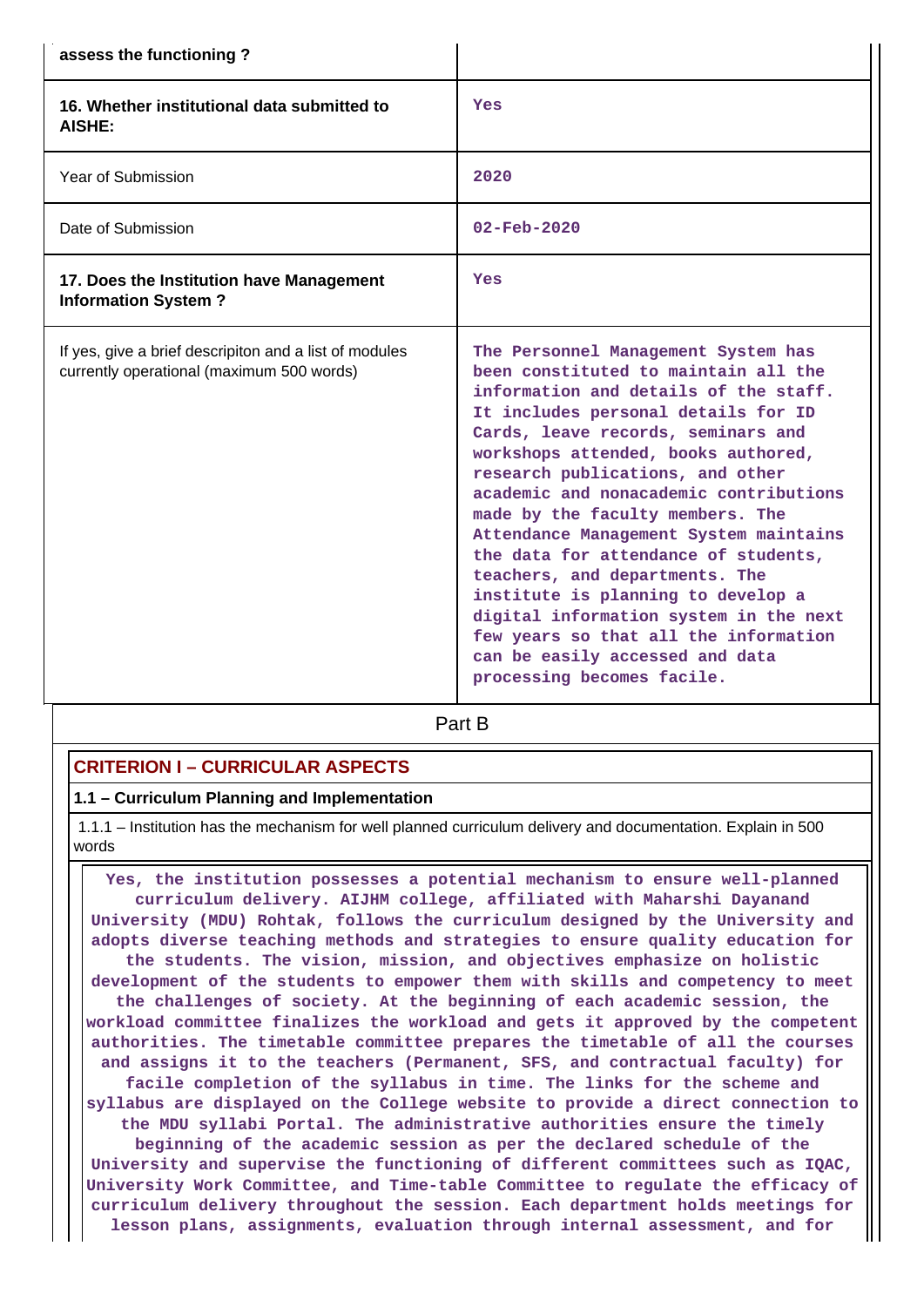| assess the functioning?                                                                             |                                                                                                                                                                                                                                                                                                                                                                                                                                                                                                                                                                                                                                                                          |
|-----------------------------------------------------------------------------------------------------|--------------------------------------------------------------------------------------------------------------------------------------------------------------------------------------------------------------------------------------------------------------------------------------------------------------------------------------------------------------------------------------------------------------------------------------------------------------------------------------------------------------------------------------------------------------------------------------------------------------------------------------------------------------------------|
| 16. Whether institutional data submitted to<br>AISHE:                                               | Yes                                                                                                                                                                                                                                                                                                                                                                                                                                                                                                                                                                                                                                                                      |
| Year of Submission                                                                                  | 2020                                                                                                                                                                                                                                                                                                                                                                                                                                                                                                                                                                                                                                                                     |
| Date of Submission                                                                                  | $02 - Feb - 2020$                                                                                                                                                                                                                                                                                                                                                                                                                                                                                                                                                                                                                                                        |
| 17. Does the Institution have Management<br><b>Information System?</b>                              | Yes                                                                                                                                                                                                                                                                                                                                                                                                                                                                                                                                                                                                                                                                      |
| If yes, give a brief descripiton and a list of modules<br>currently operational (maximum 500 words) | The Personnel Management System has<br>been constituted to maintain all the<br>information and details of the staff.<br>It includes personal details for ID<br>Cards, leave records, seminars and<br>workshops attended, books authored,<br>research publications, and other<br>academic and nonacademic contributions<br>made by the faculty members. The<br>Attendance Management System maintains<br>the data for attendance of students,<br>teachers, and departments. The<br>institute is planning to develop a<br>digital information system in the next<br>few years so that all the information<br>can be easily accessed and data<br>processing becomes facile. |

**Part B** 

### **CRITERION I – CURRICULAR ASPECTS**

#### **1.1 – Curriculum Planning and Implementation**

 1.1.1 – Institution has the mechanism for well planned curriculum delivery and documentation. Explain in 500 words

 **Yes, the institution possesses a potential mechanism to ensure well-planned curriculum delivery. AIJHM college, affiliated with Maharshi Dayanand University (MDU) Rohtak, follows the curriculum designed by the University and adopts diverse teaching methods and strategies to ensure quality education for the students. The vision, mission, and objectives emphasize on holistic development of the students to empower them with skills and competency to meet the challenges of society. At the beginning of each academic session, the workload committee finalizes the workload and gets it approved by the competent authorities. The timetable committee prepares the timetable of all the courses and assigns it to the teachers (Permanent, SFS, and contractual faculty) for facile completion of the syllabus in time. The links for the scheme and syllabus are displayed on the College website to provide a direct connection to the MDU syllabi Portal. The administrative authorities ensure the timely beginning of the academic session as per the declared schedule of the University and supervise the functioning of different committees such as IQAC, University Work Committee, and Time-table Committee to regulate the efficacy of curriculum delivery throughout the session. Each department holds meetings for lesson plans, assignments, evaluation through internal assessment, and for**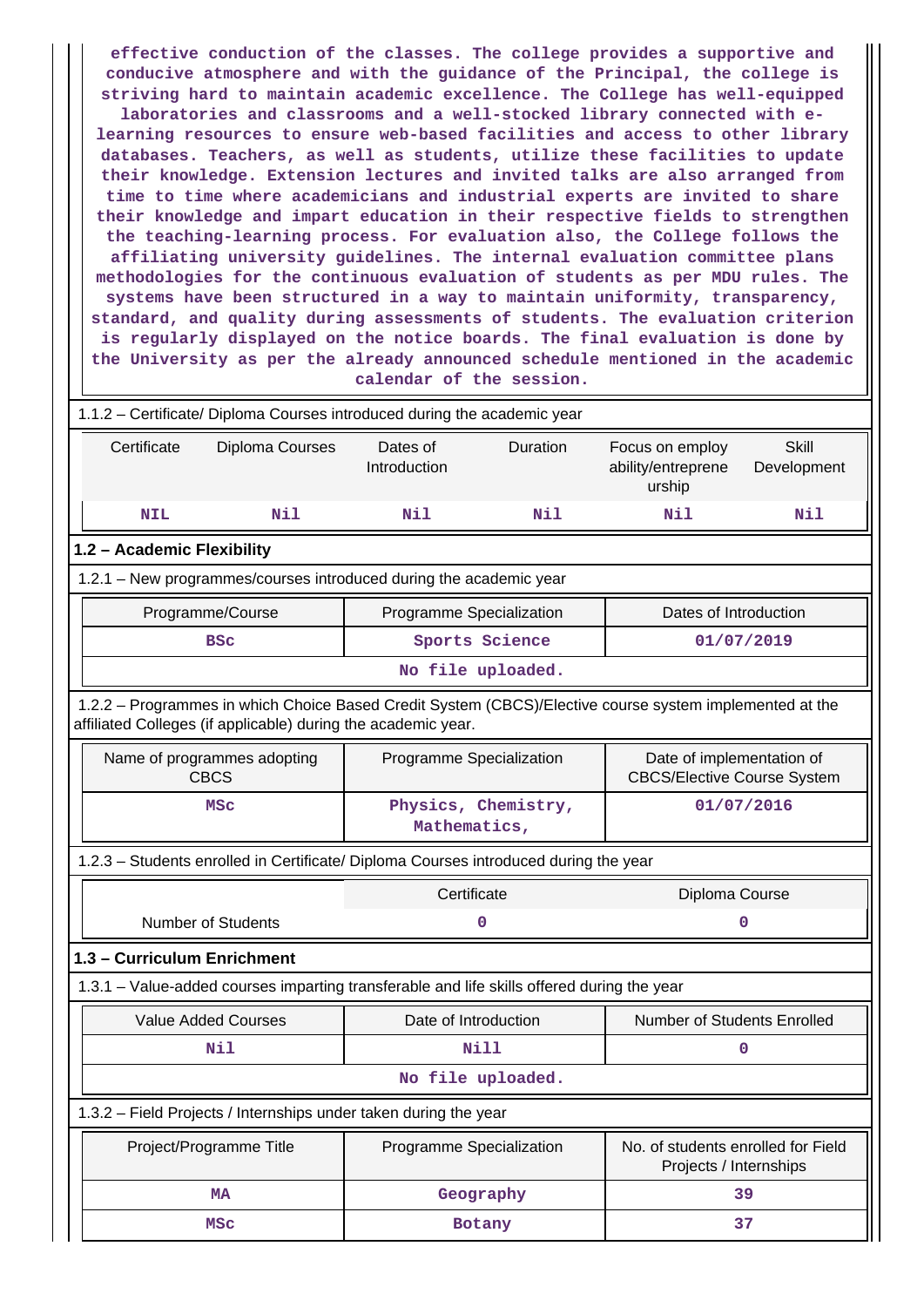**effective conduction of the classes. The college provides a supportive and conducive atmosphere and with the guidance of the Principal, the college is striving hard to maintain academic excellence. The College has well-equipped laboratories and classrooms and a well-stocked library connected with elearning resources to ensure web-based facilities and access to other library databases. Teachers, as well as students, utilize these facilities to update their knowledge. Extension lectures and invited talks are also arranged from time to time where academicians and industrial experts are invited to share their knowledge and impart education in their respective fields to strengthen the teaching-learning process. For evaluation also, the College follows the affiliating university guidelines. The internal evaluation committee plans methodologies for the continuous evaluation of students as per MDU rules. The systems have been structured in a way to maintain uniformity, transparency, standard, and quality during assessments of students. The evaluation criterion is regularly displayed on the notice boards. The final evaluation is done by the University as per the already announced schedule mentioned in the academic calendar of the session.**

| 1.1.2 - Certificate/ Diploma Courses introduced during the academic year                                                                                                 |                                                                                             |                   |                                                              |                             |  |  |
|--------------------------------------------------------------------------------------------------------------------------------------------------------------------------|---------------------------------------------------------------------------------------------|-------------------|--------------------------------------------------------------|-----------------------------|--|--|
| Certificate<br>Diploma Courses                                                                                                                                           | Dates of<br>Introduction                                                                    | Duration          | Focus on employ<br>ability/entreprene<br>urship              | <b>Skill</b><br>Development |  |  |
| Nil<br><b>NIL</b>                                                                                                                                                        | Nil                                                                                         | Nil               | Nil                                                          | Nil                         |  |  |
| 1.2 - Academic Flexibility                                                                                                                                               |                                                                                             |                   |                                                              |                             |  |  |
| 1.2.1 - New programmes/courses introduced during the academic year                                                                                                       |                                                                                             |                   |                                                              |                             |  |  |
| Programme/Course                                                                                                                                                         | Programme Specialization                                                                    |                   | Dates of Introduction                                        |                             |  |  |
| <b>BSC</b>                                                                                                                                                               |                                                                                             | Sports Science    |                                                              | 01/07/2019                  |  |  |
|                                                                                                                                                                          |                                                                                             | No file uploaded. |                                                              |                             |  |  |
| 1.2.2 - Programmes in which Choice Based Credit System (CBCS)/Elective course system implemented at the<br>affiliated Colleges (if applicable) during the academic year. |                                                                                             |                   |                                                              |                             |  |  |
| Name of programmes adopting<br><b>CBCS</b>                                                                                                                               | Programme Specialization<br>Date of implementation of<br><b>CBCS/Elective Course System</b> |                   |                                                              |                             |  |  |
| <b>MSC</b>                                                                                                                                                               | Physics, Chemistry,<br>Mathematics,                                                         |                   |                                                              | 01/07/2016                  |  |  |
|                                                                                                                                                                          | 1.2.3 - Students enrolled in Certificate/ Diploma Courses introduced during the year        |                   |                                                              |                             |  |  |
|                                                                                                                                                                          | Certificate                                                                                 |                   | Diploma Course                                               |                             |  |  |
| <b>Number of Students</b>                                                                                                                                                |                                                                                             | $\mathbf 0$       |                                                              | 0                           |  |  |
| 1.3 - Curriculum Enrichment                                                                                                                                              |                                                                                             |                   |                                                              |                             |  |  |
| 1.3.1 – Value-added courses imparting transferable and life skills offered during the year                                                                               |                                                                                             |                   |                                                              |                             |  |  |
| <b>Value Added Courses</b>                                                                                                                                               | Date of Introduction                                                                        |                   | Number of Students Enrolled                                  |                             |  |  |
| Nil                                                                                                                                                                      |                                                                                             | Nill              | 0                                                            |                             |  |  |
|                                                                                                                                                                          |                                                                                             | No file uploaded. |                                                              |                             |  |  |
| 1.3.2 – Field Projects / Internships under taken during the year                                                                                                         |                                                                                             |                   |                                                              |                             |  |  |
| Project/Programme Title                                                                                                                                                  | Programme Specialization                                                                    |                   | No. of students enrolled for Field<br>Projects / Internships |                             |  |  |
| <b>MA</b>                                                                                                                                                                |                                                                                             | Geography         | 39                                                           |                             |  |  |
| <b>MSC</b>                                                                                                                                                               | Botany                                                                                      |                   | 37                                                           |                             |  |  |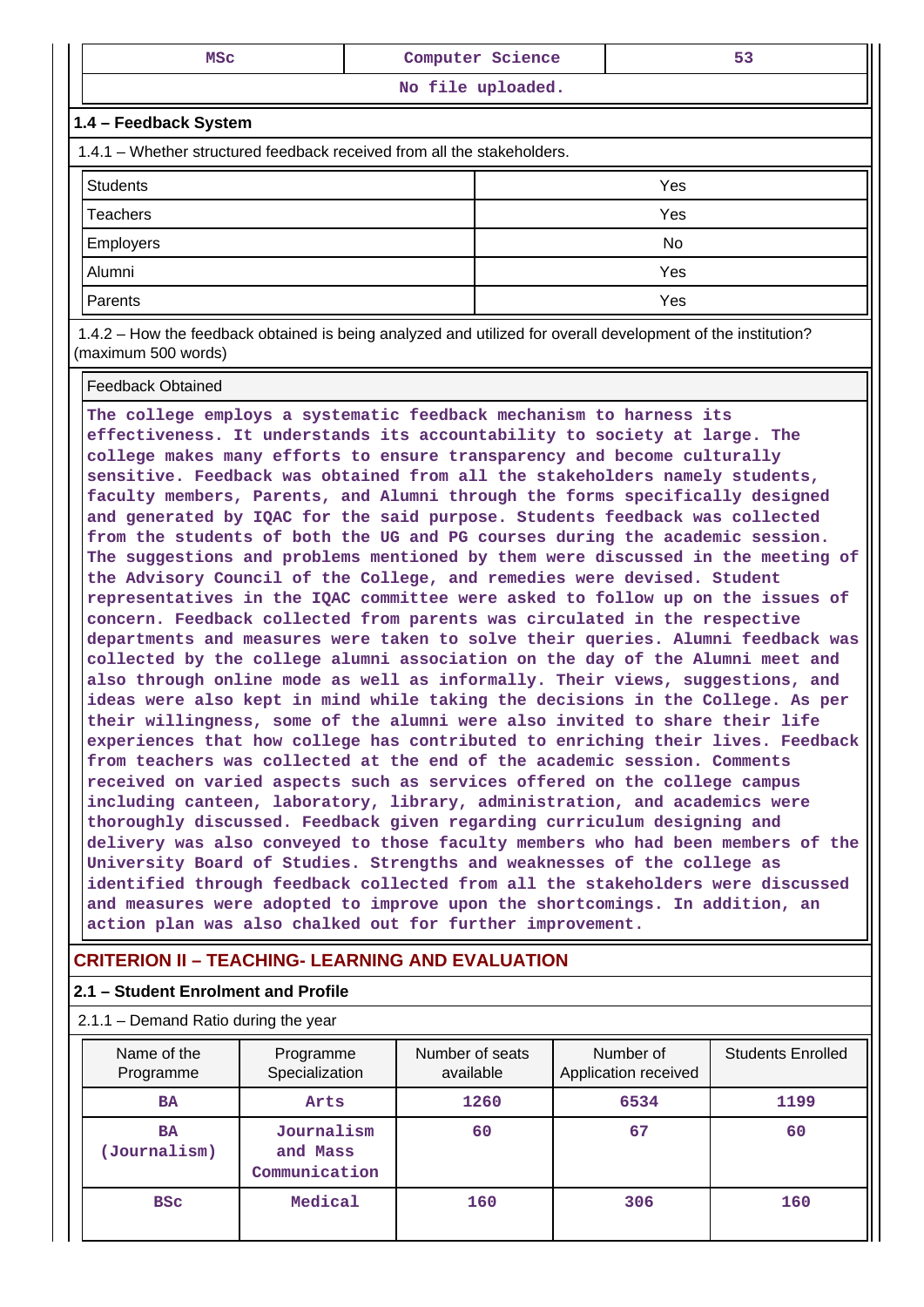| <b>MSC</b>                                                                                                   | Computer Science | 53 |  |  |
|--------------------------------------------------------------------------------------------------------------|------------------|----|--|--|
| No file uploaded.                                                                                            |                  |    |  |  |
| 1.4 - Feedback System                                                                                        |                  |    |  |  |
| 1.4.1 – Whether structured feedback received from all the stakeholders.                                      |                  |    |  |  |
| <b>Students</b><br>Yes                                                                                       |                  |    |  |  |
| Yes<br><b>Teachers</b>                                                                                       |                  |    |  |  |
| Employers<br>No.                                                                                             |                  |    |  |  |
| Yes<br>Alumni                                                                                                |                  |    |  |  |
| Yes<br>Parents                                                                                               |                  |    |  |  |
| 1.4.2 – How the feedback obtained is being analyzed and utilized for overall development of the institution? |                  |    |  |  |

(maximum 500 words)

Feedback Obtained

**The college employs a systematic feedback mechanism to harness its effectiveness. It understands its accountability to society at large. The college makes many efforts to ensure transparency and become culturally sensitive. Feedback was obtained from all the stakeholders namely students, faculty members, Parents, and Alumni through the forms specifically designed and generated by IQAC for the said purpose. Students feedback was collected from the students of both the UG and PG courses during the academic session. The suggestions and problems mentioned by them were discussed in the meeting of the Advisory Council of the College, and remedies were devised. Student representatives in the IQAC committee were asked to follow up on the issues of concern. Feedback collected from parents was circulated in the respective departments and measures were taken to solve their queries. Alumni feedback was collected by the college alumni association on the day of the Alumni meet and also through online mode as well as informally. Their views, suggestions, and ideas were also kept in mind while taking the decisions in the College. As per their willingness, some of the alumni were also invited to share their life experiences that how college has contributed to enriching their lives. Feedback from teachers was collected at the end of the academic session. Comments received on varied aspects such as services offered on the college campus including canteen, laboratory, library, administration, and academics were thoroughly discussed. Feedback given regarding curriculum designing and delivery was also conveyed to those faculty members who had been members of the University Board of Studies. Strengths and weaknesses of the college as identified through feedback collected from all the stakeholders were discussed and measures were adopted to improve upon the shortcomings. In addition, an action plan was also chalked out for further improvement.**

### **CRITERION II – TEACHING- LEARNING AND EVALUATION**

#### **2.1 – Student Enrolment and Profile**

#### 2.1.1 – Demand Ratio during the year Name of the Programme Programme Specialization Number of seats available Number of Application received Students Enrolled **BA** | Arts 1260 | 6534 | 1199  **BA (Journalism) Journalism and Mass Communication 60 67 60 BSc** Medical 160 306 160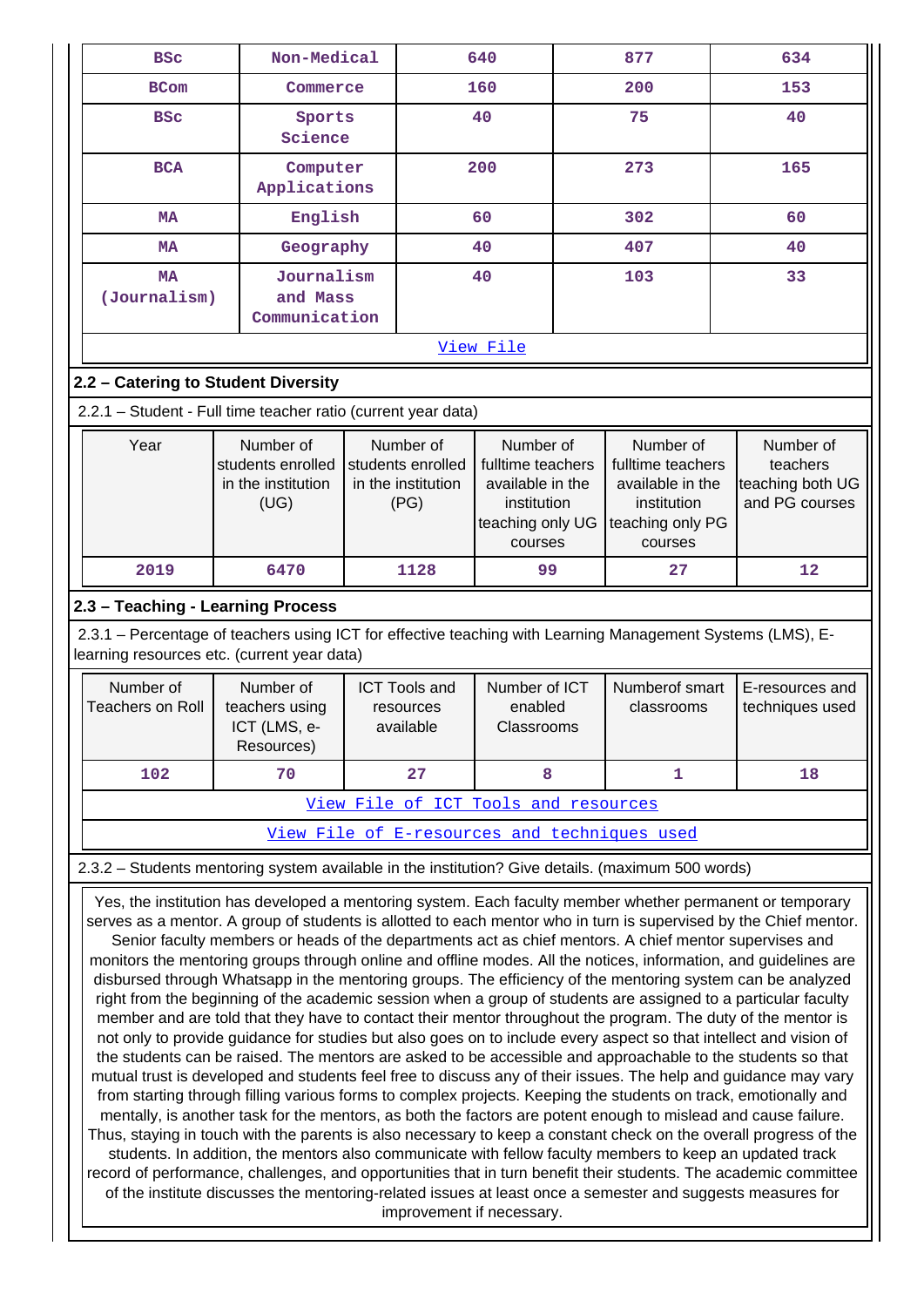| Non-Medical<br><b>BSC</b>                                                                                                                                 |                                                               |  |                                                              | 640                                                                                              |     | 877                                                                                              | 634                                                         |  |  |  |  |  |
|-----------------------------------------------------------------------------------------------------------------------------------------------------------|---------------------------------------------------------------|--|--------------------------------------------------------------|--------------------------------------------------------------------------------------------------|-----|--------------------------------------------------------------------------------------------------|-------------------------------------------------------------|--|--|--|--|--|
| <b>BCom</b>                                                                                                                                               | Commerce                                                      |  | 160                                                          |                                                                                                  | 200 |                                                                                                  | 153                                                         |  |  |  |  |  |
| <b>BSC</b>                                                                                                                                                | Sports<br>Science                                             |  |                                                              | 40                                                                                               | 75  |                                                                                                  | 40                                                          |  |  |  |  |  |
| <b>BCA</b>                                                                                                                                                | Computer<br>Applications                                      |  |                                                              | 200                                                                                              |     | 273                                                                                              | 165                                                         |  |  |  |  |  |
| <b>MA</b>                                                                                                                                                 | English                                                       |  |                                                              | 60                                                                                               |     | 302                                                                                              | 60                                                          |  |  |  |  |  |
| <b>MA</b>                                                                                                                                                 | Geography                                                     |  |                                                              | 40                                                                                               |     | 407                                                                                              | 40                                                          |  |  |  |  |  |
| <b>MA</b><br>(Journalism)                                                                                                                                 | Journalism<br>and Mass<br>Communication                       |  |                                                              | 40                                                                                               |     | 103                                                                                              | 33                                                          |  |  |  |  |  |
|                                                                                                                                                           |                                                               |  |                                                              | View File                                                                                        |     |                                                                                                  |                                                             |  |  |  |  |  |
| 2.2 - Catering to Student Diversity                                                                                                                       |                                                               |  |                                                              |                                                                                                  |     |                                                                                                  |                                                             |  |  |  |  |  |
|                                                                                                                                                           | 2.2.1 - Student - Full time teacher ratio (current year data) |  |                                                              |                                                                                                  |     |                                                                                                  |                                                             |  |  |  |  |  |
| Number of<br>Year<br>students enrolled<br>in the institution<br>(UG)                                                                                      |                                                               |  | Number of<br>students enrolled<br>in the institution<br>(PG) | Number of<br>fulltime teachers<br>available in the<br>institution<br>teaching only UG<br>courses |     | Number of<br>fulltime teachers<br>available in the<br>institution<br>teaching only PG<br>courses | Number of<br>teachers<br>teaching both UG<br>and PG courses |  |  |  |  |  |
| 2019                                                                                                                                                      | 6470                                                          |  | 1128                                                         | 99                                                                                               |     | 27                                                                                               | $12 \overline{ }$                                           |  |  |  |  |  |
| 2.3 - Teaching - Learning Process                                                                                                                         |                                                               |  |                                                              |                                                                                                  |     |                                                                                                  |                                                             |  |  |  |  |  |
| 2.3.1 - Percentage of teachers using ICT for effective teaching with Learning Management Systems (LMS), E-<br>learning resources etc. (current year data) |                                                               |  |                                                              |                                                                                                  |     |                                                                                                  |                                                             |  |  |  |  |  |
| Number of<br><b>Teachers on Roll</b>                                                                                                                      | Number of<br>teachers using<br>ICT (LMS, e-<br>Resources)     |  | <b>ICT Tools and</b><br>resources<br>available               | Number of ICT<br>enabled<br>Classrooms                                                           |     | Numberof smart<br>classrooms                                                                     | E-resources and<br>techniques used                          |  |  |  |  |  |
| 102                                                                                                                                                       | 70                                                            |  | 27                                                           | 8                                                                                                |     | 1                                                                                                | 18                                                          |  |  |  |  |  |
|                                                                                                                                                           |                                                               |  |                                                              |                                                                                                  |     |                                                                                                  |                                                             |  |  |  |  |  |
|                                                                                                                                                           |                                                               |  |                                                              | View File of ICT Tools and resources                                                             |     |                                                                                                  |                                                             |  |  |  |  |  |
| View File of E-resources and techniques used<br>2.3.2 - Students mentoring system available in the institution? Give details. (maximum 500 words)         |                                                               |  |                                                              |                                                                                                  |     |                                                                                                  |                                                             |  |  |  |  |  |
|                                                                                                                                                           |                                                               |  |                                                              |                                                                                                  |     |                                                                                                  |                                                             |  |  |  |  |  |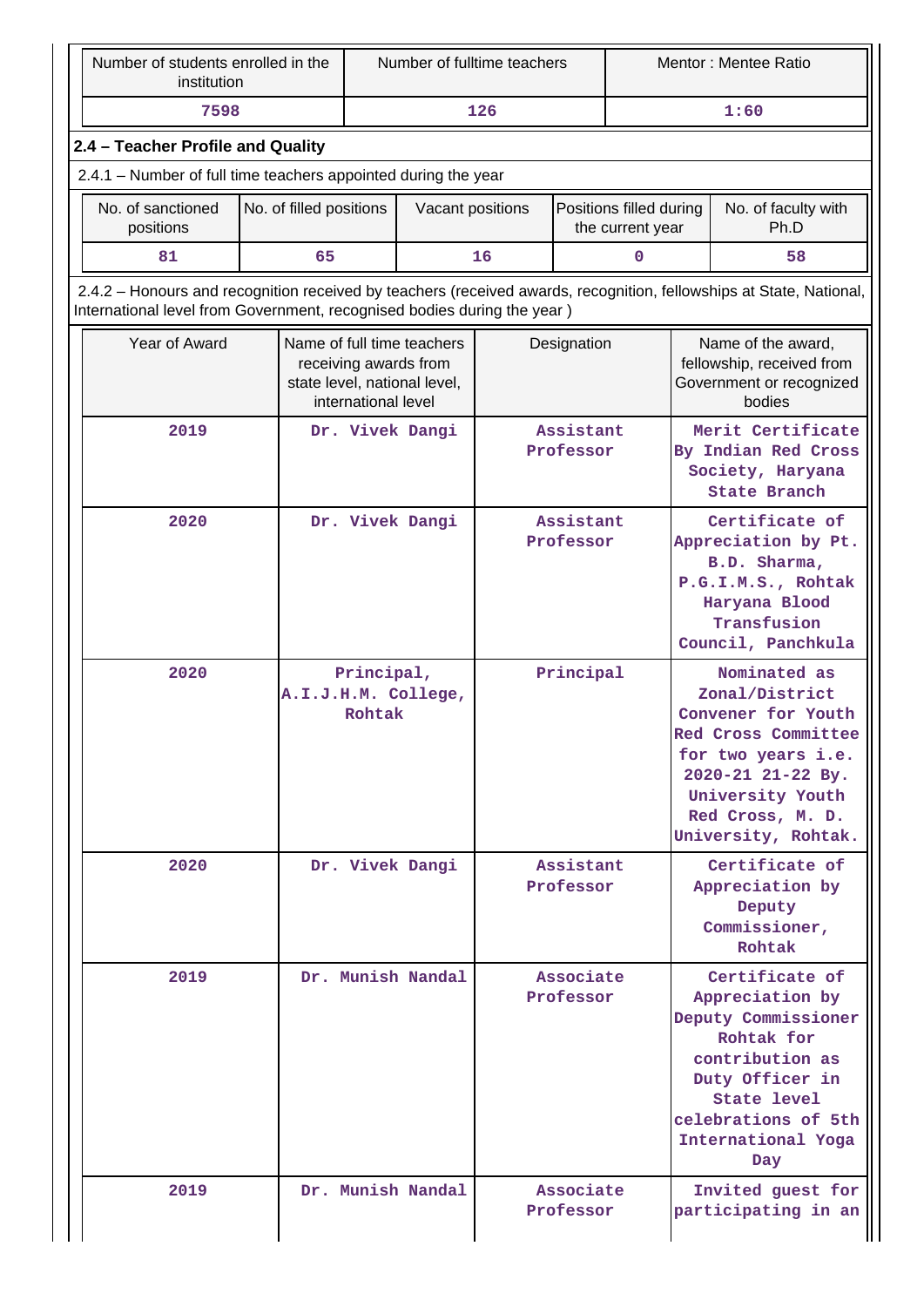| Number of students enrolled in the<br>institution              |                                                                                                                                                                                                | Number of fulltime teachers |                                                                                                                                                                                        |  | Mentor: Mentee Ratio   |                                             |                                                                                                                                   |                                                                                                                                                                                       |  |
|----------------------------------------------------------------|------------------------------------------------------------------------------------------------------------------------------------------------------------------------------------------------|-----------------------------|----------------------------------------------------------------------------------------------------------------------------------------------------------------------------------------|--|------------------------|---------------------------------------------|-----------------------------------------------------------------------------------------------------------------------------------|---------------------------------------------------------------------------------------------------------------------------------------------------------------------------------------|--|
| 7598                                                           | 126                                                                                                                                                                                            |                             |                                                                                                                                                                                        |  |                        |                                             | 1:60                                                                                                                              |                                                                                                                                                                                       |  |
| 2.4 - Teacher Profile and Quality                              |                                                                                                                                                                                                |                             |                                                                                                                                                                                        |  |                        |                                             |                                                                                                                                   |                                                                                                                                                                                       |  |
| 2.4.1 - Number of full time teachers appointed during the year |                                                                                                                                                                                                |                             |                                                                                                                                                                                        |  |                        |                                             |                                                                                                                                   |                                                                                                                                                                                       |  |
| No. of sanctioned<br>positions                                 | No. of filled positions                                                                                                                                                                        |                             | Vacant positions                                                                                                                                                                       |  |                        | Positions filled during<br>the current year |                                                                                                                                   | No. of faculty with<br>Ph.D                                                                                                                                                           |  |
| 81                                                             | 65<br>16<br>0<br>58                                                                                                                                                                            |                             |                                                                                                                                                                                        |  |                        |                                             |                                                                                                                                   |                                                                                                                                                                                       |  |
|                                                                | 2.4.2 - Honours and recognition received by teachers (received awards, recognition, fellowships at State, National,<br>International level from Government, recognised bodies during the year) |                             |                                                                                                                                                                                        |  |                        |                                             |                                                                                                                                   |                                                                                                                                                                                       |  |
| Year of Award                                                  |                                                                                                                                                                                                | international level         | Name of full time teachers<br>receiving awards from<br>state level, national level,                                                                                                    |  | Designation            |                                             |                                                                                                                                   | Name of the award,<br>fellowship, received from<br>Government or recognized<br>bodies                                                                                                 |  |
| 2019                                                           |                                                                                                                                                                                                |                             | Dr. Vivek Dangi                                                                                                                                                                        |  | Assistant<br>Professor |                                             | Merit Certificate<br>By Indian Red Cross<br>Society, Haryana<br>State Branch                                                      |                                                                                                                                                                                       |  |
| 2020                                                           |                                                                                                                                                                                                |                             | Dr. Vivek Dangi                                                                                                                                                                        |  | Assistant<br>Professor |                                             | Certificate of<br>Appreciation by Pt.<br>B.D. Sharma,<br>P.G.I.M.S., Rohtak<br>Haryana Blood<br>Transfusion<br>Council, Panchkula |                                                                                                                                                                                       |  |
| 2020                                                           |                                                                                                                                                                                                | Principal,<br>Rohtak        | A.I.J.H.M. College,                                                                                                                                                                    |  | Principal              |                                             |                                                                                                                                   | Nominated as<br>Zonal/District<br>Convener for Youth<br>Red Cross Committee<br>for two years i.e.<br>2020-21 21-22 By.<br>University Youth<br>Red Cross, M. D.<br>University, Rohtak. |  |
| 2020                                                           |                                                                                                                                                                                                |                             | Dr. Vivek Dangi                                                                                                                                                                        |  | Assistant<br>Professor |                                             |                                                                                                                                   | Certificate of<br>Appreciation by<br>Deputy<br>Commissioner,<br>Rohtak                                                                                                                |  |
| 2019                                                           | Dr. Munish Nandal<br>Associate<br>Professor                                                                                                                                                    |                             | Certificate of<br>Appreciation by<br>Deputy Commissioner<br>Rohtak for<br>contribution as<br>Duty Officer in<br><b>State level</b><br>celebrations of 5th<br>International Yoga<br>Day |  |                        |                                             |                                                                                                                                   |                                                                                                                                                                                       |  |
| 2019                                                           |                                                                                                                                                                                                |                             | Dr. Munish Nandal                                                                                                                                                                      |  | Associate<br>Professor |                                             |                                                                                                                                   | Invited guest for<br>participating in an                                                                                                                                              |  |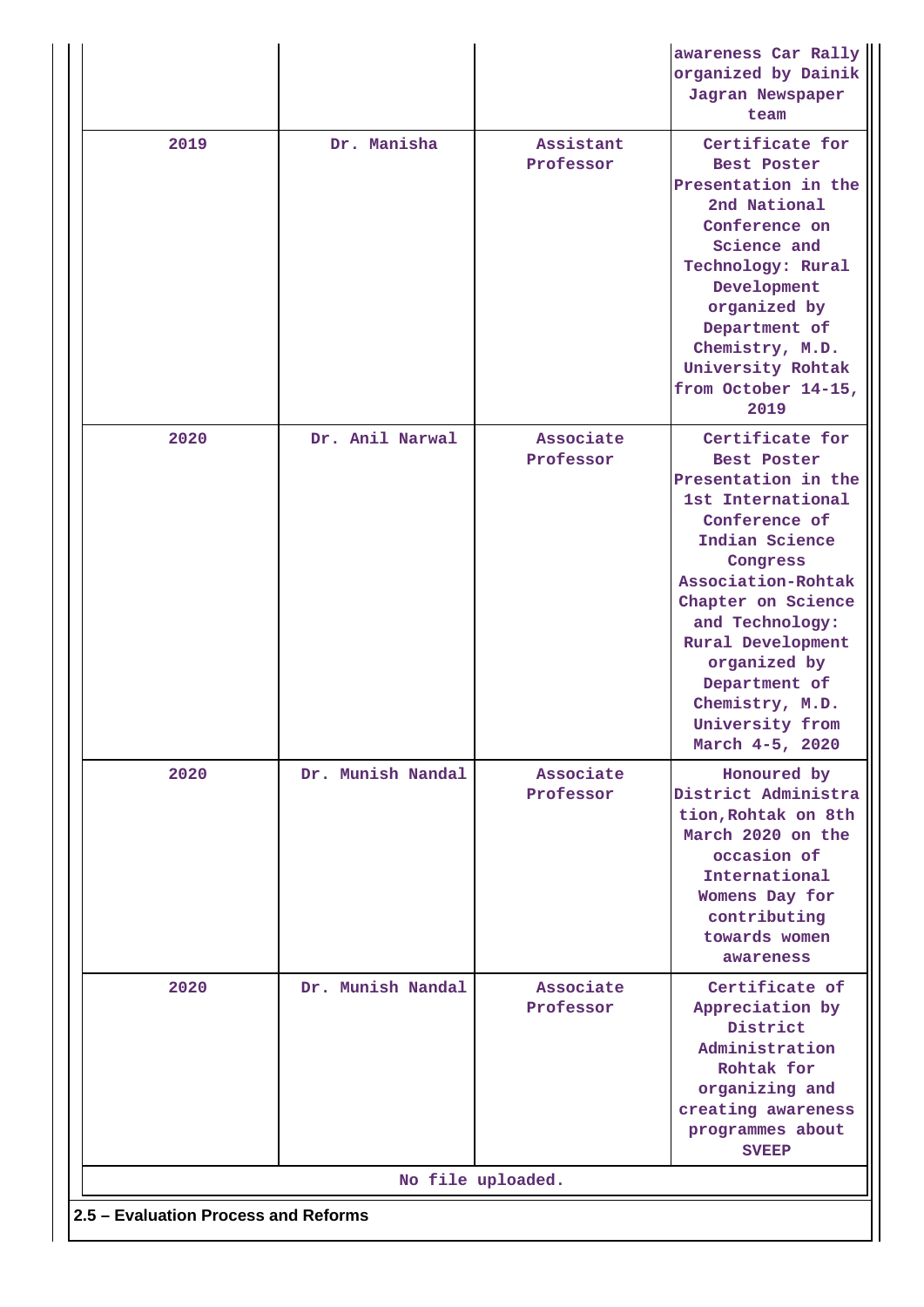|                                      |                   |                        | awareness Car Rally<br>organized by Dainik<br>Jagran Newspaper<br>team                                                                                                                                                                                   |
|--------------------------------------|-------------------|------------------------|----------------------------------------------------------------------------------------------------------------------------------------------------------------------------------------------------------------------------------------------------------|
| 2019                                 | Dr. Manisha       | Assistant<br>Professor | Certificate for<br><b>Best Poster</b><br>Presentation in the<br>2nd National<br>Conference on<br>Science and<br>Technology: Rural<br>Development<br>organized by<br>Department of<br>Chemistry, M.D.<br>University Rohtak<br>from October 14-15,<br>2019 |
| 2020                                 | Dr. Anil Narwal   | Associate<br>Professor | Certificate for<br><b>Best Poster</b><br>Presentation in the<br>1st International<br>Conference of<br>Indian Science<br>Congress<br>Association-Rohtak<br>Chapter on Science<br>and Technology:<br>Rural Development<br>organized by<br>Department of    |
|                                      |                   |                        | Chemistry, M.D.<br>University from<br>March 4-5, 2020                                                                                                                                                                                                    |
| 2020                                 | Dr. Munish Nandal | Associate<br>Professor | Honoured by<br>District Administra<br>tion, Rohtak on 8th<br>March 2020 on the<br>occasion of<br>International<br>Womens Day for<br>contributing<br>towards women<br>awareness                                                                           |
| 2020                                 | Dr. Munish Nandal | Associate<br>Professor | Certificate of<br>Appreciation by<br>District<br>Administration<br>Rohtak for<br>organizing and<br>creating awareness<br>programmes about<br><b>SVEEP</b>                                                                                                |
|                                      |                   | No file uploaded.      |                                                                                                                                                                                                                                                          |
| 2.5 - Evaluation Process and Reforms |                   |                        |                                                                                                                                                                                                                                                          |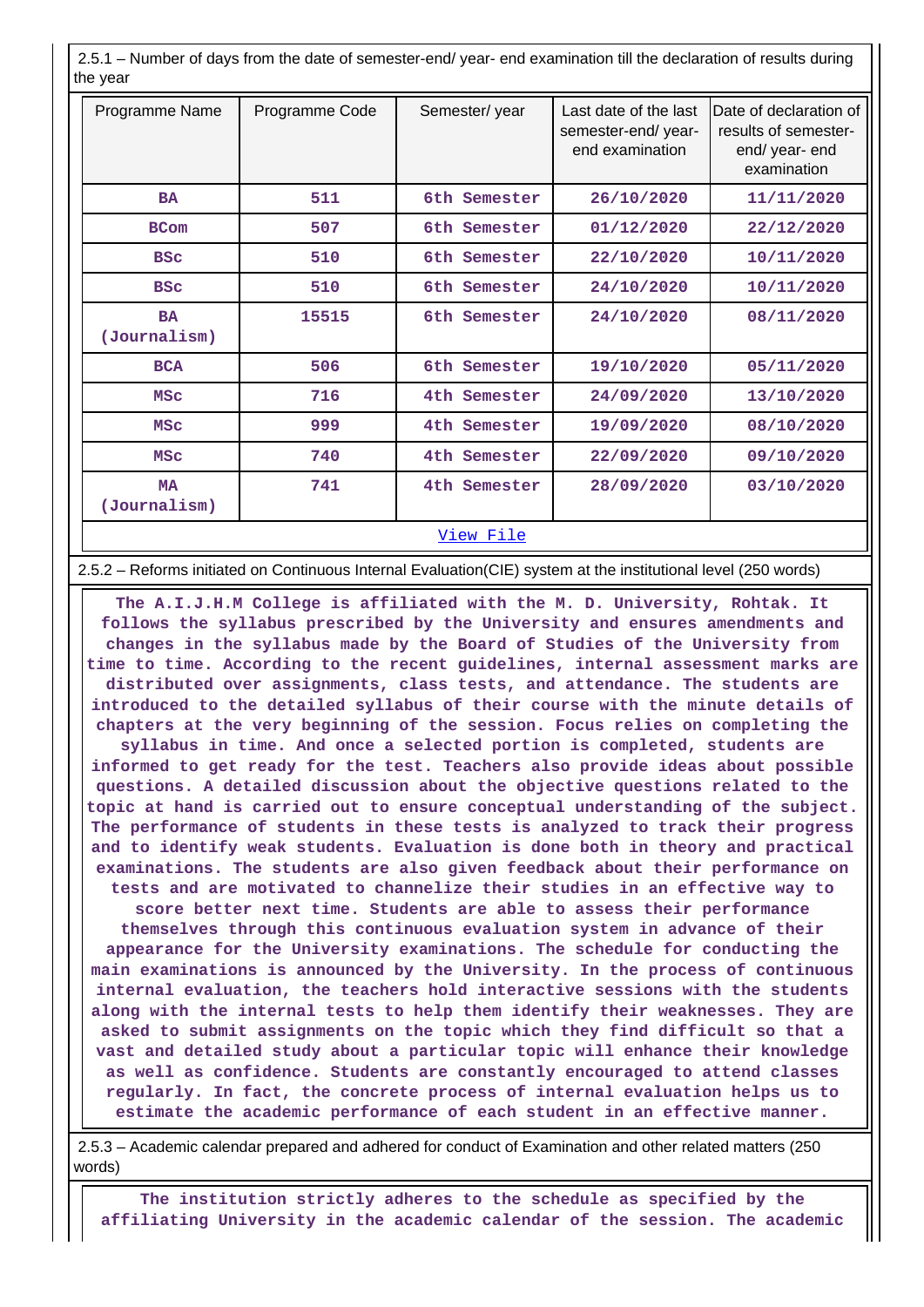2.5.1 – Number of days from the date of semester-end/ year- end examination till the declaration of results during the year

| Programme Name            | Programme Code | Semester/year | Last date of the last<br>semester-end/year-<br>end examination | Date of declaration of<br>results of semester-<br>end/ year- end<br>examination |
|---------------------------|----------------|---------------|----------------------------------------------------------------|---------------------------------------------------------------------------------|
| <b>BA</b>                 | 511            | 6th Semester  | 26/10/2020                                                     | 11/11/2020                                                                      |
| <b>BCom</b>               | 507            | 6th Semester  | 01/12/2020                                                     | 22/12/2020                                                                      |
| <b>BSC</b>                | 510            | 6th Semester  | 22/10/2020                                                     | 10/11/2020                                                                      |
| <b>BSC</b>                | 510            | 6th Semester  | 24/10/2020                                                     | 10/11/2020                                                                      |
| <b>BA</b><br>(Journalism) | 15515          | 6th Semester  | 24/10/2020                                                     | 08/11/2020                                                                      |
| <b>BCA</b>                | 506            | 6th Semester  | 19/10/2020                                                     | 05/11/2020                                                                      |
| <b>MSC</b>                | 716            | 4th Semester  | 24/09/2020                                                     | 13/10/2020                                                                      |
| <b>MSC</b>                | 999            | 4th Semester  | 19/09/2020                                                     | 08/10/2020                                                                      |
| <b>MSC</b>                | 740            | 4th Semester  | 22/09/2020                                                     | 09/10/2020                                                                      |
| <b>MA</b><br>(Journalism) | 741            | 4th Semester  | 28/09/2020                                                     | 03/10/2020                                                                      |
|                           |                | View File     |                                                                |                                                                                 |

2.5.2 – Reforms initiated on Continuous Internal Evaluation(CIE) system at the institutional level (250 words)

 **The A.I.J.H.M College is affiliated with the M. D. University, Rohtak. It follows the syllabus prescribed by the University and ensures amendments and changes in the syllabus made by the Board of Studies of the University from time to time. According to the recent guidelines, internal assessment marks are distributed over assignments, class tests, and attendance. The students are introduced to the detailed syllabus of their course with the minute details of chapters at the very beginning of the session. Focus relies on completing the syllabus in time. And once a selected portion is completed, students are informed to get ready for the test. Teachers also provide ideas about possible questions. A detailed discussion about the objective questions related to the topic at hand is carried out to ensure conceptual understanding of the subject. The performance of students in these tests is analyzed to track their progress and to identify weak students. Evaluation is done both in theory and practical examinations. The students are also given feedback about their performance on tests and are motivated to channelize their studies in an effective way to score better next time. Students are able to assess their performance themselves through this continuous evaluation system in advance of their appearance for the University examinations. The schedule for conducting the main examinations is announced by the University. In the process of continuous internal evaluation, the teachers hold interactive sessions with the students along with the internal tests to help them identify their weaknesses. They are asked to submit assignments on the topic which they find difficult so that a vast and detailed study about a particular topic will enhance their knowledge as well as confidence. Students are constantly encouraged to attend classes regularly. In fact, the concrete process of internal evaluation helps us to estimate the academic performance of each student in an effective manner.**

 2.5.3 – Academic calendar prepared and adhered for conduct of Examination and other related matters (250 words)

 **The institution strictly adheres to the schedule as specified by the affiliating University in the academic calendar of the session. The academic**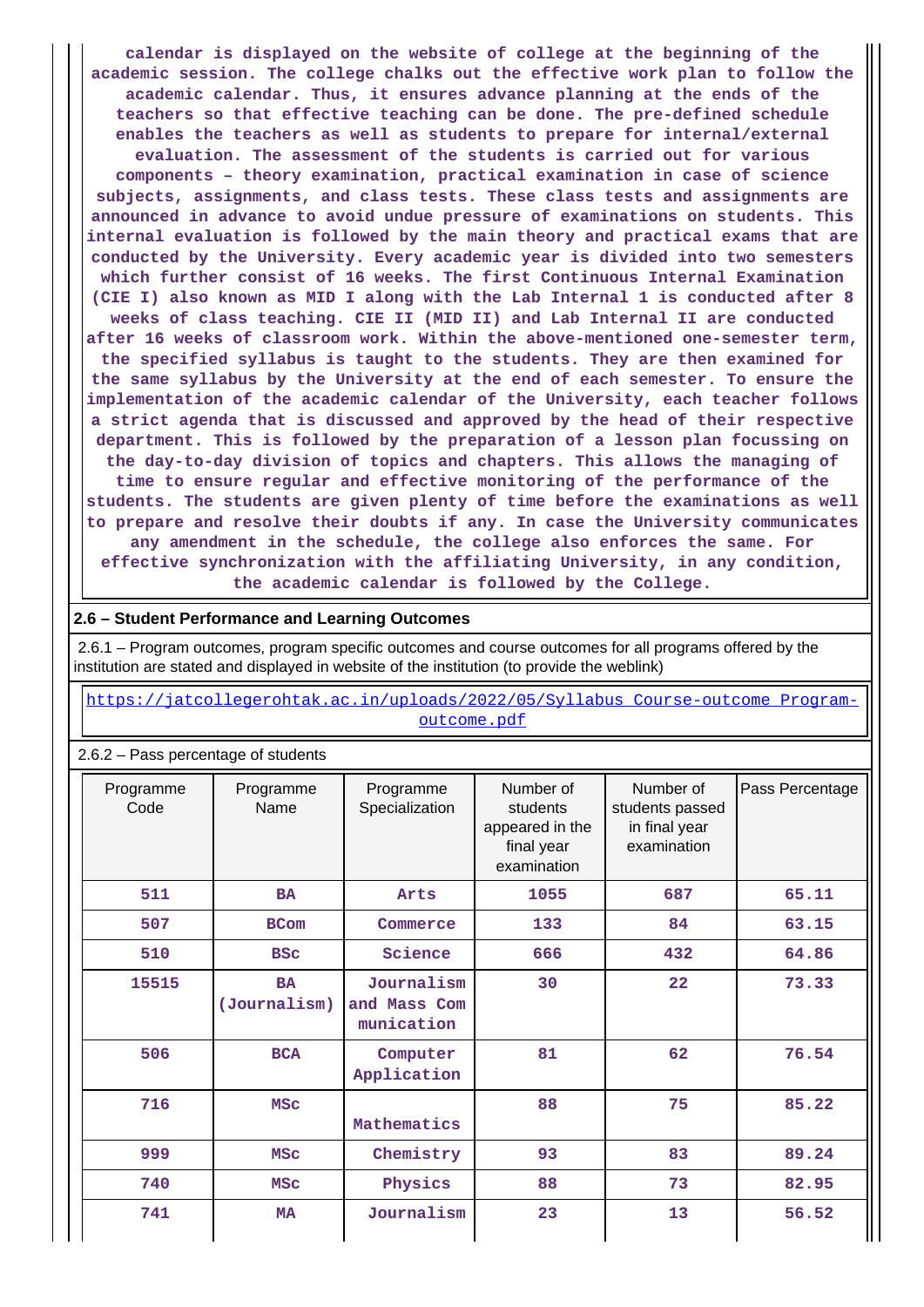**calendar is displayed on the website of college at the beginning of the academic session. The college chalks out the effective work plan to follow the academic calendar. Thus, it ensures advance planning at the ends of the teachers so that effective teaching can be done. The pre-defined schedule enables the teachers as well as students to prepare for internal/external evaluation. The assessment of the students is carried out for various components – theory examination, practical examination in case of science subjects, assignments, and class tests. These class tests and assignments are announced in advance to avoid undue pressure of examinations on students. This internal evaluation is followed by the main theory and practical exams that are conducted by the University. Every academic year is divided into two semesters which further consist of 16 weeks. The first Continuous Internal Examination (CIE I) also known as MID I along with the Lab Internal 1 is conducted after 8 weeks of class teaching. CIE II (MID II) and Lab Internal II are conducted after 16 weeks of classroom work. Within the above-mentioned one-semester term, the specified syllabus is taught to the students. They are then examined for the same syllabus by the University at the end of each semester. To ensure the implementation of the academic calendar of the University, each teacher follows a strict agenda that is discussed and approved by the head of their respective department. This is followed by the preparation of a lesson plan focussing on the day-to-day division of topics and chapters. This allows the managing of time to ensure regular and effective monitoring of the performance of the students. The students are given plenty of time before the examinations as well to prepare and resolve their doubts if any. In case the University communicates any amendment in the schedule, the college also enforces the same. For effective synchronization with the affiliating University, in any condition, the academic calendar is followed by the College.**

#### **2.6 – Student Performance and Learning Outcomes**

 2.6.1 – Program outcomes, program specific outcomes and course outcomes for all programs offered by the institution are stated and displayed in website of the institution (to provide the weblink)

 [https://jatcollegerohtak.ac.in/uploads/2022/05/Syllabus\\_Course-outcome\\_Program](https://jatcollegerohtak.ac.in/uploads/2022/05/Syllabus_Course-outcome_Program-outcome.pdf)[outcome.pdf](https://jatcollegerohtak.ac.in/uploads/2022/05/Syllabus_Course-outcome_Program-outcome.pdf)

#### 2.6.2 – Pass percentage of students

| Programme<br>Code | Programme<br>Name         | Programme<br>Specialization              | Number of<br>students<br>appeared in the<br>final year<br>examination | Number of<br>students passed<br>in final year<br>examination | Pass Percentage |
|-------------------|---------------------------|------------------------------------------|-----------------------------------------------------------------------|--------------------------------------------------------------|-----------------|
| 511               | <b>BA</b>                 | Arts                                     | 1055                                                                  | 687                                                          | 65.11           |
| 507               | <b>BCom</b>               | Commerce                                 | 133                                                                   | 84                                                           | 63.15           |
| 510               | <b>BSC</b>                | Science                                  | 666                                                                   | 432                                                          | 64.86           |
| 15515             | <b>BA</b><br>(Journalism) | Journalism<br>and Mass Com<br>munication | 30                                                                    | 22                                                           | 73.33           |
| 506               | <b>BCA</b>                | Computer<br>Application                  | 81                                                                    | 62                                                           | 76.54           |
| 716               | <b>MSC</b>                | Mathematics                              | 88                                                                    | 75                                                           | 85.22           |
| 999               | <b>MSC</b>                | Chemistry                                | 93                                                                    | 83                                                           | 89.24           |
| 740               | <b>MSC</b>                | Physics                                  | 88                                                                    | 73                                                           | 82.95           |
| 741               | <b>MA</b>                 | Journalism                               | 23                                                                    | 13                                                           | 56.52           |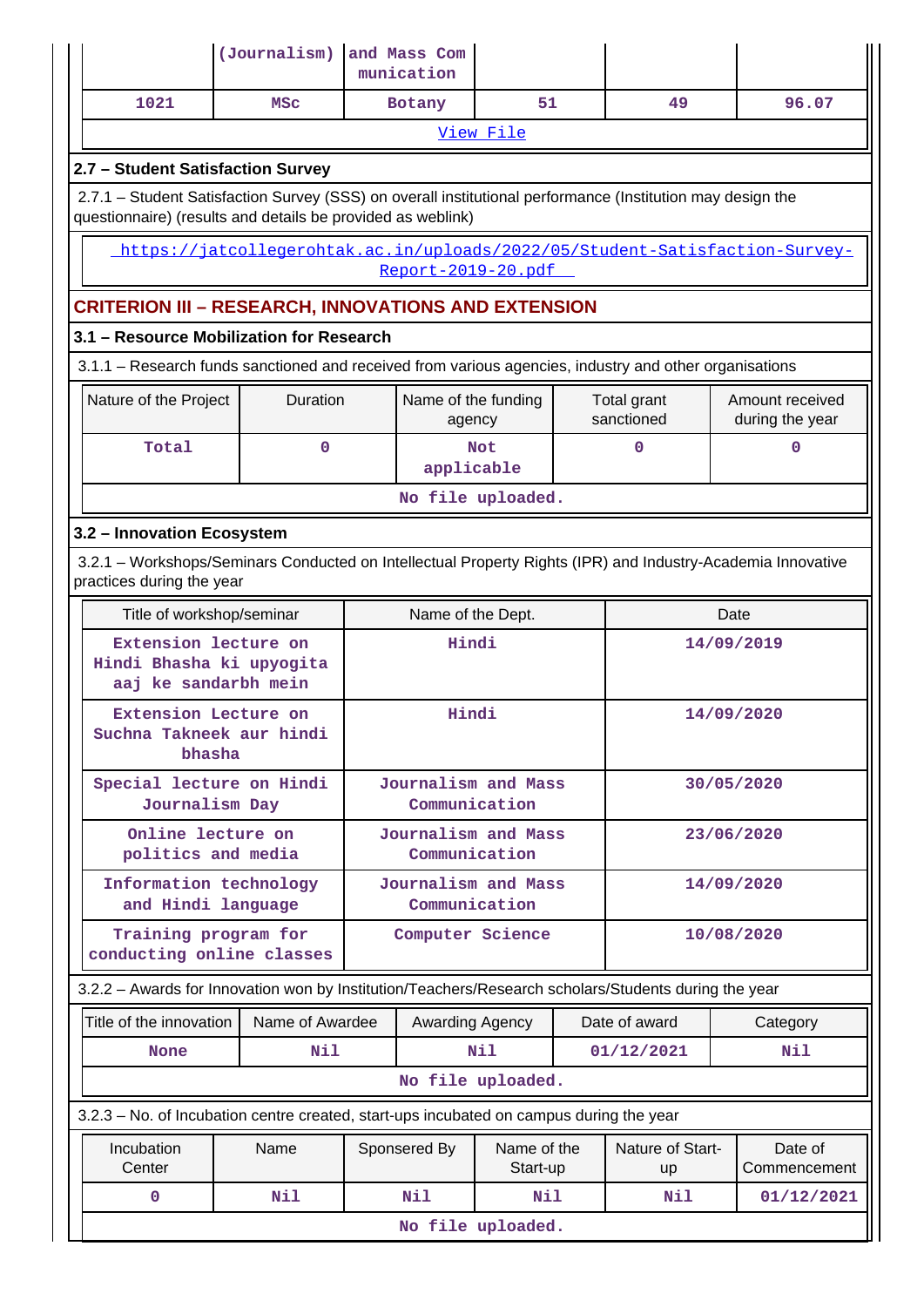|                                                                                                                                                                           | (Journalism)    |  | and Mass Com<br>munication    |                         |  |                               |            |                                    |
|---------------------------------------------------------------------------------------------------------------------------------------------------------------------------|-----------------|--|-------------------------------|-------------------------|--|-------------------------------|------------|------------------------------------|
| 1021                                                                                                                                                                      | <b>MSC</b>      |  | Botany                        | 51                      |  | 49                            |            | 96.07                              |
|                                                                                                                                                                           |                 |  |                               | View File               |  |                               |            |                                    |
| 2.7 - Student Satisfaction Survey                                                                                                                                         |                 |  |                               |                         |  |                               |            |                                    |
| 2.7.1 - Student Satisfaction Survey (SSS) on overall institutional performance (Institution may design the<br>questionnaire) (results and details be provided as weblink) |                 |  |                               |                         |  |                               |            |                                    |
| https://jatcollegerohtak.ac.in/uploads/2022/05/Student-Satisfaction-Survey-<br>Report-2019-20.pdf                                                                         |                 |  |                               |                         |  |                               |            |                                    |
| <b>CRITERION III - RESEARCH, INNOVATIONS AND EXTENSION</b>                                                                                                                |                 |  |                               |                         |  |                               |            |                                    |
| 3.1 - Resource Mobilization for Research                                                                                                                                  |                 |  |                               |                         |  |                               |            |                                    |
| 3.1.1 – Research funds sanctioned and received from various agencies, industry and other organisations                                                                    |                 |  |                               |                         |  |                               |            |                                    |
| Nature of the Project                                                                                                                                                     | <b>Duration</b> |  | Name of the funding<br>agency |                         |  | Total grant<br>sanctioned     |            | Amount received<br>during the year |
| Total                                                                                                                                                                     | $\mathbf 0$     |  | applicable                    | <b>Not</b>              |  | 0                             |            | $\mathbf 0$                        |
|                                                                                                                                                                           |                 |  |                               | No file uploaded.       |  |                               |            |                                    |
| 3.2 - Innovation Ecosystem                                                                                                                                                |                 |  |                               |                         |  |                               |            |                                    |
| 3.2.1 – Workshops/Seminars Conducted on Intellectual Property Rights (IPR) and Industry-Academia Innovative<br>practices during the year                                  |                 |  |                               |                         |  |                               |            |                                    |
| Title of workshop/seminar<br>Name of the Dept.<br>Date                                                                                                                    |                 |  |                               |                         |  |                               |            |                                    |
| Extension lecture on<br>Hindi Bhasha ki upyogita<br>aaj ke sandarbh mein                                                                                                  |                 |  | Hindi                         |                         |  | 14/09/2019                    |            |                                    |
| Extension Lecture on<br>Suchna Takneek aur hindi<br>bhasha                                                                                                                |                 |  | Hindi                         |                         |  | 14/09/2020                    |            |                                    |
| Special lecture on Hindi<br>Journalism Day                                                                                                                                |                 |  | Communication                 | Journalism and Mass     |  |                               | 30/05/2020 |                                    |
| Online lecture on<br>politics and media                                                                                                                                   |                 |  | Communication                 | Journalism and Mass     |  |                               |            | 23/06/2020                         |
| Information technology<br>and Hindi language                                                                                                                              |                 |  | Communication                 | Journalism and Mass     |  |                               |            | 14/09/2020                         |
| Training program for<br>conducting online classes                                                                                                                         |                 |  | Computer Science              |                         |  |                               |            | 10/08/2020                         |
| 3.2.2 - Awards for Innovation won by Institution/Teachers/Research scholars/Students during the year                                                                      |                 |  |                               |                         |  |                               |            |                                    |
| Title of the innovation                                                                                                                                                   | Name of Awardee |  | Awarding Agency               |                         |  | Date of award                 |            | Category                           |
| None                                                                                                                                                                      | Nil             |  |                               | N11                     |  | 01/12/2021                    |            | Nil                                |
|                                                                                                                                                                           |                 |  |                               | No file uploaded.       |  |                               |            |                                    |
| 3.2.3 – No. of Incubation centre created, start-ups incubated on campus during the year                                                                                   |                 |  |                               |                         |  |                               |            |                                    |
| Incubation<br>Center                                                                                                                                                      | Name            |  | Sponsered By                  | Name of the<br>Start-up |  | Nature of Start-<br><b>up</b> |            | Date of<br>Commencement            |
| 0                                                                                                                                                                         | Nil             |  | Nil                           | Nil                     |  | Nil                           |            | 01/12/2021                         |
|                                                                                                                                                                           |                 |  |                               | No file uploaded.       |  |                               |            |                                    |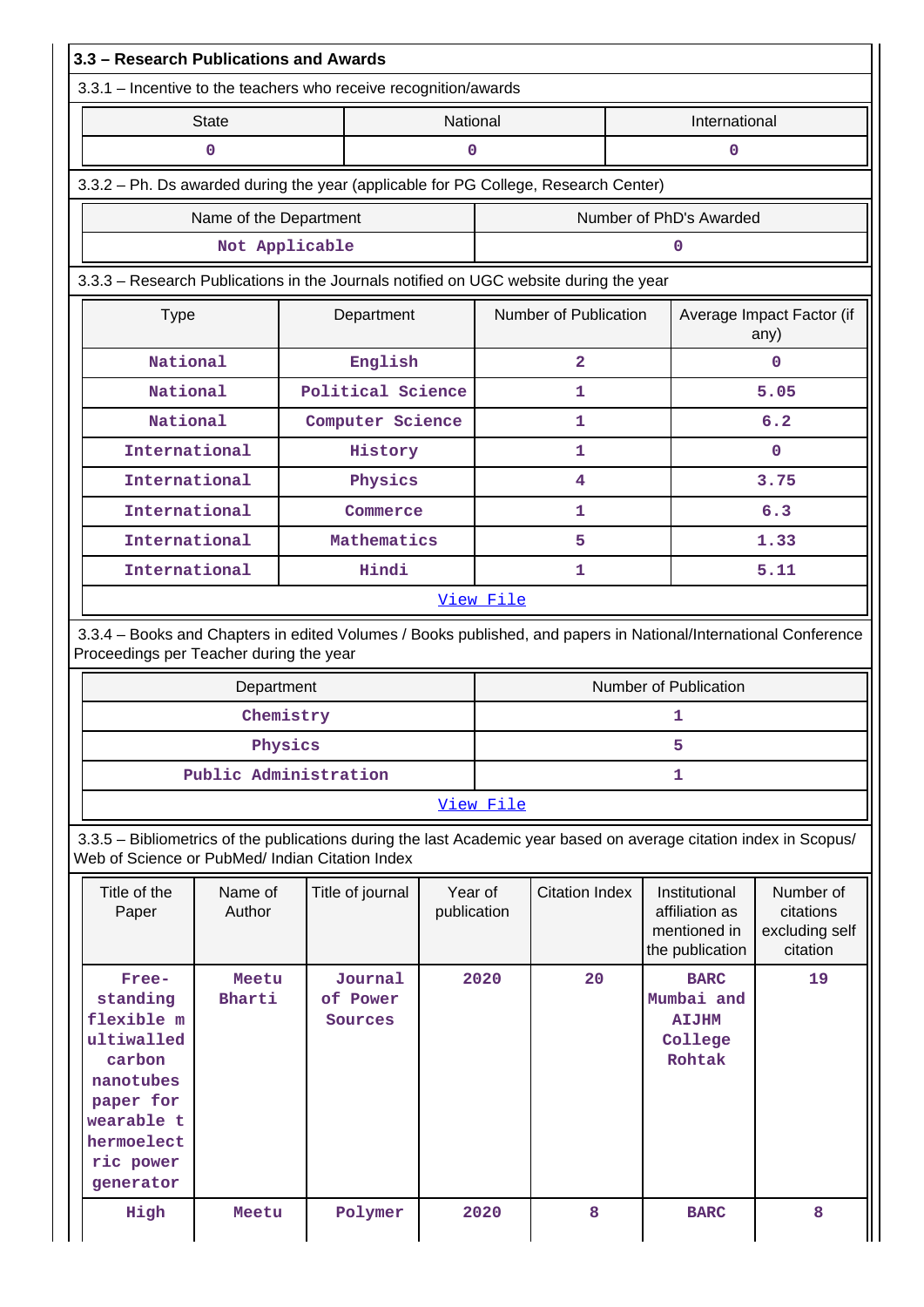| 3.3 - Research Publications and Awards                                                                        |                        |                                                                                                                    |                        |           |                         |                                                                    |                                                      |  |
|---------------------------------------------------------------------------------------------------------------|------------------------|--------------------------------------------------------------------------------------------------------------------|------------------------|-----------|-------------------------|--------------------------------------------------------------------|------------------------------------------------------|--|
|                                                                                                               |                        | 3.3.1 - Incentive to the teachers who receive recognition/awards                                                   |                        |           |                         |                                                                    |                                                      |  |
|                                                                                                               | <b>State</b>           |                                                                                                                    | National               |           |                         | International                                                      |                                                      |  |
|                                                                                                               | 0                      |                                                                                                                    | 0                      |           |                         | 0                                                                  |                                                      |  |
| 3.3.2 - Ph. Ds awarded during the year (applicable for PG College, Research Center)                           |                        |                                                                                                                    |                        |           |                         |                                                                    |                                                      |  |
|                                                                                                               | Name of the Department |                                                                                                                    |                        |           | Number of PhD's Awarded |                                                                    |                                                      |  |
|                                                                                                               | Not Applicable         |                                                                                                                    |                        |           |                         | 0                                                                  |                                                      |  |
|                                                                                                               |                        | 3.3.3 - Research Publications in the Journals notified on UGC website during the year                              |                        |           |                         |                                                                    |                                                      |  |
| <b>Type</b>                                                                                                   |                        | Department                                                                                                         |                        |           | Number of Publication   |                                                                    | Average Impact Factor (if<br>any)                    |  |
| National                                                                                                      |                        | English                                                                                                            |                        |           | $\overline{2}$          |                                                                    | $\Omega$                                             |  |
| National                                                                                                      |                        | Political Science                                                                                                  |                        |           | 1                       |                                                                    | 5.05                                                 |  |
| National                                                                                                      |                        | Computer Science                                                                                                   |                        |           | 1                       |                                                                    | 6.2                                                  |  |
| International                                                                                                 |                        | History                                                                                                            |                        |           | 1                       |                                                                    | $\mathbf{0}$                                         |  |
| International                                                                                                 |                        | Physics                                                                                                            |                        |           | 4                       |                                                                    | 3.75                                                 |  |
| International                                                                                                 |                        | Commerce                                                                                                           |                        |           | 1                       |                                                                    | 6.3                                                  |  |
| International                                                                                                 |                        | Mathematics                                                                                                        |                        | 5         |                         |                                                                    | 1.33                                                 |  |
| International                                                                                                 |                        | Hindi                                                                                                              |                        | 1         |                         |                                                                    | 5.11                                                 |  |
|                                                                                                               |                        |                                                                                                                    |                        | View File |                         |                                                                    |                                                      |  |
| Proceedings per Teacher during the year                                                                       |                        | 3.3.4 - Books and Chapters in edited Volumes / Books published, and papers in National/International Conference    |                        |           |                         |                                                                    |                                                      |  |
|                                                                                                               | Department             |                                                                                                                    |                        |           |                         | Number of Publication                                              |                                                      |  |
|                                                                                                               | Chemistry              |                                                                                                                    |                        |           | 1                       |                                                                    |                                                      |  |
|                                                                                                               | Physics                |                                                                                                                    |                        |           | 5                       |                                                                    |                                                      |  |
|                                                                                                               | Public Administration  |                                                                                                                    |                        |           | 1                       |                                                                    |                                                      |  |
|                                                                                                               |                        |                                                                                                                    |                        | View File |                         |                                                                    |                                                      |  |
| Web of Science or PubMed/ Indian Citation Index                                                               |                        | 3.3.5 - Bibliometrics of the publications during the last Academic year based on average citation index in Scopus/ |                        |           |                         |                                                                    |                                                      |  |
| Title of the<br>Paper                                                                                         | Name of<br>Author      | Title of journal                                                                                                   | Year of<br>publication |           | <b>Citation Index</b>   | Institutional<br>affiliation as<br>mentioned in<br>the publication | Number of<br>citations<br>excluding self<br>citation |  |
| Free-<br>standing<br>flexible m<br>ultiwalled<br>carbon<br>nanotubes<br>paper for<br>wearable t<br>hermoelect | Meetu<br>Bharti        | Journal<br>of Power<br>Sources                                                                                     |                        | 2020      | 20                      | <b>BARC</b><br>Mumbai and<br><b>AIJHM</b><br>College<br>Rohtak     | 19                                                   |  |
| ric power<br>generator                                                                                        |                        |                                                                                                                    |                        |           |                         |                                                                    |                                                      |  |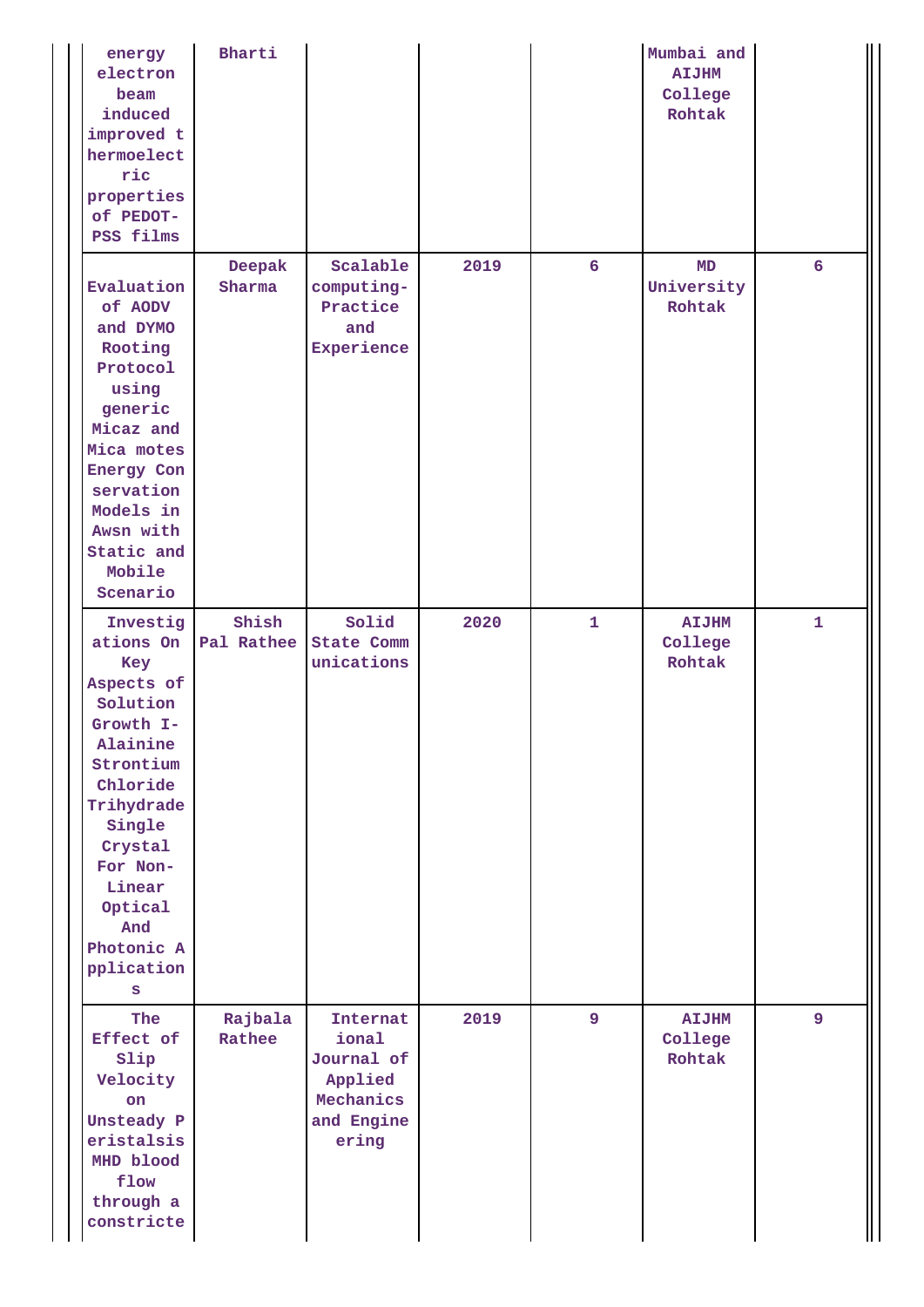| energy<br>electron<br>beam<br>induced<br>improved t<br>hermoelect<br>ric<br>properties<br>of PEDOT-<br>PSS films                                                                                                     | Bharti              |                                                                                |      |                 | Mumbai and<br><b>AIJHM</b><br>College<br>Rohtak |              |
|----------------------------------------------------------------------------------------------------------------------------------------------------------------------------------------------------------------------|---------------------|--------------------------------------------------------------------------------|------|-----------------|-------------------------------------------------|--------------|
| Evaluation<br>of AODV<br>and DYMO<br>Rooting<br>Protocol<br>using<br>generic<br>Micaz and<br>Mica motes<br>Energy Con<br>servation<br>Models in<br>Awsn with<br>Static and<br>Mobile<br>Scenario                     | Deepak<br>Sharma    | Scalable<br>computing-<br>Practice<br>and<br>Experience                        | 2019 | $6\overline{6}$ | MD<br>University<br>Rohtak                      | 6            |
| Investig<br>ations On<br>Key<br>Aspects of<br>Solution<br>Growth I-<br>Alainine<br>Strontium<br>Chloride<br>Trihydrade<br>Single<br>Crystal<br>For Non-<br>Linear<br>Optical<br>And<br>Photonic A<br>pplication<br>S | Shish<br>Pal Rathee | Solid<br><b>State Comm</b><br>unications                                       | 2020 | $\mathbf{1}$    | <b>AIJHM</b><br>College<br>Rohtak               | $\mathbf{1}$ |
| The<br>Effect of<br>Slip<br>Velocity<br>on<br>Unsteady P<br>eristalsis<br>MHD blood<br>flow<br>through a<br>constricte                                                                                               | Rajbala<br>Rathee   | Internat<br>ional<br>Journal of<br>Applied<br>Mechanics<br>and Engine<br>ering | 2019 | $\overline{9}$  | <b>AIJHM</b><br>College<br>Rohtak               | 9            |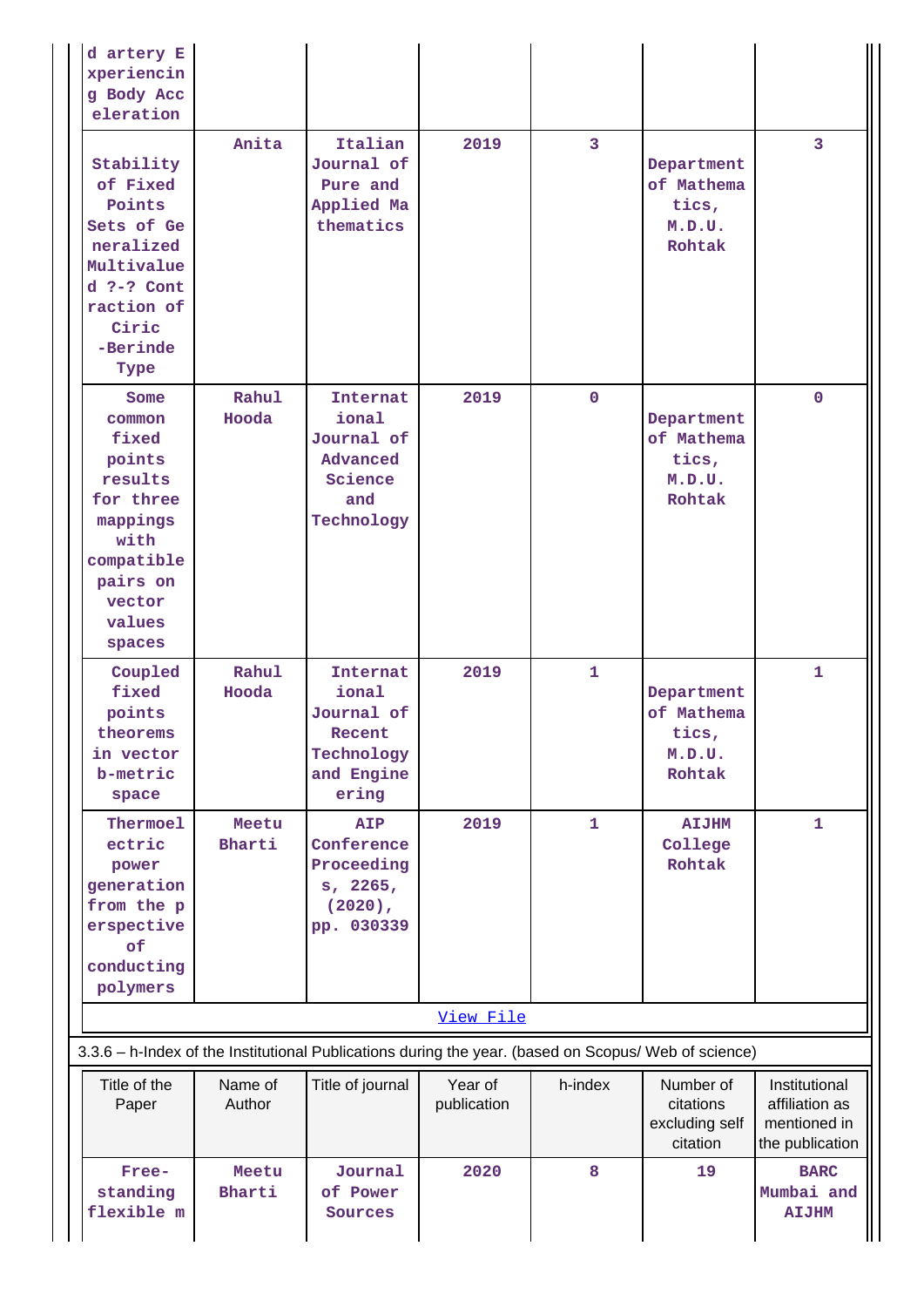| d artery E<br>xperiencin<br>g Body Acc<br>eleration                                                                                   |                   |                                                                                |                        |                         |                                                       |                                                                    |
|---------------------------------------------------------------------------------------------------------------------------------------|-------------------|--------------------------------------------------------------------------------|------------------------|-------------------------|-------------------------------------------------------|--------------------------------------------------------------------|
| Stability<br>of Fixed<br>Points<br>Sets of Ge<br>neralized<br>Multivalue<br>$d$ ?-? Cont<br>raction of<br>Ciric<br>-Berinde<br>Type   | Anita             | Italian<br>Journal of<br>Pure and<br>Applied Ma<br>thematics                   | 2019                   | $\overline{\mathbf{3}}$ | Department<br>of Mathema<br>tics,<br>M.D.U.<br>Rohtak | $\overline{3}$                                                     |
| Some<br>common<br>fixed<br>points<br>results<br>for three<br>mappings<br>with<br>compatible<br>pairs on<br>vector<br>values<br>spaces | Rahul<br>Hooda    | Internat<br>ional<br>Journal of<br>Advanced<br>Science<br>and<br>Technology    | 2019                   | $\mathbf 0$             | Department<br>of Mathema<br>tics,<br>M.D.U.<br>Rohtak | $\mathbf{0}$                                                       |
| Coupled<br>fixed<br>points<br>theorems<br>in vector<br>b-metric<br>space                                                              | Rahul<br>Hooda    | Internat<br>ional<br>Journal of<br>Recent<br>Technology<br>and Engine<br>ering | 2019                   | $\mathbf{1}$            | Department<br>of Mathema<br>tics,<br>M.D.U.<br>Rohtak | $\mathbf{1}$                                                       |
| Thermoel<br>ectric<br>power<br>generation<br>from the p<br>erspective<br>of<br>conducting<br>polymers                                 | Meetu<br>Bharti   | <b>AIP</b><br>Conference<br>Proceeding<br>s, 2265,<br>$(2020)$ ,<br>pp. 030339 | 2019                   | $\mathbf{1}$            | <b>AIJHM</b><br>College<br>Rohtak                     | $\mathbf{1}$                                                       |
|                                                                                                                                       |                   |                                                                                | View File              |                         |                                                       |                                                                    |
| 3.3.6 - h-Index of the Institutional Publications during the year. (based on Scopus/ Web of science)                                  |                   |                                                                                |                        |                         |                                                       |                                                                    |
| Title of the<br>Paper                                                                                                                 | Name of<br>Author | Title of journal                                                               | Year of<br>publication | h-index                 | Number of<br>citations<br>excluding self<br>citation  | Institutional<br>affiliation as<br>mentioned in<br>the publication |
| Free-<br>standing<br>flexible m                                                                                                       | Meetu<br>Bharti   | Journal<br>of Power<br>Sources                                                 | 2020                   | 8                       | 19                                                    | <b>BARC</b><br>Mumbai and<br><b>AIJHM</b>                          |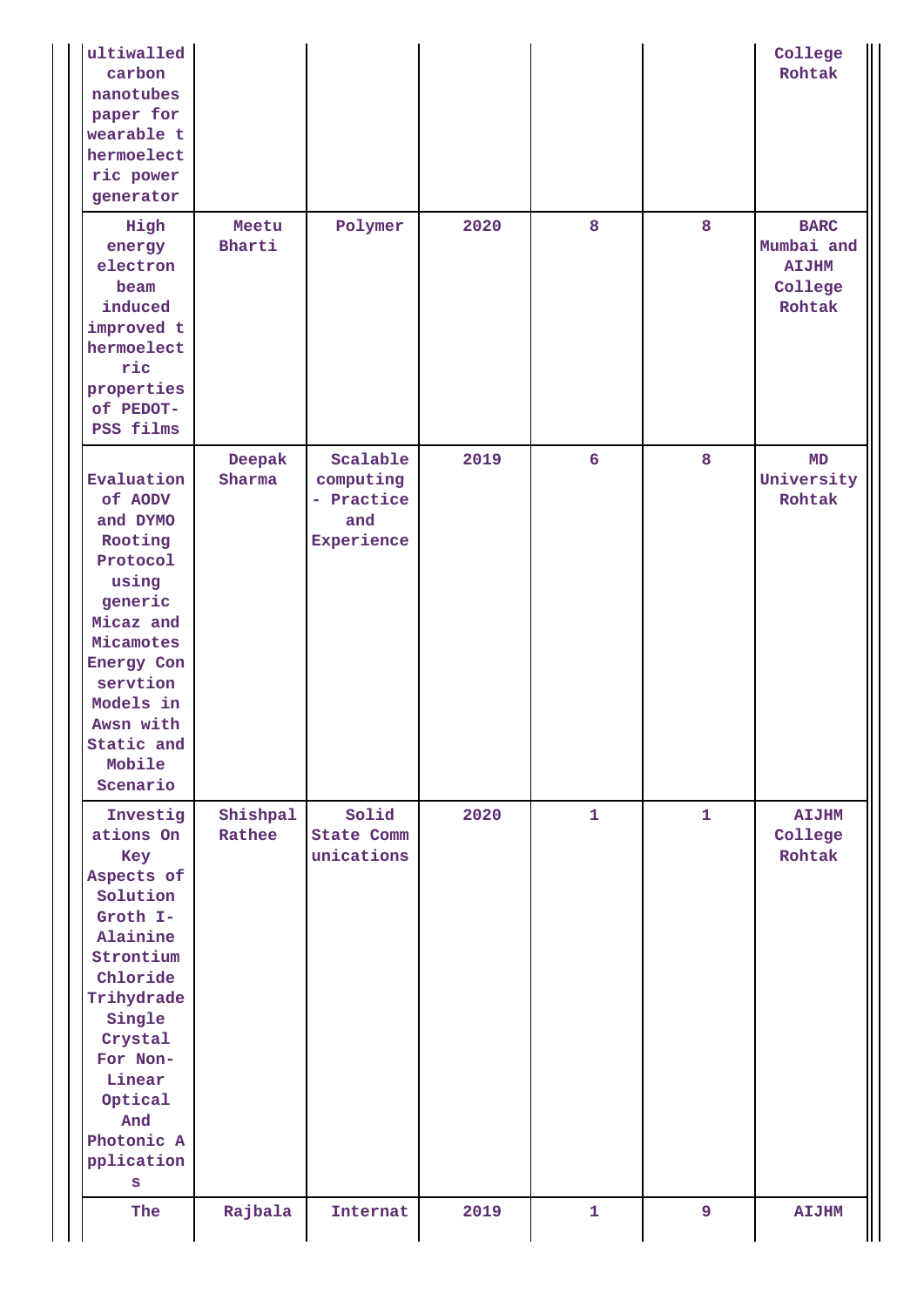| ultiwalled<br>carbon<br>nanotubes<br>paper for<br>wearable t<br>hermoelect<br>ric power<br>generator                                                                                                                |                    |                                                          |      |                 |                | College<br>Rohtak                                              |
|---------------------------------------------------------------------------------------------------------------------------------------------------------------------------------------------------------------------|--------------------|----------------------------------------------------------|------|-----------------|----------------|----------------------------------------------------------------|
| High<br>energy<br>electron<br>beam<br>induced<br>improved t<br>hermoelect<br>ric<br>properties<br>of PEDOT-<br>PSS films                                                                                            | Meetu<br>Bharti    | Polymer                                                  | 2020 | 8               | 8              | <b>BARC</b><br>Mumbai and<br><b>AIJHM</b><br>College<br>Rohtak |
| Evaluation<br>of AODV<br>and DYMO<br>Rooting<br>Protocol<br>using<br>generic<br>Micaz and<br>Micamotes<br>Energy Con<br>servtion<br>Models in<br>Awsn with<br>Static and<br>Mobile<br>Scenario                      | Deepak<br>Sharma   | Scalable<br>computing<br>- Practice<br>and<br>Experience | 2019 | $6\overline{6}$ | 8              | MD<br>University<br>Rohtak                                     |
| Investig<br>ations On<br>Key<br>Aspects of<br>Solution<br>Groth I-<br>Alainine<br>Strontium<br>Chloride<br>Trihydrade<br>Single<br>Crystal<br>For Non-<br>Linear<br>Optical<br>And<br>Photonic A<br>pplication<br>S | Shishpal<br>Rathee | Solid<br>State Comm<br>unications                        | 2020 | $\mathbf{1}$    | $\mathbf{1}$   | <b>AIJHM</b><br>College<br>Rohtak                              |
| The                                                                                                                                                                                                                 | Rajbala            | Internat                                                 | 2019 | $\mathbf{1}$    | $\overline{9}$ | <b>AIJHM</b>                                                   |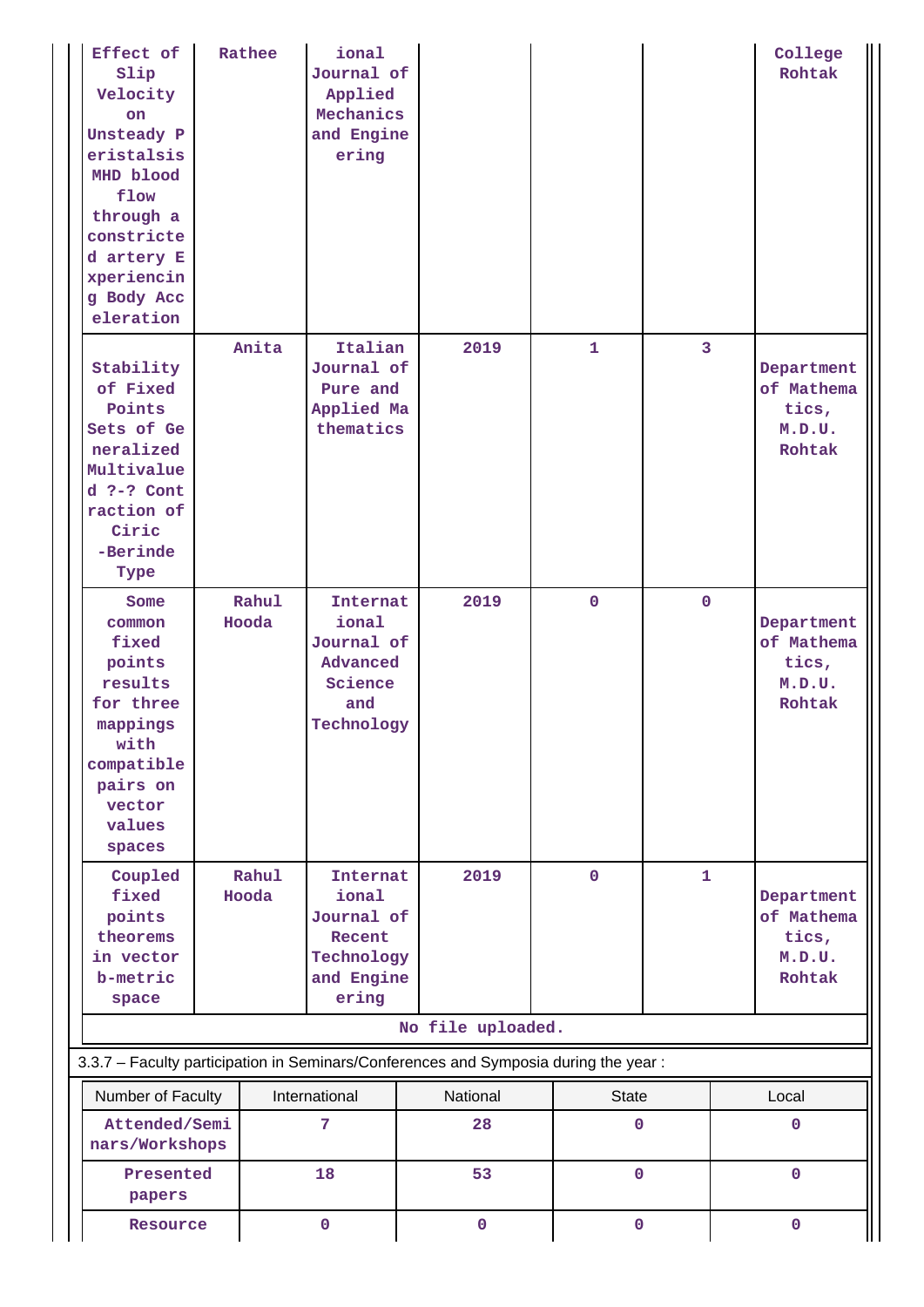| Effect of<br>Slip<br>Velocity<br>on<br>Unsteady P<br>eristalsis<br>MHD blood<br>flow<br>through a<br>constricte<br>d artery E<br>xperiencin<br>g Body Acc<br>eleration | Rathee         | ional<br>Journal of<br>Applied<br>Mechanics<br>and Engine<br>ering                    |                                                                                     |                   |                         | College<br>Rohtak                                     |
|------------------------------------------------------------------------------------------------------------------------------------------------------------------------|----------------|---------------------------------------------------------------------------------------|-------------------------------------------------------------------------------------|-------------------|-------------------------|-------------------------------------------------------|
| Stability<br>of Fixed<br>Points<br>Sets of Ge<br>neralized<br>Multivalue<br>$d$ ?-? Cont<br>raction of<br>Ciric<br>-Berinde<br>Type                                    | Anita          | Italian<br>Journal of<br>Pure and<br>Applied Ma<br>thematics                          | 2019                                                                                | $\mathbf{1}$      | $\overline{\mathbf{3}}$ | Department<br>of Mathema<br>tics,<br>M.D.U.<br>Rohtak |
| Some<br>common<br>fixed<br>points<br>results<br>for three<br>mappings<br>with<br>compatible<br>pairs on<br>vector<br>values<br>spaces                                  | Rahul<br>Hooda | Internat<br>ional<br>Journal of<br>Advanced<br>Science<br>and<br>Technology           | 2019                                                                                | $\mathbf{0}$      | $\mathbf{0}$            | Department<br>of Mathema<br>tics,<br>M.D.U.<br>Rohtak |
| Coupled<br>fixed<br>points<br>theorems<br>in vector<br>b-metric<br>space                                                                                               | Rahul<br>Hooda | <b>Internat</b><br>ional<br>Journal of<br>Recent<br>Technology<br>and Engine<br>ering | 2019                                                                                | $\mathbf 0$       | $\mathbf{1}$            | Department<br>of Mathema<br>tics,<br>M.D.U.<br>Rohtak |
|                                                                                                                                                                        |                |                                                                                       | No file uploaded.                                                                   |                   |                         |                                                       |
|                                                                                                                                                                        |                |                                                                                       | 3.3.7 - Faculty participation in Seminars/Conferences and Symposia during the year: |                   |                         |                                                       |
| Number of Faculty<br>Attended/Semi<br>nars/Workshops                                                                                                                   |                | International<br>7                                                                    | National<br>28                                                                      | <b>State</b><br>0 |                         | Local<br>$\mathbf{0}$                                 |
| Presented<br>papers                                                                                                                                                    |                | 18                                                                                    | 53                                                                                  | $\mathbf{O}$      |                         | $\mathbf 0$                                           |
| Resource                                                                                                                                                               |                | $\mathbf 0$                                                                           | $\mathbf 0$                                                                         | $\mathbf 0$       |                         | $\mathbf 0$                                           |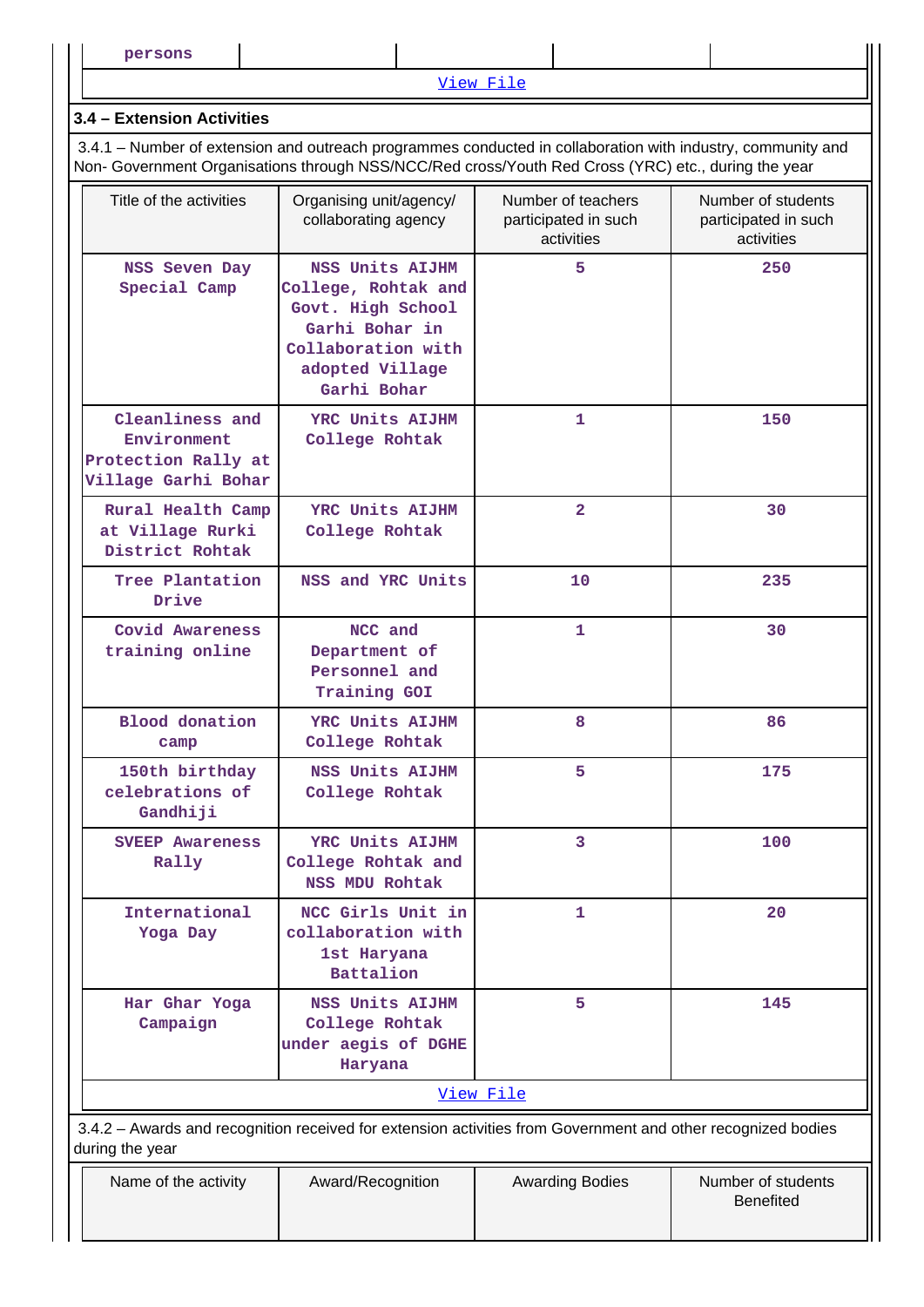[View File](https://assessmentonline.naac.gov.in/public/Postacc/Faculty_participation/20884_Faculty_participation_1654796763.xlsx)

#### **3.4 – Extension Activities**

 3.4.1 – Number of extension and outreach programmes conducted in collaboration with industry, community and Non- Government Organisations through NSS/NCC/Red cross/Youth Red Cross (YRC) etc., during the year

| Title of the activities                                                      | Organising unit/agency/<br>collaborating agency                                                                                       | Number of teachers<br>participated in such<br>activities | Number of students<br>participated in such<br>activities |
|------------------------------------------------------------------------------|---------------------------------------------------------------------------------------------------------------------------------------|----------------------------------------------------------|----------------------------------------------------------|
| NSS Seven Day<br>Special Camp                                                | NSS Units ALJHM<br>College, Rohtak and<br>Govt. High School<br>Garhi Bohar in<br>Collaboration with<br>adopted Village<br>Garhi Bohar | 5.                                                       | 250                                                      |
| Cleanliness and<br>Environment<br>Protection Rally at<br>Village Garhi Bohar | YRC Units AIJHM<br>College Rohtak                                                                                                     | 1                                                        | 150                                                      |
| Rural Health Camp<br>at Village Rurki<br>District Rohtak                     | YRC Units AIJHM<br>College Rohtak                                                                                                     | $\overline{2}$                                           | 30                                                       |
| Tree Plantation<br>Drive                                                     | NSS and YRC Units                                                                                                                     | 10                                                       | 235                                                      |
| Covid Awareness<br>training online                                           | NCC and<br>Department of<br>Personnel and<br>Training GOI                                                                             | 1.                                                       | 30                                                       |
| <b>Blood</b> donation<br>camp                                                | YRC Units AIJHM<br>College Rohtak                                                                                                     | 8                                                        | 86                                                       |
| 150th birthday<br>celebrations of<br>Gandhiji                                | NSS Units AIJHM<br>College Rohtak                                                                                                     | 5                                                        | 175                                                      |
| <b>SVEEP Awareness</b><br>Rally                                              | YRC Units AIJHM<br>College Rohtak and<br><b>NSS MDU Rohtak</b>                                                                        | 3                                                        | 100                                                      |
| International<br>Yoga Day                                                    | NCC Girls Unit in<br>collaboration with<br>1st Haryana<br>Battalion                                                                   | 1                                                        | 20                                                       |
| Har Ghar Yoga<br>Campaign                                                    | NSS Units AIJHM<br>College Rohtak<br>under aegis of DGHE<br>Haryana                                                                   | 5                                                        | 145                                                      |
|                                                                              |                                                                                                                                       | View File                                                |                                                          |
| during the year                                                              | 3.4.2 - Awards and recognition received for extension activities from Government and other recognized bodies                          |                                                          |                                                          |

| Name of the activity | Award/Recognition | <b>Awarding Bodies</b> | Number of students<br><b>Benefited</b> |
|----------------------|-------------------|------------------------|----------------------------------------|
|                      |                   |                        |                                        |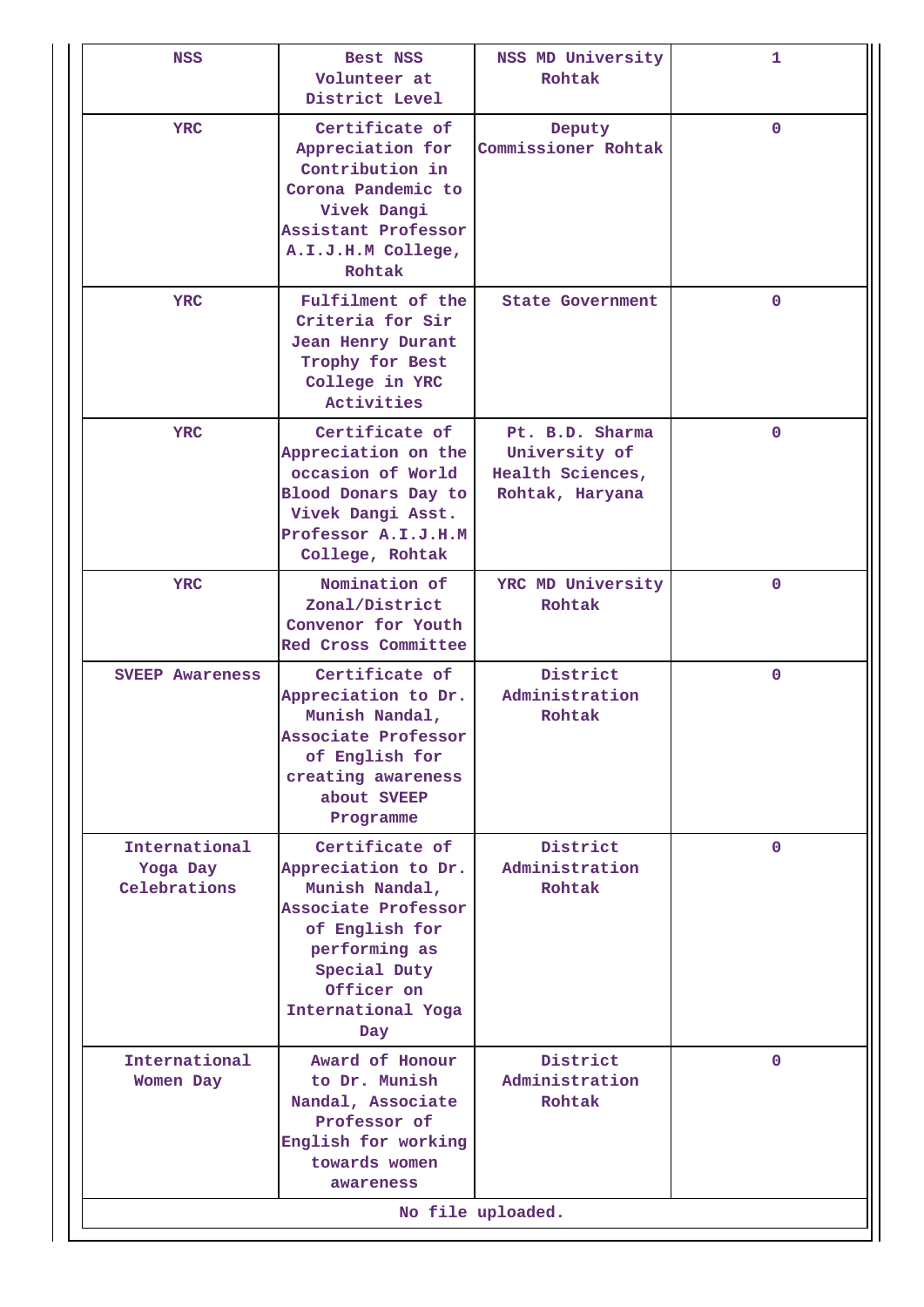| <b>NSS</b>                                | Best NSS<br>Volunteer at<br>District Level                                                                                                                                   | NSS MD University<br>Rohtak                                             | 1            |  |  |  |
|-------------------------------------------|------------------------------------------------------------------------------------------------------------------------------------------------------------------------------|-------------------------------------------------------------------------|--------------|--|--|--|
| <b>YRC</b>                                | Certificate of<br>Appreciation for<br>Contribution in<br>Corona Pandemic to<br>Vivek Dangi<br>Assistant Professor<br>A.I.J.H.M College,<br>Rohtak                            | Deputy<br>Commissioner Rohtak                                           | 0            |  |  |  |
| <b>YRC</b>                                | Fulfilment of the<br>Criteria for Sir<br>Jean Henry Durant<br>Trophy for Best<br>College in YRC<br>Activities                                                                | <b>State Government</b>                                                 | $\mathbf{0}$ |  |  |  |
| YRC                                       | Certificate of<br>Appreciation on the<br>occasion of World<br>Blood Donars Day to<br>Vivek Dangi Asst.<br>Professor A.I.J.H.M<br>College, Rohtak                             | Pt. B.D. Sharma<br>University of<br>Health Sciences,<br>Rohtak, Haryana | $\mathbf{0}$ |  |  |  |
| YRC                                       | Nomination of<br>Zonal/District<br>Convenor for Youth<br>Red Cross Committee                                                                                                 | YRC MD University<br>Rohtak                                             | $\mathbf{0}$ |  |  |  |
| <b>SVEEP Awareness</b>                    | Certificate of<br>Appreciation to Dr.<br>Munish Nandal,<br>Associate Professor<br>of English for<br>creating awareness<br>about SVEEP<br>Programme                           | District<br>Administration<br>Rohtak                                    | $\mathbf{O}$ |  |  |  |
| International<br>Yoga Day<br>Celebrations | Certificate of<br>Appreciation to Dr.<br>Munish Nandal,<br>Associate Professor<br>of English for<br>performing as<br>Special Duty<br>Officer on<br>International Yoga<br>Day | District<br>Administration<br>Rohtak                                    | 0            |  |  |  |
| International<br>Women Day                | Award of Honour<br>to Dr. Munish<br>Nandal, Associate<br>Professor of<br>English for working<br>towards women<br>awareness                                                   | District<br>Administration<br>Rohtak                                    | 0            |  |  |  |
| No file uploaded.                         |                                                                                                                                                                              |                                                                         |              |  |  |  |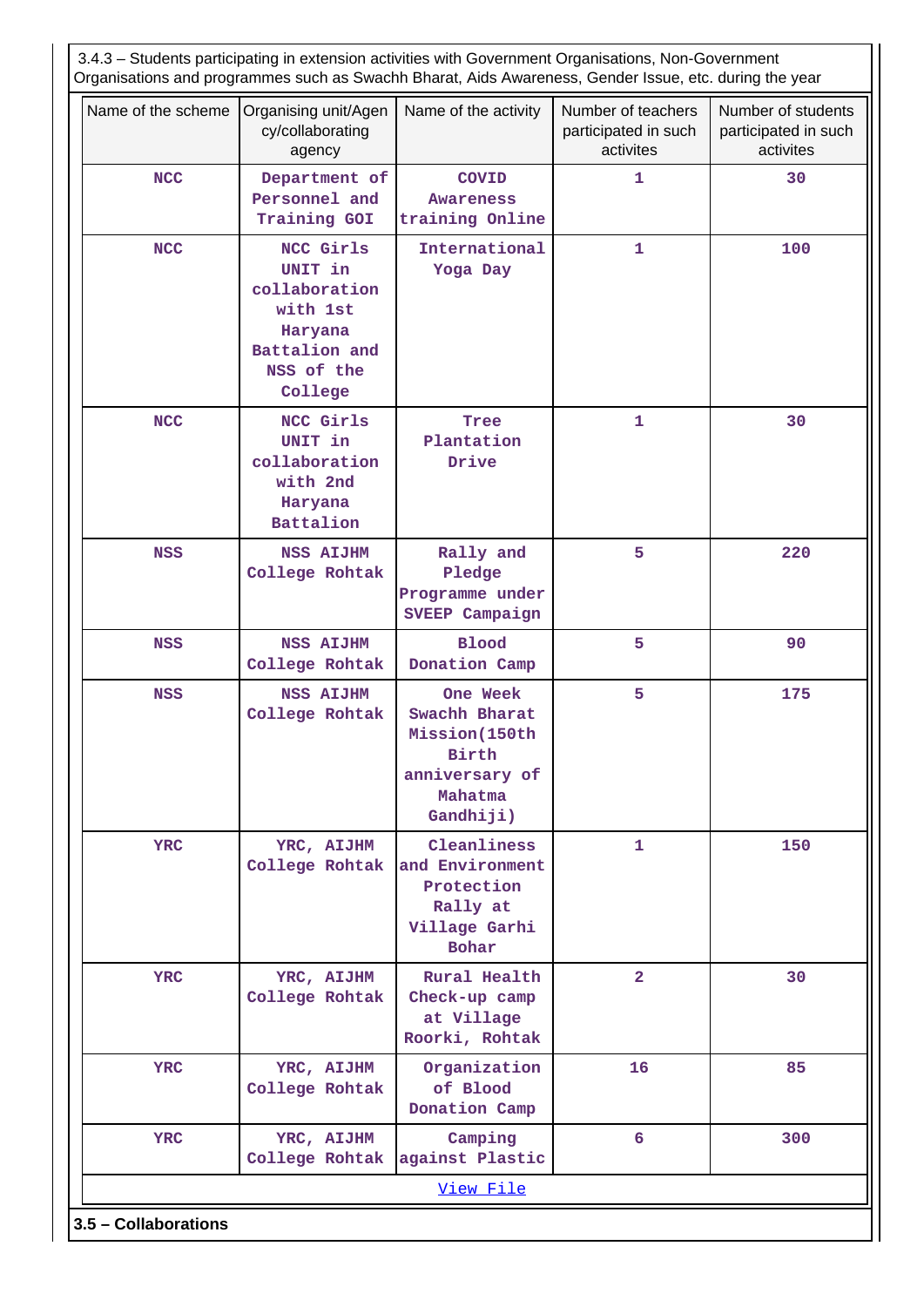| 3.4.3 - Students participating in extension activities with Government Organisations, Non-Government<br>Organisations and programmes such as Swachh Bharat, Aids Awareness, Gender Issue, etc. during the year |                                                                                                        |                                                                                               |                                                         |                                                         |  |  |  |  |
|----------------------------------------------------------------------------------------------------------------------------------------------------------------------------------------------------------------|--------------------------------------------------------------------------------------------------------|-----------------------------------------------------------------------------------------------|---------------------------------------------------------|---------------------------------------------------------|--|--|--|--|
| Name of the scheme                                                                                                                                                                                             | Organising unit/Agen<br>cy/collaborating<br>agency                                                     | Name of the activity                                                                          | Number of teachers<br>participated in such<br>activites | Number of students<br>participated in such<br>activites |  |  |  |  |
| <b>NCC</b>                                                                                                                                                                                                     | Department of<br>Personnel and<br>Training GOI                                                         | <b>COVID</b><br>Awareness<br>training Online                                                  | $\mathbf{1}$                                            | 30                                                      |  |  |  |  |
| <b>NCC</b>                                                                                                                                                                                                     | NCC Girls<br>UNIT in<br>collaboration<br>with 1st<br>Haryana<br>Battalion and<br>NSS of the<br>College | International<br>Yoga Day                                                                     | $\mathbf{1}$                                            | 100                                                     |  |  |  |  |
| <b>NCC</b>                                                                                                                                                                                                     | NCC Girls<br>UNIT in<br>collaboration<br>with 2nd<br>Haryana<br>Battalion                              | Tree<br>Plantation<br>Drive                                                                   | $\mathbf{1}$                                            | 30                                                      |  |  |  |  |
| <b>NSS</b>                                                                                                                                                                                                     | <b>NSS AIJHM</b><br>College Rohtak                                                                     | Rally and<br>Pledge<br>Programme under<br>SVEEP Campaign                                      | 5                                                       | 220                                                     |  |  |  |  |
| <b>NSS</b>                                                                                                                                                                                                     | <b>NSS AIJHM</b><br>College Rohtak                                                                     | <b>Blood</b><br>Donation Camp                                                                 | 5                                                       | 90                                                      |  |  |  |  |
| <b>NSS</b>                                                                                                                                                                                                     | <b>NSS AIJHM</b><br>College Rohtak                                                                     | One Week<br>Swachh Bharat<br>Mission(150th<br>Birth<br>anniversary of<br>Mahatma<br>Gandhiji) | 5                                                       | 175                                                     |  |  |  |  |
| <b>YRC</b>                                                                                                                                                                                                     | YRC, AIJHM<br>College Rohtak                                                                           | Cleanliness<br>and Environment<br>Protection<br>Rally at<br>Village Garhi<br><b>Bohar</b>     | 1                                                       | 150                                                     |  |  |  |  |
| <b>YRC</b>                                                                                                                                                                                                     | YRC, AIJHM<br>College Rohtak                                                                           | Rural Health<br>Check-up camp<br>at Village<br>Roorki, Rohtak                                 | $\overline{2}$                                          | 30                                                      |  |  |  |  |
| <b>YRC</b>                                                                                                                                                                                                     | YRC, AIJHM<br>College Rohtak                                                                           | Organization<br>of Blood<br>Donation Camp                                                     | 16                                                      | 85                                                      |  |  |  |  |
| <b>YRC</b>                                                                                                                                                                                                     | YRC, AIJHM<br>College Rohtak                                                                           | Camping<br>against Plastic                                                                    | 6                                                       | 300                                                     |  |  |  |  |
| View File<br>3.5 - Collaborations                                                                                                                                                                              |                                                                                                        |                                                                                               |                                                         |                                                         |  |  |  |  |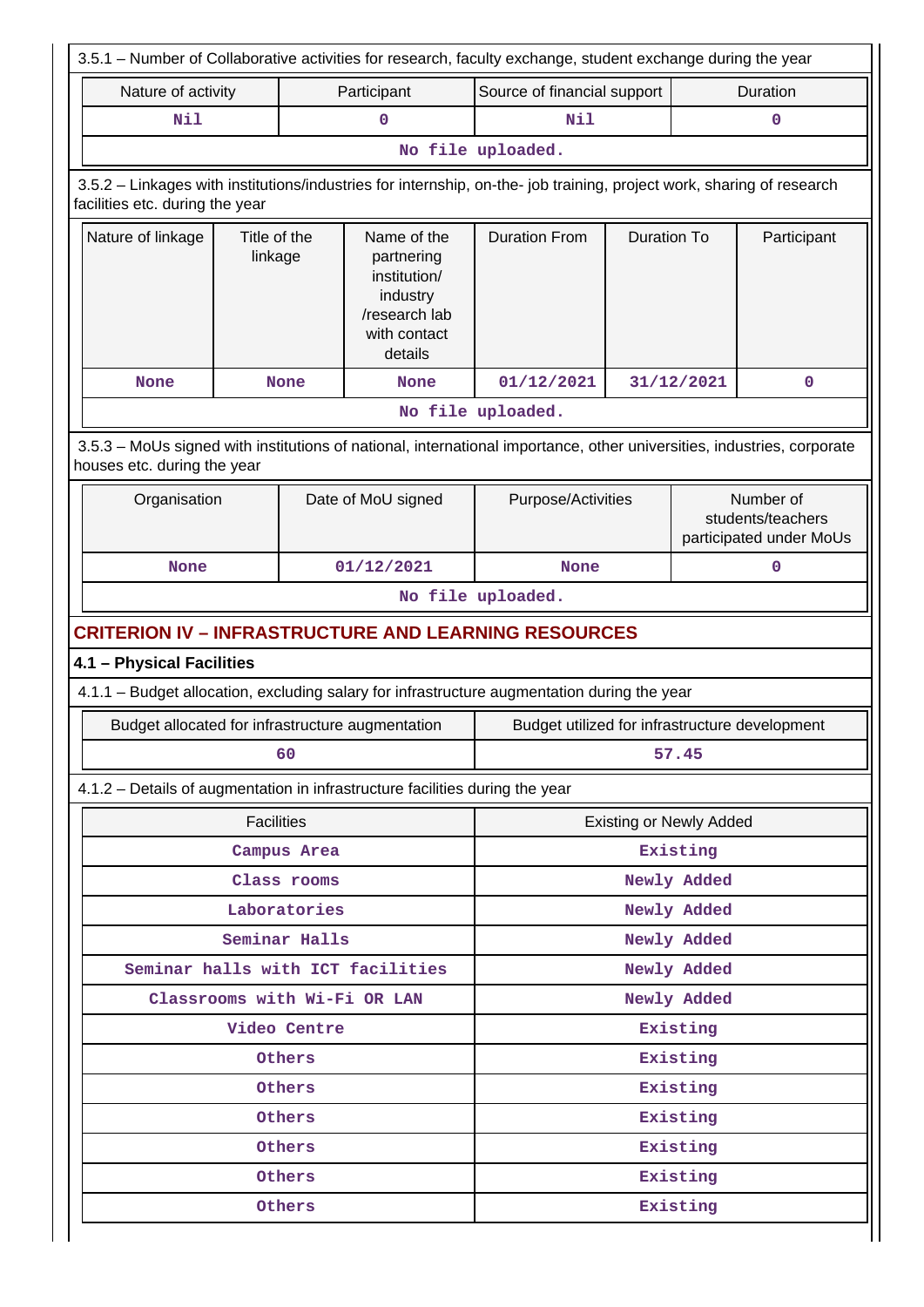| 3.5.1 - Number of Collaborative activities for research, faculty exchange, student exchange during the year                                           |                                                                                                                                                          |               |                                                                                                   |                                                |                    |                         |                                                           |  |
|-------------------------------------------------------------------------------------------------------------------------------------------------------|----------------------------------------------------------------------------------------------------------------------------------------------------------|---------------|---------------------------------------------------------------------------------------------------|------------------------------------------------|--------------------|-------------------------|-----------------------------------------------------------|--|
| Nature of activity                                                                                                                                    |                                                                                                                                                          |               | Participant                                                                                       | Source of financial support                    |                    |                         | Duration                                                  |  |
| Nil                                                                                                                                                   |                                                                                                                                                          |               | 0                                                                                                 | Nil                                            |                    |                         | $\mathbf 0$                                               |  |
|                                                                                                                                                       | No file uploaded.                                                                                                                                        |               |                                                                                                   |                                                |                    |                         |                                                           |  |
|                                                                                                                                                       | 3.5.2 - Linkages with institutions/industries for internship, on-the- job training, project work, sharing of research<br>facilities etc. during the year |               |                                                                                                   |                                                |                    |                         |                                                           |  |
| Nature of linkage                                                                                                                                     | Title of the<br>linkage                                                                                                                                  |               | Name of the<br>partnering<br>institution/<br>industry<br>/research lab<br>with contact<br>details | <b>Duration From</b>                           | <b>Duration To</b> |                         | Participant                                               |  |
| <b>None</b>                                                                                                                                           |                                                                                                                                                          | <b>None</b>   | <b>None</b>                                                                                       | 01/12/2021                                     |                    | 31/12/2021              | $\mathbf 0$                                               |  |
|                                                                                                                                                       |                                                                                                                                                          |               |                                                                                                   | No file uploaded.                              |                    |                         |                                                           |  |
| 3.5.3 - MoUs signed with institutions of national, international importance, other universities, industries, corporate<br>houses etc. during the year |                                                                                                                                                          |               |                                                                                                   |                                                |                    |                         |                                                           |  |
| Organisation                                                                                                                                          |                                                                                                                                                          |               | Date of MoU signed                                                                                | Purpose/Activities                             |                    |                         | Number of<br>students/teachers<br>participated under MoUs |  |
| <b>None</b>                                                                                                                                           |                                                                                                                                                          |               | 01/12/2021                                                                                        | <b>None</b>                                    |                    | $\mathbf 0$             |                                                           |  |
|                                                                                                                                                       |                                                                                                                                                          |               |                                                                                                   | No file uploaded.                              |                    |                         |                                                           |  |
| <b>CRITERION IV - INFRASTRUCTURE AND LEARNING RESOURCES</b>                                                                                           |                                                                                                                                                          |               |                                                                                                   |                                                |                    |                         |                                                           |  |
| 4.1 - Physical Facilities                                                                                                                             |                                                                                                                                                          |               |                                                                                                   |                                                |                    |                         |                                                           |  |
| 4.1.1 - Budget allocation, excluding salary for infrastructure augmentation during the year                                                           |                                                                                                                                                          |               |                                                                                                   |                                                |                    |                         |                                                           |  |
| Budget allocated for infrastructure augmentation                                                                                                      |                                                                                                                                                          |               |                                                                                                   | Budget utilized for infrastructure development |                    |                         |                                                           |  |
|                                                                                                                                                       |                                                                                                                                                          | 60            |                                                                                                   |                                                |                    | 57.45                   |                                                           |  |
| 4.1.2 - Details of augmentation in infrastructure facilities during the year                                                                          |                                                                                                                                                          |               |                                                                                                   |                                                |                    |                         |                                                           |  |
|                                                                                                                                                       | <b>Facilities</b>                                                                                                                                        |               |                                                                                                   | <b>Existing or Newly Added</b>                 |                    |                         |                                                           |  |
|                                                                                                                                                       |                                                                                                                                                          | Campus Area   |                                                                                                   | Existing                                       |                    |                         |                                                           |  |
|                                                                                                                                                       |                                                                                                                                                          | Class rooms   |                                                                                                   | Newly Added                                    |                    |                         |                                                           |  |
|                                                                                                                                                       |                                                                                                                                                          | Laboratories  |                                                                                                   | Newly Added                                    |                    |                         |                                                           |  |
|                                                                                                                                                       |                                                                                                                                                          | Seminar Halls |                                                                                                   |                                                |                    | Newly Added             |                                                           |  |
|                                                                                                                                                       |                                                                                                                                                          |               | Seminar halls with ICT facilities                                                                 |                                                |                    | Newly Added             |                                                           |  |
|                                                                                                                                                       |                                                                                                                                                          |               | Classrooms with Wi-Fi OR LAN                                                                      |                                                |                    | Newly Added<br>Existing |                                                           |  |
| Video Centre<br>Others                                                                                                                                |                                                                                                                                                          |               |                                                                                                   |                                                | Existing           |                         |                                                           |  |
| Others                                                                                                                                                |                                                                                                                                                          |               |                                                                                                   |                                                | Existing           |                         |                                                           |  |
| Others                                                                                                                                                |                                                                                                                                                          |               |                                                                                                   |                                                | Existing           |                         |                                                           |  |
|                                                                                                                                                       |                                                                                                                                                          | Others        |                                                                                                   |                                                |                    | Existing                |                                                           |  |
|                                                                                                                                                       |                                                                                                                                                          | Others        |                                                                                                   |                                                |                    | Existing                |                                                           |  |
|                                                                                                                                                       |                                                                                                                                                          | Others        |                                                                                                   |                                                |                    | Existing                |                                                           |  |
|                                                                                                                                                       |                                                                                                                                                          |               |                                                                                                   |                                                |                    |                         |                                                           |  |

Н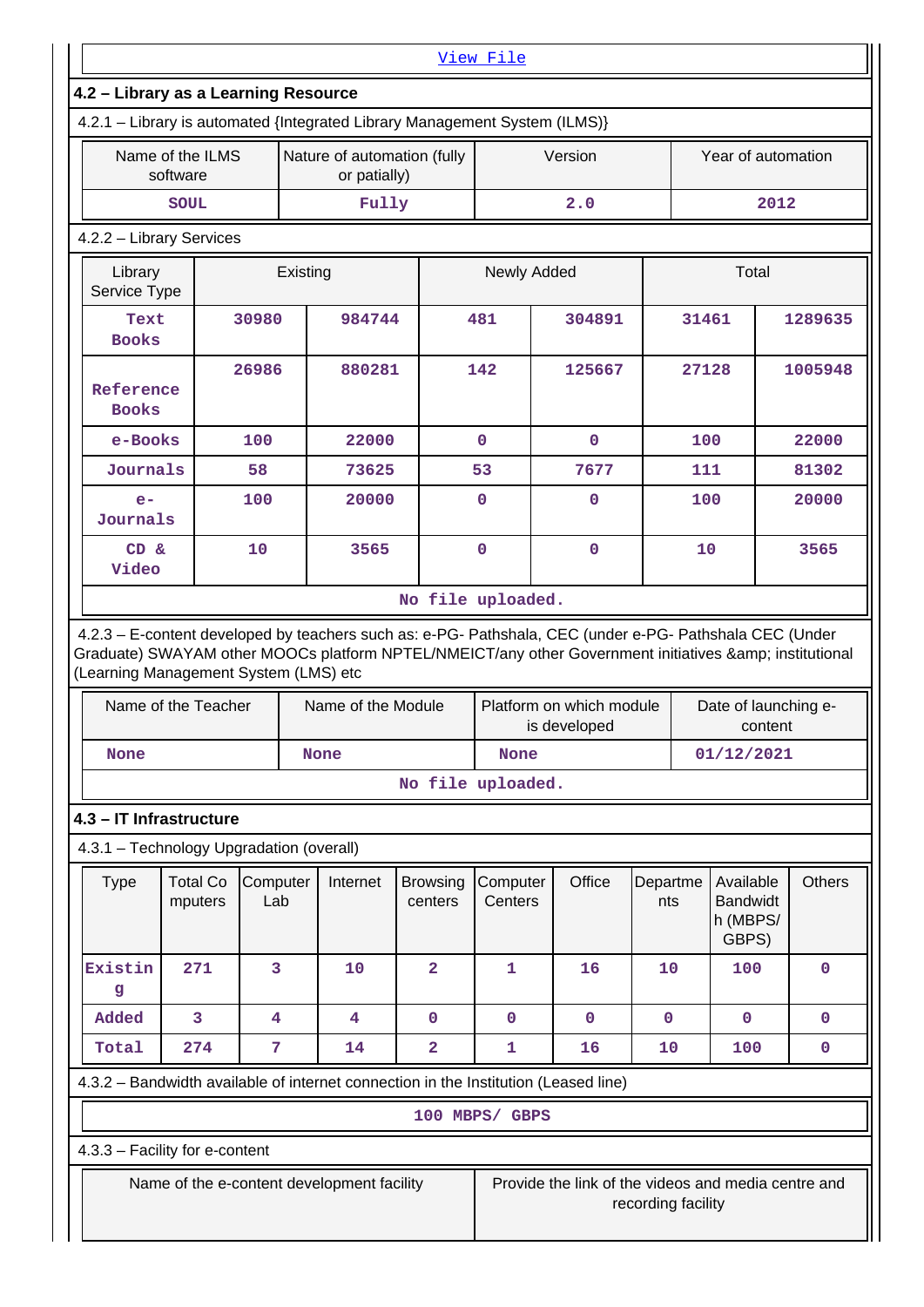|                                      |                                                              |                 |          |                                             |                                                                            | View File                 |                                                                                                                                                                                                                                                            |                    |       |                                                   |               |
|--------------------------------------|--------------------------------------------------------------|-----------------|----------|---------------------------------------------|----------------------------------------------------------------------------|---------------------------|------------------------------------------------------------------------------------------------------------------------------------------------------------------------------------------------------------------------------------------------------------|--------------------|-------|---------------------------------------------------|---------------|
| 4.2 - Library as a Learning Resource |                                                              |                 |          |                                             |                                                                            |                           |                                                                                                                                                                                                                                                            |                    |       |                                                   |               |
|                                      |                                                              |                 |          |                                             | 4.2.1 - Library is automated {Integrated Library Management System (ILMS)} |                           |                                                                                                                                                                                                                                                            |                    |       |                                                   |               |
|                                      | Name of the ILMS<br>software                                 |                 |          | Nature of automation (fully<br>or patially) |                                                                            |                           | Version                                                                                                                                                                                                                                                    |                    |       | Year of automation                                |               |
| Fully<br>2.0<br><b>SOUL</b>          |                                                              |                 |          |                                             | 2012                                                                       |                           |                                                                                                                                                                                                                                                            |                    |       |                                                   |               |
|                                      | 4.2.2 - Library Services                                     |                 |          |                                             |                                                                            |                           |                                                                                                                                                                                                                                                            |                    |       |                                                   |               |
| Library<br>Service Type              |                                                              |                 | Existing |                                             |                                                                            | Newly Added               |                                                                                                                                                                                                                                                            |                    |       | Total                                             |               |
| Text<br><b>Books</b>                 |                                                              | 30980           |          | 984744                                      |                                                                            | 481                       | 304891                                                                                                                                                                                                                                                     |                    | 31461 |                                                   | 1289635       |
| Reference<br><b>Books</b>            |                                                              | 26986           |          | 880281                                      |                                                                            | 142                       | 125667                                                                                                                                                                                                                                                     |                    | 27128 |                                                   | 1005948       |
| e-Books                              |                                                              | 100             |          | 22000                                       |                                                                            | $\mathbf 0$               | $\mathbf{0}$                                                                                                                                                                                                                                               |                    | 100   |                                                   | 22000         |
| Journals                             |                                                              | 58              |          | 73625                                       |                                                                            | 53                        | 7677                                                                                                                                                                                                                                                       |                    | 111   |                                                   | 81302         |
| $e-$<br>Journals                     |                                                              | 100             |          | 20000                                       |                                                                            | 0                         | $\mathbf 0$                                                                                                                                                                                                                                                |                    | 100   |                                                   | 20000         |
| CD &<br>Video                        |                                                              | 10              |          | 3565                                        |                                                                            | $\mathbf 0$               | $\mathbf 0$                                                                                                                                                                                                                                                |                    | 10    |                                                   | 3565          |
|                                      |                                                              |                 |          |                                             | No file uploaded.                                                          |                           |                                                                                                                                                                                                                                                            |                    |       |                                                   |               |
|                                      | (Learning Management System (LMS) etc<br>Name of the Teacher |                 |          | Name of the Module                          |                                                                            |                           | 4.2.3 - E-content developed by teachers such as: e-PG- Pathshala, CEC (under e-PG- Pathshala CEC (Under<br>Graduate) SWAYAM other MOOCs platform NPTEL/NMEICT/any other Government initiatives & institutional<br>Platform on which module<br>is developed |                    |       | Date of launching e-<br>content                   |               |
| <b>None</b>                          |                                                              |                 |          | <b>None</b>                                 |                                                                            | 01/12/2021<br><b>None</b> |                                                                                                                                                                                                                                                            |                    |       |                                                   |               |
|                                      |                                                              |                 |          |                                             | No file uploaded.                                                          |                           |                                                                                                                                                                                                                                                            |                    |       |                                                   |               |
|                                      | 4.3 - IT Infrastructure                                      |                 |          |                                             |                                                                            |                           |                                                                                                                                                                                                                                                            |                    |       |                                                   |               |
|                                      | 4.3.1 - Technology Upgradation (overall)                     |                 |          |                                             |                                                                            |                           |                                                                                                                                                                                                                                                            |                    |       |                                                   |               |
| <b>Type</b>                          | <b>Total Co</b><br>mputers                                   | Computer<br>Lab |          | Internet                                    | <b>Browsing</b><br>centers                                                 | Computer<br>Centers       | Office                                                                                                                                                                                                                                                     | Departme<br>nts    |       | Available<br><b>Bandwidt</b><br>h (MBPS/<br>GBPS) | <b>Others</b> |
| Existin<br>g                         | 271                                                          | 3               |          | 10                                          | $\mathbf{2}$                                                               | 1                         | 16                                                                                                                                                                                                                                                         | 10                 |       | 100                                               | 0             |
| Added                                | 3                                                            | 4               |          | $\overline{\mathbf{4}}$                     | $\mathbf 0$                                                                | 0                         | $\mathbf 0$                                                                                                                                                                                                                                                | $\mathbf 0$        |       | $\mathbf 0$                                       | 0             |
| Total                                | 274                                                          | 7               |          | 14                                          | $\overline{\mathbf{2}}$                                                    | 1                         | 16                                                                                                                                                                                                                                                         | 10                 |       | 100                                               | 0             |
|                                      |                                                              |                 |          |                                             |                                                                            |                           | 4.3.2 - Bandwidth available of internet connection in the Institution (Leased line)                                                                                                                                                                        |                    |       |                                                   |               |
|                                      |                                                              |                 |          |                                             |                                                                            | 100 MBPS/ GBPS            |                                                                                                                                                                                                                                                            |                    |       |                                                   |               |
|                                      | 4.3.3 - Facility for e-content                               |                 |          |                                             |                                                                            |                           |                                                                                                                                                                                                                                                            |                    |       |                                                   |               |
|                                      | Name of the e-content development facility                   |                 |          |                                             |                                                                            |                           | Provide the link of the videos and media centre and                                                                                                                                                                                                        | recording facility |       |                                                   |               |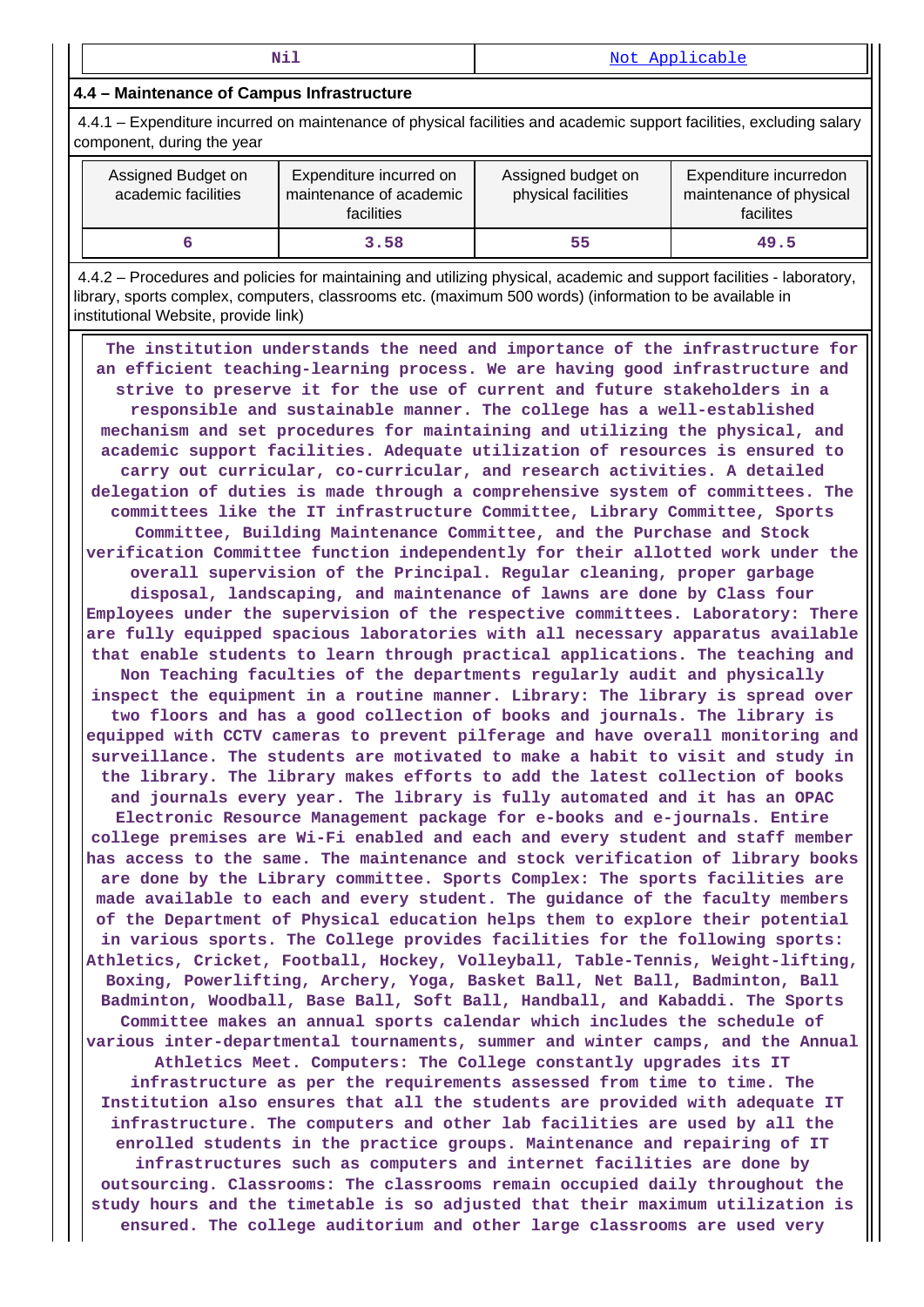#### **4.4 – Maintenance of Campus Infrastructure**

 4.4.1 – Expenditure incurred on maintenance of physical facilities and academic support facilities, excluding salary component, during the year

| Assigned Budget on<br>academic facilities | Expenditure incurred on<br>maintenance of academic<br>facilities | Assigned budget on<br>physical facilities | Expenditure incurredon<br>maintenance of physical<br>facilites |
|-------------------------------------------|------------------------------------------------------------------|-------------------------------------------|----------------------------------------------------------------|
|                                           | 3.58                                                             | 55                                        | 49.5                                                           |

 4.4.2 – Procedures and policies for maintaining and utilizing physical, academic and support facilities - laboratory, library, sports complex, computers, classrooms etc. (maximum 500 words) (information to be available in institutional Website, provide link)

 **The institution understands the need and importance of the infrastructure for an efficient teaching-learning process. We are having good infrastructure and strive to preserve it for the use of current and future stakeholders in a responsible and sustainable manner. The college has a well-established mechanism and set procedures for maintaining and utilizing the physical, and academic support facilities. Adequate utilization of resources is ensured to carry out curricular, co-curricular, and research activities. A detailed delegation of duties is made through a comprehensive system of committees. The committees like the IT infrastructure Committee, Library Committee, Sports Committee, Building Maintenance Committee, and the Purchase and Stock verification Committee function independently for their allotted work under the overall supervision of the Principal. Regular cleaning, proper garbage disposal, landscaping, and maintenance of lawns are done by Class four Employees under the supervision of the respective committees. Laboratory: There are fully equipped spacious laboratories with all necessary apparatus available that enable students to learn through practical applications. The teaching and Non Teaching faculties of the departments regularly audit and physically inspect the equipment in a routine manner. Library: The library is spread over two floors and has a good collection of books and journals. The library is equipped with CCTV cameras to prevent pilferage and have overall monitoring and surveillance. The students are motivated to make a habit to visit and study in the library. The library makes efforts to add the latest collection of books and journals every year. The library is fully automated and it has an OPAC Electronic Resource Management package for e-books and e-journals. Entire college premises are Wi-Fi enabled and each and every student and staff member has access to the same. The maintenance and stock verification of library books are done by the Library committee. Sports Complex: The sports facilities are made available to each and every student. The guidance of the faculty members of the Department of Physical education helps them to explore their potential in various sports. The College provides facilities for the following sports: Athletics, Cricket, Football, Hockey, Volleyball, Table-Tennis, Weight-lifting, Boxing, Powerlifting, Archery, Yoga, Basket Ball, Net Ball, Badminton, Ball Badminton, Woodball, Base Ball, Soft Ball, Handball, and Kabaddi. The Sports Committee makes an annual sports calendar which includes the schedule of various inter-departmental tournaments, summer and winter camps, and the Annual Athletics Meet. Computers: The College constantly upgrades its IT infrastructure as per the requirements assessed from time to time. The Institution also ensures that all the students are provided with adequate IT infrastructure. The computers and other lab facilities are used by all the enrolled students in the practice groups. Maintenance and repairing of IT infrastructures such as computers and internet facilities are done by outsourcing. Classrooms: The classrooms remain occupied daily throughout the study hours and the timetable is so adjusted that their maximum utilization is ensured. The college auditorium and other large classrooms are used very**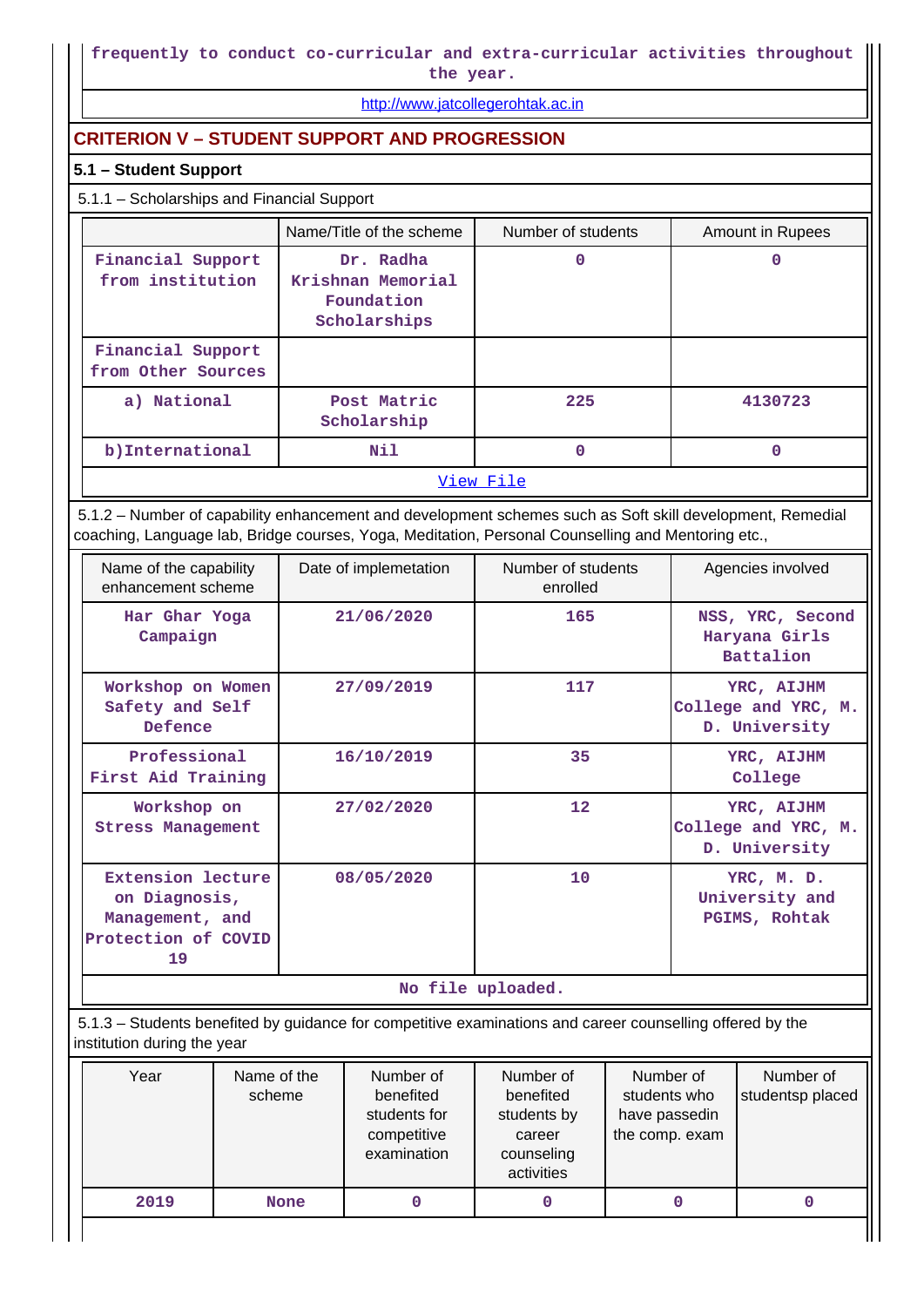## **frequently to conduct co-curricular and extra-curricular activities throughout**

**the year.**

<http://www.jatcollegerohtak.ac.in>

## **CRITERION V – STUDENT SUPPORT AND PROGRESSION**

### **5.1 – Student Support**

### 5.1.1 – Scholarships and Financial Support

|                                         | Name/Title of the scheme                                     | Number of students | Amount in Rupees |  |  |  |
|-----------------------------------------|--------------------------------------------------------------|--------------------|------------------|--|--|--|
| Financial Support<br>from institution   | Dr. Radha<br>Krishnan Memorial<br>Foundation<br>Scholarships | 0                  |                  |  |  |  |
| Financial Support<br>from Other Sources |                                                              |                    |                  |  |  |  |
| a) National                             | Post Matric<br>Scholarship                                   | 225                | 4130723          |  |  |  |
| b) International                        | Nil                                                          | 0                  | 0                |  |  |  |
| View File                               |                                                              |                    |                  |  |  |  |

 5.1.2 – Number of capability enhancement and development schemes such as Soft skill development, Remedial coaching, Language lab, Bridge courses, Yoga, Meditation, Personal Counselling and Mentoring etc.,

| Name of the capability<br>enhancement scheme                                              | Date of implemetation | Number of students<br>enrolled | Agencies involved                                     |  |  |  |  |
|-------------------------------------------------------------------------------------------|-----------------------|--------------------------------|-------------------------------------------------------|--|--|--|--|
| Har Ghar Yoga<br>Campaign                                                                 | 21/06/2020            | 165                            | NSS, YRC, Second<br>Haryana Girls<br><b>Battalion</b> |  |  |  |  |
| Workshop on Women<br>Safety and Self<br>Defence                                           | 27/09/2019            | 117                            | YRC, AIJHM<br>College and YRC, M.<br>D. University    |  |  |  |  |
| Professional<br>First Aid Training                                                        | 16/10/2019            | 35                             | YRC, AIJHM<br>College                                 |  |  |  |  |
| Workshop on<br><b>Stress Management</b>                                                   | 27/02/2020            | 12                             | YRC, AIJHM<br>College and YRC, M.<br>D. University    |  |  |  |  |
| <b>Extension lecture</b><br>on Diagnosis,<br>Management, and<br>Protection of COVID<br>19 | 08/05/2020            | 10                             | YRC, M. D.<br>University and<br>PGIMS, Rohtak         |  |  |  |  |
|                                                                                           | No file uploaded.     |                                |                                                       |  |  |  |  |

 5.1.3 – Students benefited by guidance for competitive examinations and career counselling offered by the institution during the year

| Year | Name of the<br>scheme | Number of<br>benefited<br>students for<br>competitive<br>examination | Number of<br>benefited<br>students by<br>career<br>counseling<br>activities | Number of<br>students who<br>have passedin<br>the comp. exam | Number of<br>studentsp placed |
|------|-----------------------|----------------------------------------------------------------------|-----------------------------------------------------------------------------|--------------------------------------------------------------|-------------------------------|
| 2019 | <b>None</b>           |                                                                      |                                                                             |                                                              |                               |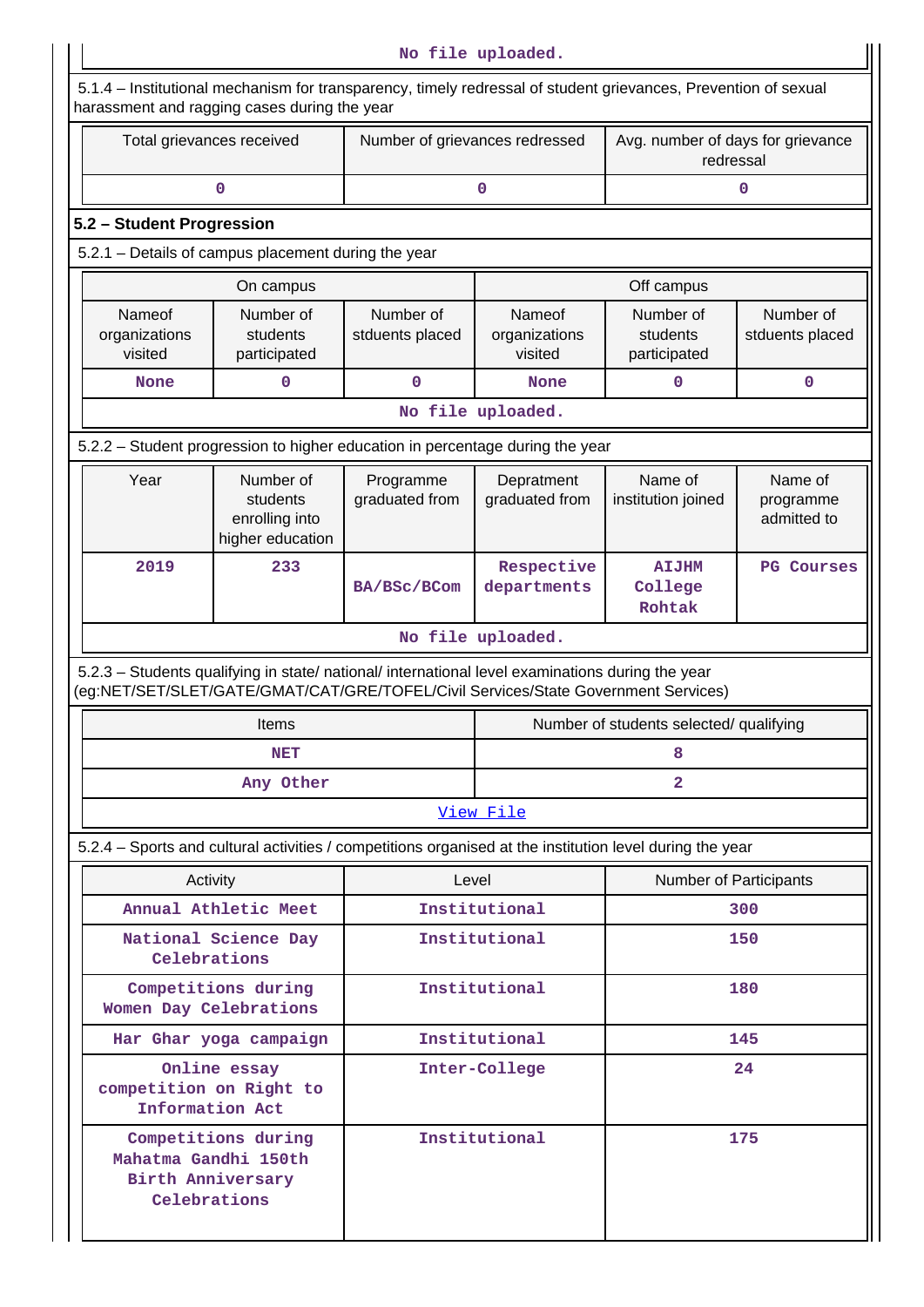| No file uploaded.                  |                                                                                                                                                                                        |                                |                                    |                                                |                                     |  |  |  |  |
|------------------------------------|----------------------------------------------------------------------------------------------------------------------------------------------------------------------------------------|--------------------------------|------------------------------------|------------------------------------------------|-------------------------------------|--|--|--|--|
|                                    | 5.1.4 – Institutional mechanism for transparency, timely redressal of student grievances, Prevention of sexual<br>harassment and ragging cases during the year                         |                                |                                    |                                                |                                     |  |  |  |  |
|                                    | Total grievances received                                                                                                                                                              | Number of grievances redressed |                                    | Avg. number of days for grievance<br>redressal |                                     |  |  |  |  |
|                                    | 0                                                                                                                                                                                      |                                | $\mathbf 0$                        |                                                | $\mathbf 0$                         |  |  |  |  |
| 5.2 - Student Progression          |                                                                                                                                                                                        |                                |                                    |                                                |                                     |  |  |  |  |
|                                    | 5.2.1 - Details of campus placement during the year                                                                                                                                    |                                |                                    |                                                |                                     |  |  |  |  |
|                                    | On campus                                                                                                                                                                              |                                |                                    | Off campus                                     |                                     |  |  |  |  |
| Nameof<br>organizations<br>visited | Number of<br>students<br>participated                                                                                                                                                  | Number of<br>stduents placed   | Nameof<br>organizations<br>visited | Number of<br>students<br>participated          | Number of<br>stduents placed        |  |  |  |  |
| <b>None</b>                        | 0                                                                                                                                                                                      | 0                              | <b>None</b>                        | 0                                              | $\mathbf 0$                         |  |  |  |  |
|                                    |                                                                                                                                                                                        |                                | No file uploaded.                  |                                                |                                     |  |  |  |  |
|                                    | 5.2.2 - Student progression to higher education in percentage during the year                                                                                                          |                                |                                    |                                                |                                     |  |  |  |  |
| Year                               | Number of<br>students<br>enrolling into<br>higher education                                                                                                                            | Programme<br>graduated from    | Depratment<br>graduated from       | Name of<br>institution joined                  | Name of<br>programme<br>admitted to |  |  |  |  |
| 2019                               | 233                                                                                                                                                                                    | BA/BSc/BCom                    | Respective<br>departments          | <b>AIJHM</b><br>College<br>Rohtak              | <b>PG</b> Courses                   |  |  |  |  |
|                                    |                                                                                                                                                                                        |                                | No file uploaded.                  |                                                |                                     |  |  |  |  |
|                                    | 5.2.3 - Students qualifying in state/ national/ international level examinations during the year<br>(eg:NET/SET/SLET/GATE/GMAT/CAT/GRE/TOFEL/Civil Services/State Government Services) |                                |                                    |                                                |                                     |  |  |  |  |
|                                    | Items                                                                                                                                                                                  |                                |                                    | Number of students selected/ qualifying        |                                     |  |  |  |  |
|                                    | <b>NET</b>                                                                                                                                                                             |                                |                                    | 8                                              |                                     |  |  |  |  |
|                                    | Any Other                                                                                                                                                                              | $\overline{2}$                 |                                    |                                                |                                     |  |  |  |  |
|                                    |                                                                                                                                                                                        |                                | View File                          |                                                |                                     |  |  |  |  |
|                                    | 5.2.4 – Sports and cultural activities / competitions organised at the institution level during the year                                                                               |                                |                                    |                                                |                                     |  |  |  |  |
|                                    | Activity                                                                                                                                                                               | Level                          |                                    | Number of Participants                         |                                     |  |  |  |  |
|                                    | Annual Athletic Meet                                                                                                                                                                   |                                | Institutional                      | 300                                            |                                     |  |  |  |  |
|                                    | National Science Day<br>Celebrations                                                                                                                                                   |                                | Institutional                      |                                                | 150                                 |  |  |  |  |
|                                    | Competitions during<br>Women Day Celebrations                                                                                                                                          |                                | Institutional                      |                                                | 180                                 |  |  |  |  |
|                                    | Har Ghar yoga campaign                                                                                                                                                                 |                                | Institutional                      |                                                | 145                                 |  |  |  |  |
|                                    | Online essay<br>competition on Right to<br>Information Act                                                                                                                             |                                | Inter-College                      |                                                | 24                                  |  |  |  |  |
|                                    | Competitions during<br>Mahatma Gandhi 150th<br>Birth Anniversary<br>Celebrations                                                                                                       |                                | Institutional                      |                                                | 175                                 |  |  |  |  |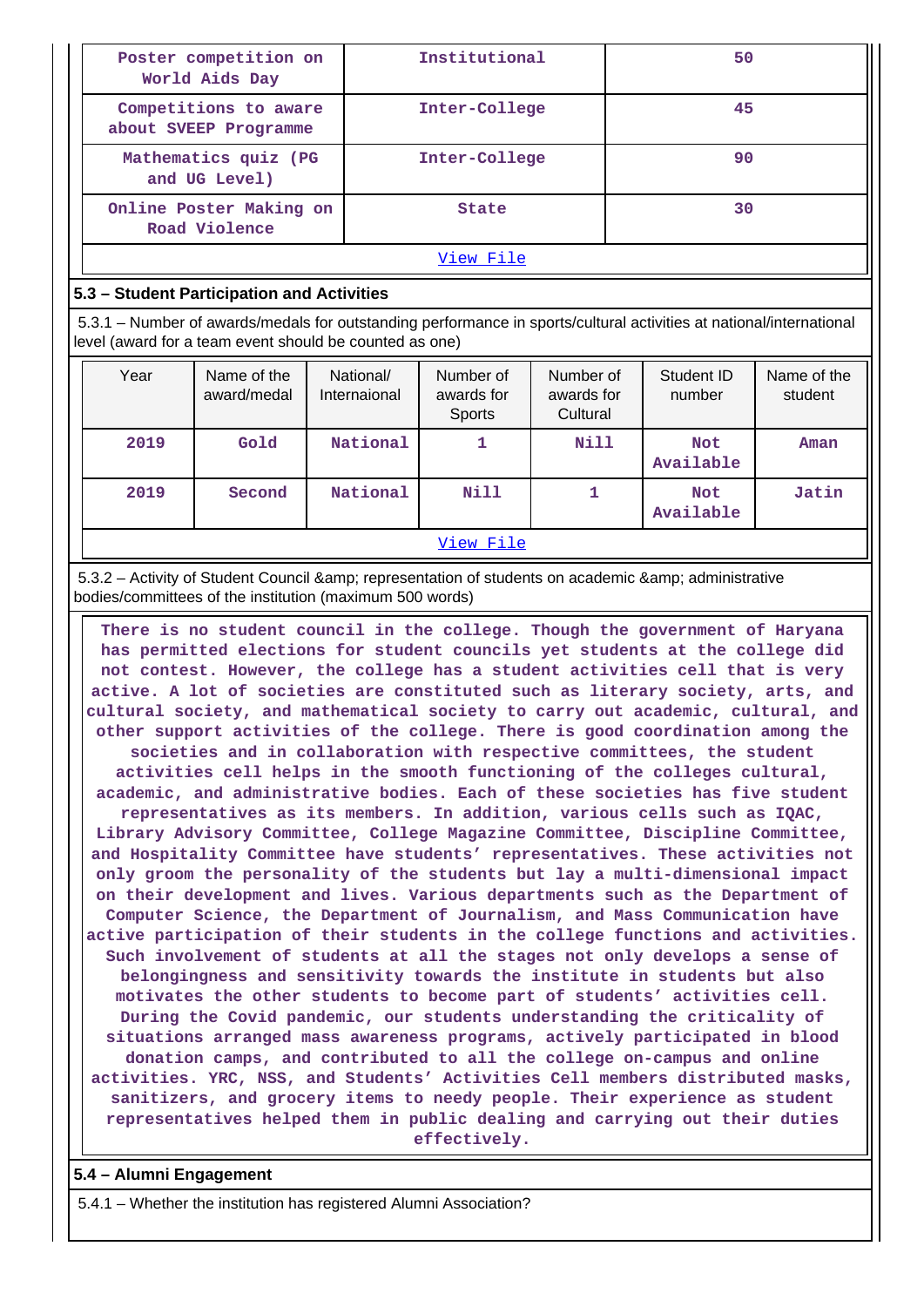| Poster competition on<br>World Aids Day        | Institutional | 50 |  |  |  |
|------------------------------------------------|---------------|----|--|--|--|
| Competitions to aware<br>about SVEEP Programme | Inter-College | 45 |  |  |  |
| Mathematics quiz (PG<br>and UG Level)          | Inter-College | 90 |  |  |  |
| Online Poster Making on<br>Road Violence       | <b>State</b>  | 30 |  |  |  |
| View File                                      |               |    |  |  |  |

#### **5.3 – Student Participation and Activities**

 5.3.1 – Number of awards/medals for outstanding performance in sports/cultural activities at national/international level (award for a team event should be counted as one)

| Year | Name of the<br>award/medal | National/<br>Internaional | Number of<br>awards for<br>Sports | Number of<br>awards for<br>Cultural | Student ID<br>number    | Name of the<br>student |  |  |
|------|----------------------------|---------------------------|-----------------------------------|-------------------------------------|-------------------------|------------------------|--|--|
| 2019 | Gold                       | National                  |                                   | Nill                                | <b>Not</b><br>Available | Aman                   |  |  |
| 2019 | Second                     | National                  | Nill                              |                                     | <b>Not</b><br>Available | Jatin                  |  |  |
|      | View File                  |                           |                                   |                                     |                         |                        |  |  |

5.3.2 – Activity of Student Council & amp; representation of students on academic & amp; administrative bodies/committees of the institution (maximum 500 words)

 **There is no student council in the college. Though the government of Haryana has permitted elections for student councils yet students at the college did not contest. However, the college has a student activities cell that is very active. A lot of societies are constituted such as literary society, arts, and cultural society, and mathematical society to carry out academic, cultural, and other support activities of the college. There is good coordination among the societies and in collaboration with respective committees, the student activities cell helps in the smooth functioning of the colleges cultural, academic, and administrative bodies. Each of these societies has five student representatives as its members. In addition, various cells such as IQAC, Library Advisory Committee, College Magazine Committee, Discipline Committee, and Hospitality Committee have students' representatives. These activities not only groom the personality of the students but lay a multi-dimensional impact on their development and lives. Various departments such as the Department of Computer Science, the Department of Journalism, and Mass Communication have active participation of their students in the college functions and activities. Such involvement of students at all the stages not only develops a sense of belongingness and sensitivity towards the institute in students but also motivates the other students to become part of students' activities cell. During the Covid pandemic, our students understanding the criticality of situations arranged mass awareness programs, actively participated in blood donation camps, and contributed to all the college on-campus and online activities. YRC, NSS, and Students' Activities Cell members distributed masks, sanitizers, and grocery items to needy people. Their experience as student representatives helped them in public dealing and carrying out their duties effectively.**

#### **5.4 – Alumni Engagement**

5.4.1 – Whether the institution has registered Alumni Association?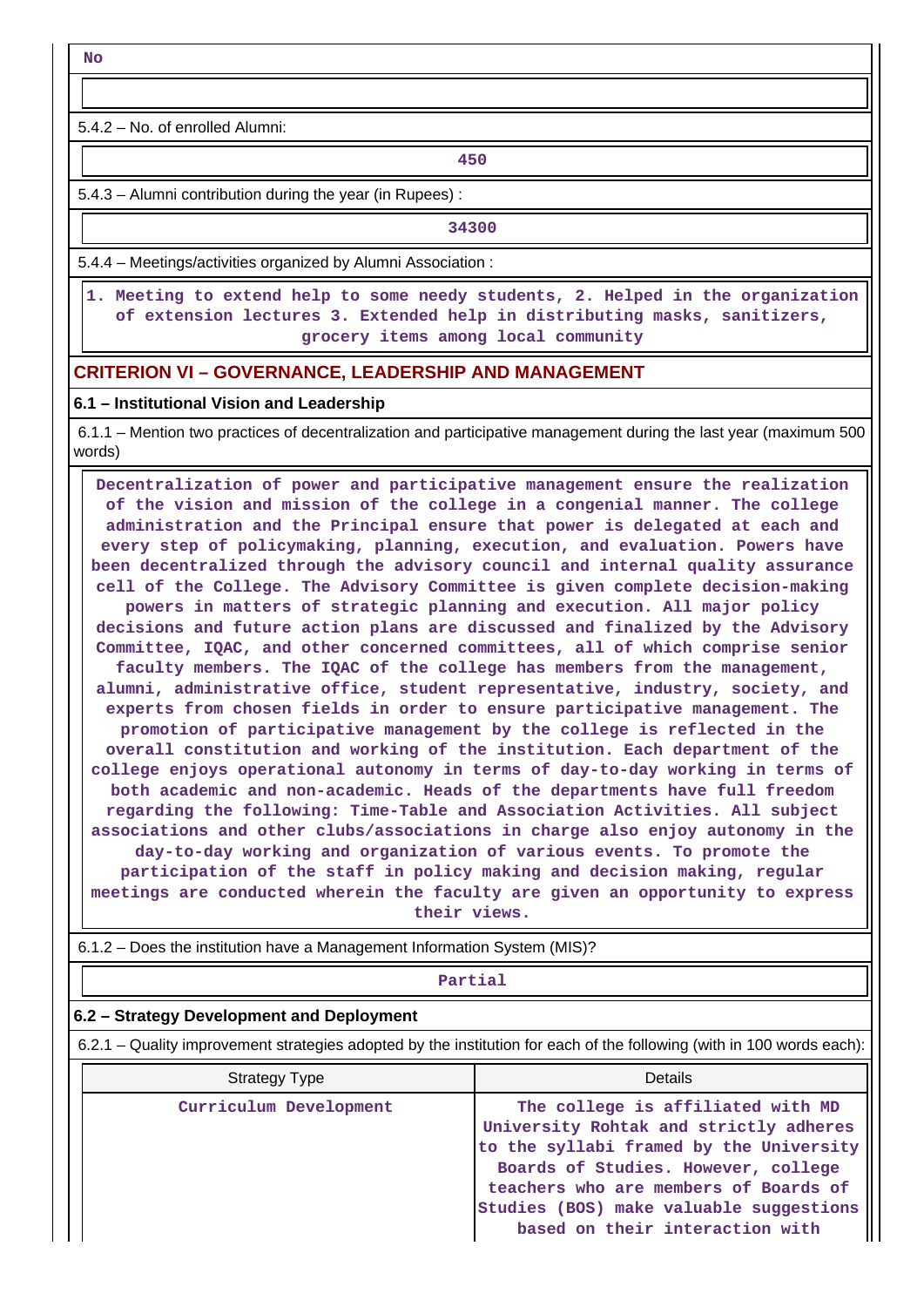**No**

5.4.2 – No. of enrolled Alumni:

**450**

5.4.3 – Alumni contribution during the year (in Rupees) :

**1 34300** 

5.4.4 – Meetings/activities organized by Alumni Association :

 **1. Meeting to extend help to some needy students, 2. Helped in the organization of extension lectures 3. Extended help in distributing masks, sanitizers, grocery items among local community**

#### **CRITERION VI – GOVERNANCE, LEADERSHIP AND MANAGEMENT**

#### **6.1 – Institutional Vision and Leadership**

 6.1.1 – Mention two practices of decentralization and participative management during the last year (maximum 500 words)

 **Decentralization of power and participative management ensure the realization of the vision and mission of the college in a congenial manner. The college administration and the Principal ensure that power is delegated at each and every step of policymaking, planning, execution, and evaluation. Powers have been decentralized through the advisory council and internal quality assurance cell of the College. The Advisory Committee is given complete decision-making powers in matters of strategic planning and execution. All major policy decisions and future action plans are discussed and finalized by the Advisory Committee, IQAC, and other concerned committees, all of which comprise senior faculty members. The IQAC of the college has members from the management, alumni, administrative office, student representative, industry, society, and experts from chosen fields in order to ensure participative management. The promotion of participative management by the college is reflected in the overall constitution and working of the institution. Each department of the college enjoys operational autonomy in terms of day-to-day working in terms of both academic and non-academic. Heads of the departments have full freedom regarding the following: Time-Table and Association Activities. All subject associations and other clubs/associations in charge also enjoy autonomy in the day-to-day working and organization of various events. To promote the participation of the staff in policy making and decision making, regular meetings are conducted wherein the faculty are given an opportunity to express their views.**

6.1.2 – Does the institution have a Management Information System (MIS)?

#### **Partial**

#### **6.2 – Strategy Development and Deployment**

6.2.1 – Quality improvement strategies adopted by the institution for each of the following (with in 100 words each):

| <b>Strategy Type</b>   | Details                                                                                                                                                                                                                                                                              |
|------------------------|--------------------------------------------------------------------------------------------------------------------------------------------------------------------------------------------------------------------------------------------------------------------------------------|
| Curriculum Development | The college is affiliated with MD<br>University Rohtak and strictly adheres<br>to the syllabi framed by the University<br>Boards of Studies. However, college<br>teachers who are members of Boards of<br>Studies (BOS) make valuable suggestions<br>based on their interaction with |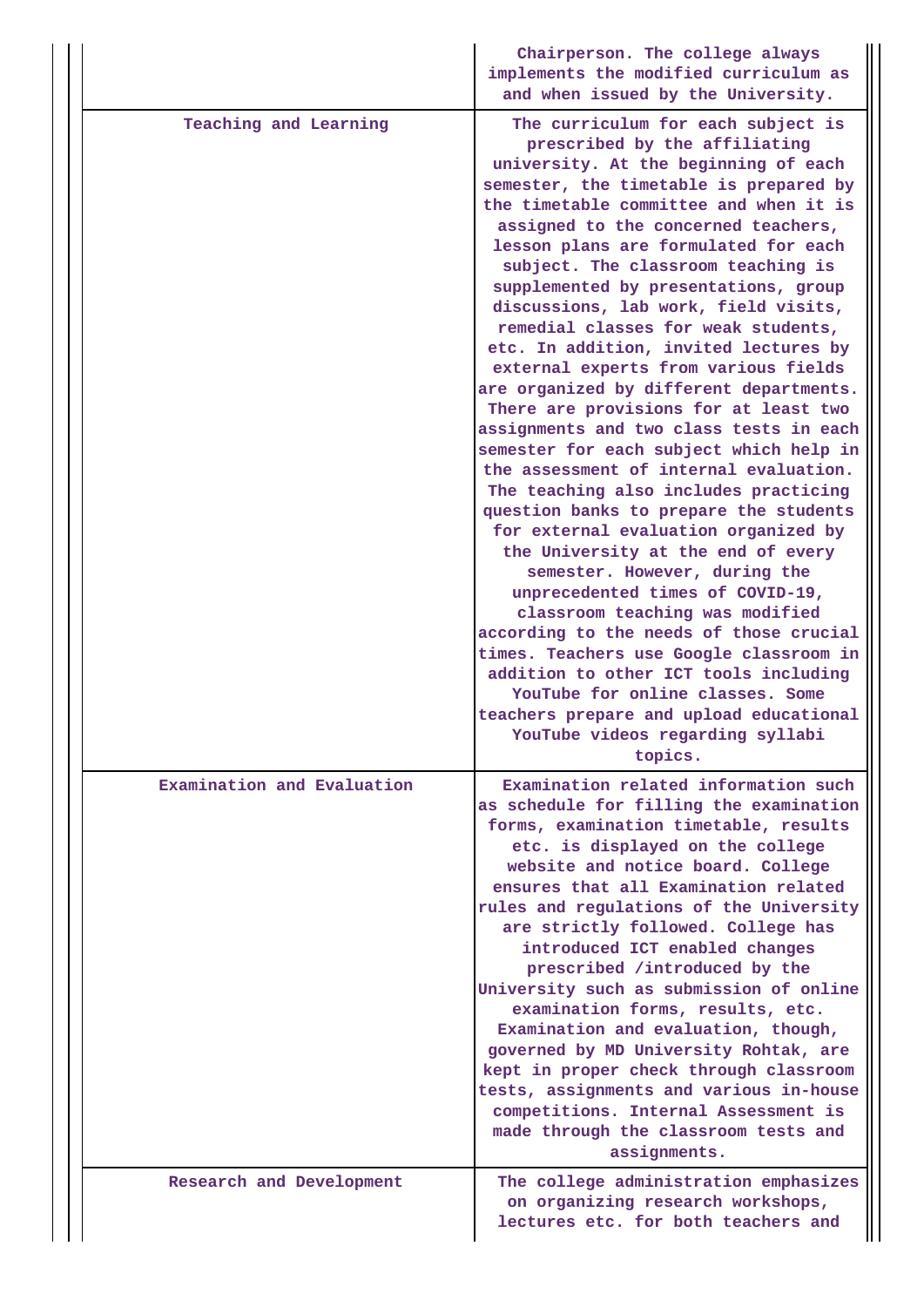|                            | Chairperson. The college always<br>implements the modified curriculum as<br>and when issued by the University.                                                                                                                                                                                                                                                                                                                                                                                                                                                                                                                                                                                                                                                                                                                                                                                                                                                                                                                                                                                                                                                                                                                                                              |
|----------------------------|-----------------------------------------------------------------------------------------------------------------------------------------------------------------------------------------------------------------------------------------------------------------------------------------------------------------------------------------------------------------------------------------------------------------------------------------------------------------------------------------------------------------------------------------------------------------------------------------------------------------------------------------------------------------------------------------------------------------------------------------------------------------------------------------------------------------------------------------------------------------------------------------------------------------------------------------------------------------------------------------------------------------------------------------------------------------------------------------------------------------------------------------------------------------------------------------------------------------------------------------------------------------------------|
| Teaching and Learning      | The curriculum for each subject is<br>prescribed by the affiliating<br>university. At the beginning of each<br>semester, the timetable is prepared by<br>the timetable committee and when it is<br>assigned to the concerned teachers,<br>lesson plans are formulated for each<br>subject. The classroom teaching is<br>supplemented by presentations, group<br>discussions, lab work, field visits,<br>remedial classes for weak students,<br>etc. In addition, invited lectures by<br>external experts from various fields<br>are organized by different departments.<br>There are provisions for at least two<br>assignments and two class tests in each<br>semester for each subject which help in<br>the assessment of internal evaluation.<br>The teaching also includes practicing<br>question banks to prepare the students<br>for external evaluation organized by<br>the University at the end of every<br>semester. However, during the<br>unprecedented times of COVID-19,<br>classroom teaching was modified<br>according to the needs of those crucial<br>times. Teachers use Google classroom in<br>addition to other ICT tools including<br>YouTube for online classes. Some<br>teachers prepare and upload educational<br>YouTube videos regarding syllabi |
| Examination and Evaluation | topics.<br>Examination related information such                                                                                                                                                                                                                                                                                                                                                                                                                                                                                                                                                                                                                                                                                                                                                                                                                                                                                                                                                                                                                                                                                                                                                                                                                             |
|                            | as schedule for filling the examination<br>forms, examination timetable, results<br>etc. is displayed on the college<br>website and notice board. College<br>ensures that all Examination related<br>rules and regulations of the University<br>are strictly followed. College has<br>introduced ICT enabled changes<br>prescribed /introduced by the<br>University such as submission of online<br>examination forms, results, etc.<br>Examination and evaluation, though,<br>governed by MD University Rohtak, are<br>kept in proper check through classroom<br>tests, assignments and various in-house<br>competitions. Internal Assessment is<br>made through the classroom tests and<br>assignments.                                                                                                                                                                                                                                                                                                                                                                                                                                                                                                                                                                   |
| Research and Development   | The college administration emphasizes<br>on organizing research workshops,<br>lectures etc. for both teachers and                                                                                                                                                                                                                                                                                                                                                                                                                                                                                                                                                                                                                                                                                                                                                                                                                                                                                                                                                                                                                                                                                                                                                           |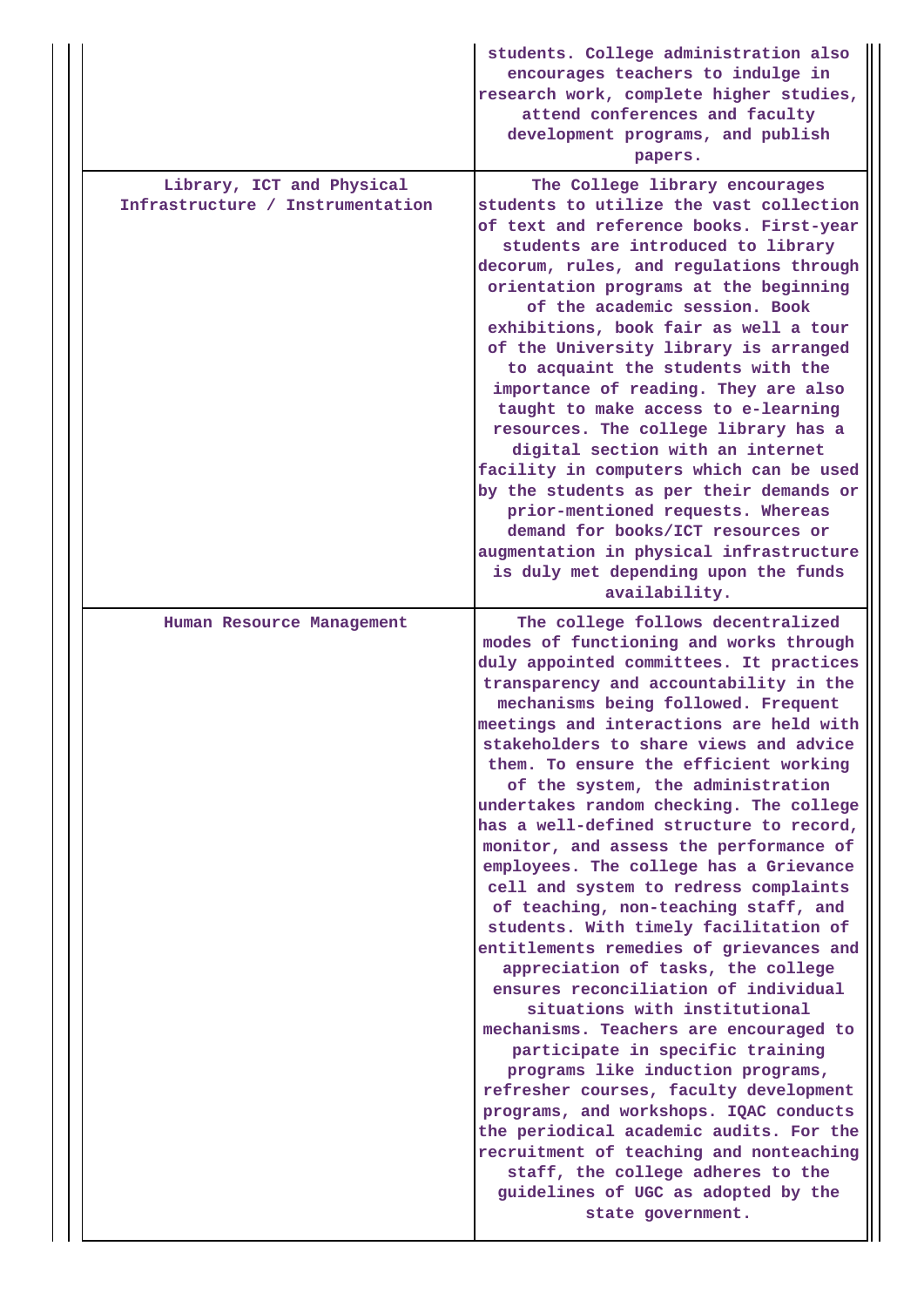|                                                               | students. College administration also<br>encourages teachers to indulge in<br>research work, complete higher studies,<br>attend conferences and faculty<br>development programs, and publish<br>papers.                                                                                                                                                                                                                                                                                                                                                                                                                                                                                                                                                                                                                                                                                                                                                                                                                                                                                                                                                                                                                                |
|---------------------------------------------------------------|----------------------------------------------------------------------------------------------------------------------------------------------------------------------------------------------------------------------------------------------------------------------------------------------------------------------------------------------------------------------------------------------------------------------------------------------------------------------------------------------------------------------------------------------------------------------------------------------------------------------------------------------------------------------------------------------------------------------------------------------------------------------------------------------------------------------------------------------------------------------------------------------------------------------------------------------------------------------------------------------------------------------------------------------------------------------------------------------------------------------------------------------------------------------------------------------------------------------------------------|
| Library, ICT and Physical<br>Infrastructure / Instrumentation | The College library encourages<br>students to utilize the vast collection<br>of text and reference books. First-year<br>students are introduced to library<br>decorum, rules, and regulations through<br>orientation programs at the beginning<br>of the academic session. Book<br>exhibitions, book fair as well a tour<br>of the University library is arranged<br>to acquaint the students with the<br>importance of reading. They are also<br>taught to make access to e-learning<br>resources. The college library has a<br>digital section with an internet<br>facility in computers which can be used<br>by the students as per their demands or<br>prior-mentioned requests. Whereas<br>demand for books/ICT resources or<br>augmentation in physical infrastructure<br>is duly met depending upon the funds<br>availability.                                                                                                                                                                                                                                                                                                                                                                                                  |
| Human Resource Management                                     | The college follows decentralized<br>modes of functioning and works through<br>duly appointed committees. It practices<br>transparency and accountability in the<br>mechanisms being followed. Frequent<br>meetings and interactions are held with<br>stakeholders to share views and advice<br>them. To ensure the efficient working<br>of the system, the administration<br>undertakes random checking. The college<br>has a well-defined structure to record,<br>monitor, and assess the performance of<br>employees. The college has a Grievance<br>cell and system to redress complaints<br>of teaching, non-teaching staff, and<br>students. With timely facilitation of<br>entitlements remedies of grievances and<br>appreciation of tasks, the college<br>ensures reconciliation of individual<br>situations with institutional<br>mechanisms. Teachers are encouraged to<br>participate in specific training<br>programs like induction programs,<br>refresher courses, faculty development<br>programs, and workshops. IQAC conducts<br>the periodical academic audits. For the<br>recruitment of teaching and nonteaching<br>staff, the college adheres to the<br>guidelines of UGC as adopted by the<br>state government. |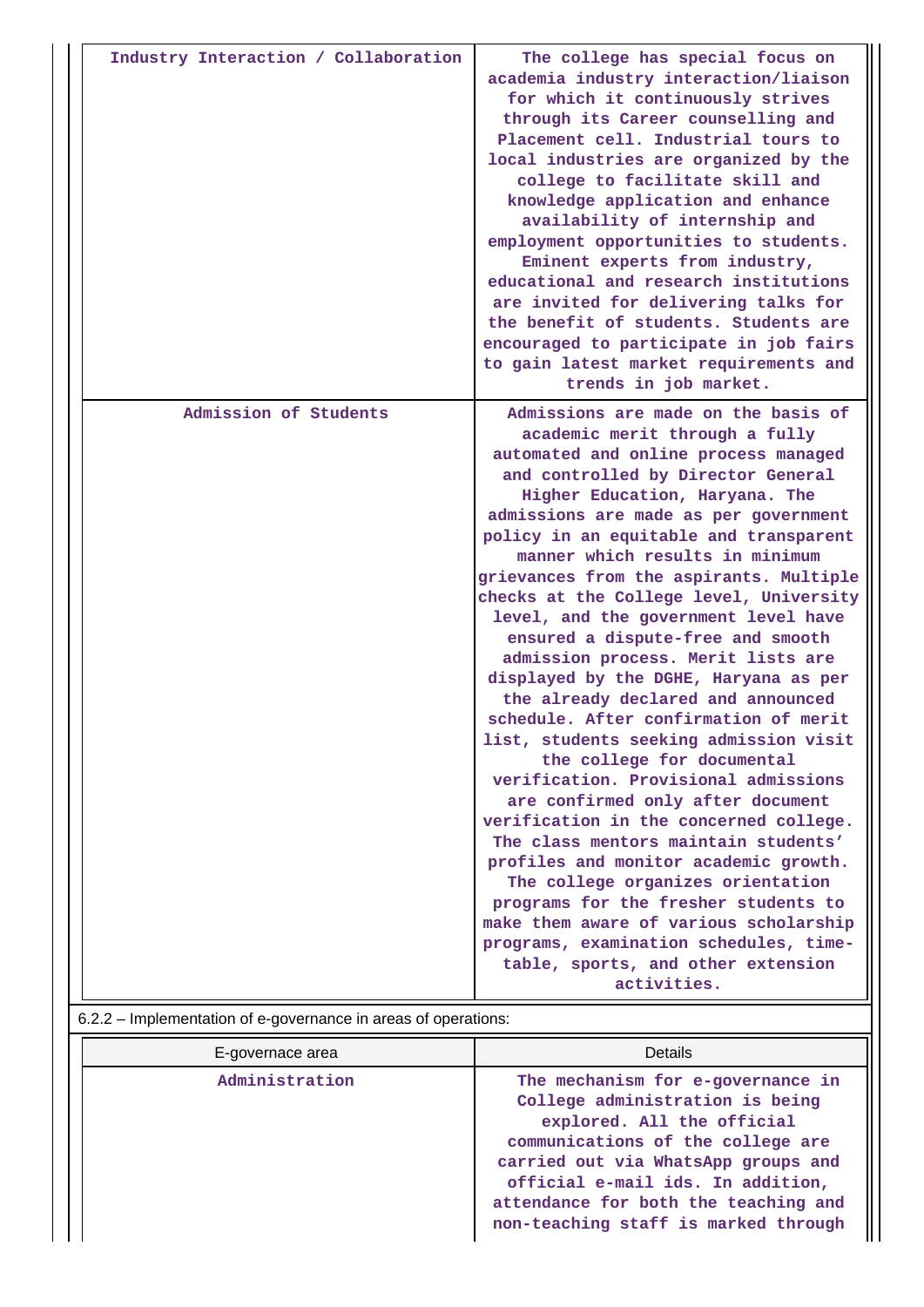| Industry Interaction / Collaboration | The college has special focus on<br>academia industry interaction/liaison<br>for which it continuously strives<br>through its Career counselling and<br>Placement cell. Industrial tours to<br>local industries are organized by the<br>college to facilitate skill and<br>knowledge application and enhance<br>availability of internship and<br>employment opportunities to students.<br>Eminent experts from industry,<br>educational and research institutions<br>are invited for delivering talks for<br>the benefit of students. Students are<br>encouraged to participate in job fairs<br>to gain latest market requirements and<br>trends in job market.                                                                                                                                                                                                                                                                                                                                                                                                                                                                                   |
|--------------------------------------|----------------------------------------------------------------------------------------------------------------------------------------------------------------------------------------------------------------------------------------------------------------------------------------------------------------------------------------------------------------------------------------------------------------------------------------------------------------------------------------------------------------------------------------------------------------------------------------------------------------------------------------------------------------------------------------------------------------------------------------------------------------------------------------------------------------------------------------------------------------------------------------------------------------------------------------------------------------------------------------------------------------------------------------------------------------------------------------------------------------------------------------------------|
| Admission of Students                | Admissions are made on the basis of<br>academic merit through a fully<br>automated and online process managed<br>and controlled by Director General<br>Higher Education, Haryana. The<br>admissions are made as per government<br>policy in an equitable and transparent<br>manner which results in minimum<br>grievances from the aspirants. Multiple<br>checks at the College level, University<br>level, and the government level have<br>ensured a dispute-free and smooth<br>admission process. Merit lists are<br>displayed by the DGHE, Haryana as per<br>the already declared and announced<br>schedule. After confirmation of merit<br>list, students seeking admission visit<br>the college for documental<br>verification. Provisional admissions<br>are confirmed only after document<br>verification in the concerned college.<br>The class mentors maintain students'<br>profiles and monitor academic growth.<br>The college organizes orientation<br>programs for the fresher students to<br>make them aware of various scholarship<br>programs, examination schedules, time-<br>table, sports, and other extension<br>activities. |

## 6.2.2 – Implementation of e-governance in areas of operations:

| E-governace area | <b>Details</b>                                                                                                                                                                                                                                                                                      |  |  |  |
|------------------|-----------------------------------------------------------------------------------------------------------------------------------------------------------------------------------------------------------------------------------------------------------------------------------------------------|--|--|--|
| Administration   | The mechanism for e-governance in<br>College administration is being<br>explored. All the official<br>communications of the college are<br>carried out via WhatsApp groups and<br>official e-mail ids. In addition,<br>attendance for both the teaching and<br>non-teaching staff is marked through |  |  |  |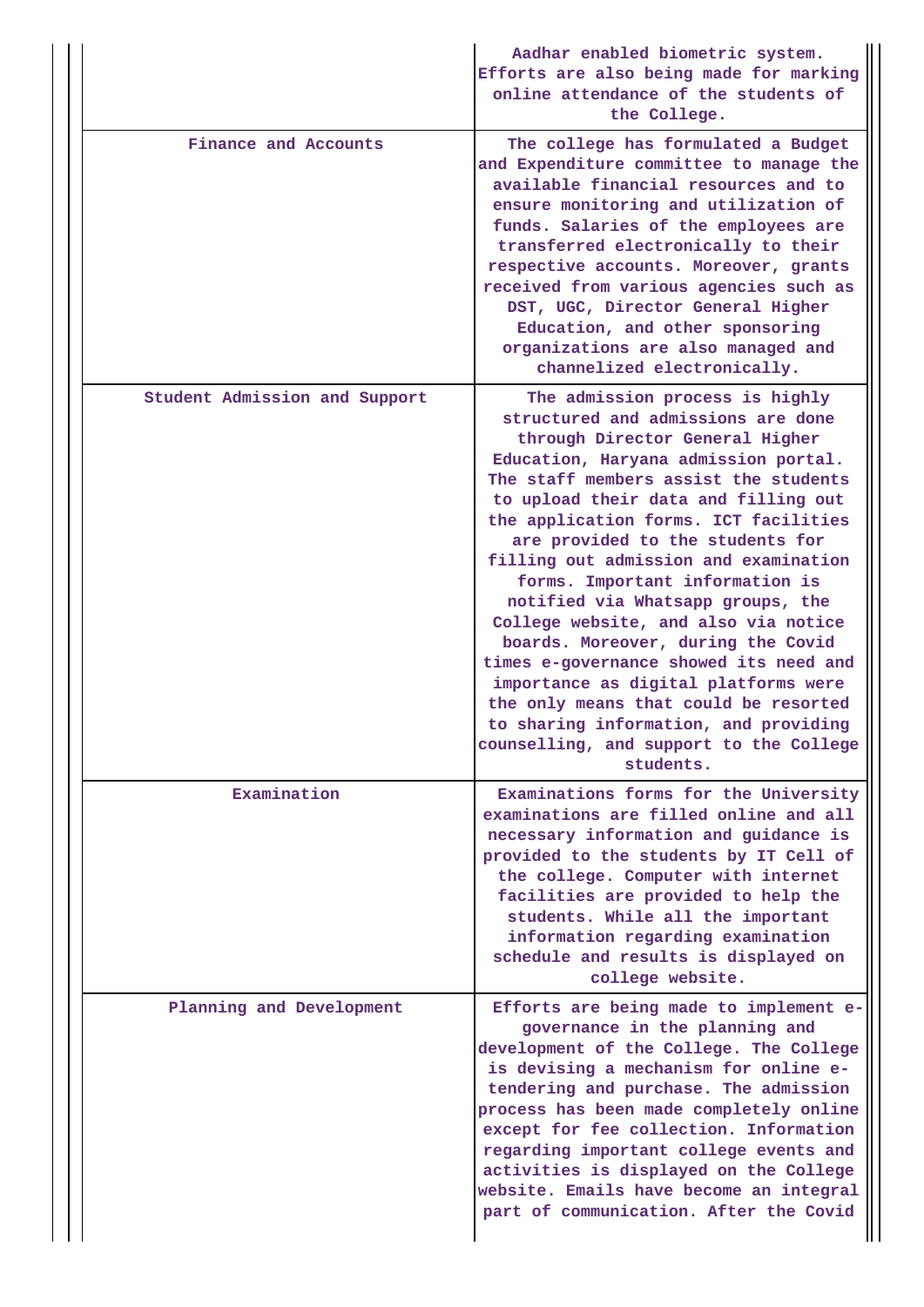|                               | Aadhar enabled biometric system.<br>Efforts are also being made for marking<br>online attendance of the students of<br>the College.                                                                                                                                                                                                                                                                                                                                                                                                                                                                                                                                                                                                       |
|-------------------------------|-------------------------------------------------------------------------------------------------------------------------------------------------------------------------------------------------------------------------------------------------------------------------------------------------------------------------------------------------------------------------------------------------------------------------------------------------------------------------------------------------------------------------------------------------------------------------------------------------------------------------------------------------------------------------------------------------------------------------------------------|
| Finance and Accounts          | The college has formulated a Budget<br>and Expenditure committee to manage the<br>available financial resources and to<br>ensure monitoring and utilization of<br>funds. Salaries of the employees are<br>transferred electronically to their<br>respective accounts. Moreover, grants<br>received from various agencies such as<br>DST, UGC, Director General Higher<br>Education, and other sponsoring<br>organizations are also managed and<br>channelized electronically.                                                                                                                                                                                                                                                             |
| Student Admission and Support | The admission process is highly<br>structured and admissions are done<br>through Director General Higher<br>Education, Haryana admission portal.<br>The staff members assist the students<br>to upload their data and filling out<br>the application forms. ICT facilities<br>are provided to the students for<br>filling out admission and examination<br>forms. Important information is<br>notified via Whatsapp groups, the<br>College website, and also via notice<br>boards. Moreover, during the Covid<br>times e-governance showed its need and<br>importance as digital platforms were<br>the only means that could be resorted<br>to sharing information, and providing<br>counselling, and support to the College<br>students. |
| Examination                   | Examinations forms for the University<br>examinations are filled online and all<br>necessary information and guidance is<br>provided to the students by IT Cell of<br>the college. Computer with internet<br>facilities are provided to help the<br>students. While all the important<br>information regarding examination<br>schedule and results is displayed on<br>college website.                                                                                                                                                                                                                                                                                                                                                    |
| Planning and Development      | Efforts are being made to implement e-<br>governance in the planning and<br>development of the College. The College<br>is devising a mechanism for online e-<br>tendering and purchase. The admission<br>process has been made completely online<br>except for fee collection. Information<br>regarding important college events and<br>activities is displayed on the College<br>website. Emails have become an integral<br>part of communication. After the Covid                                                                                                                                                                                                                                                                       |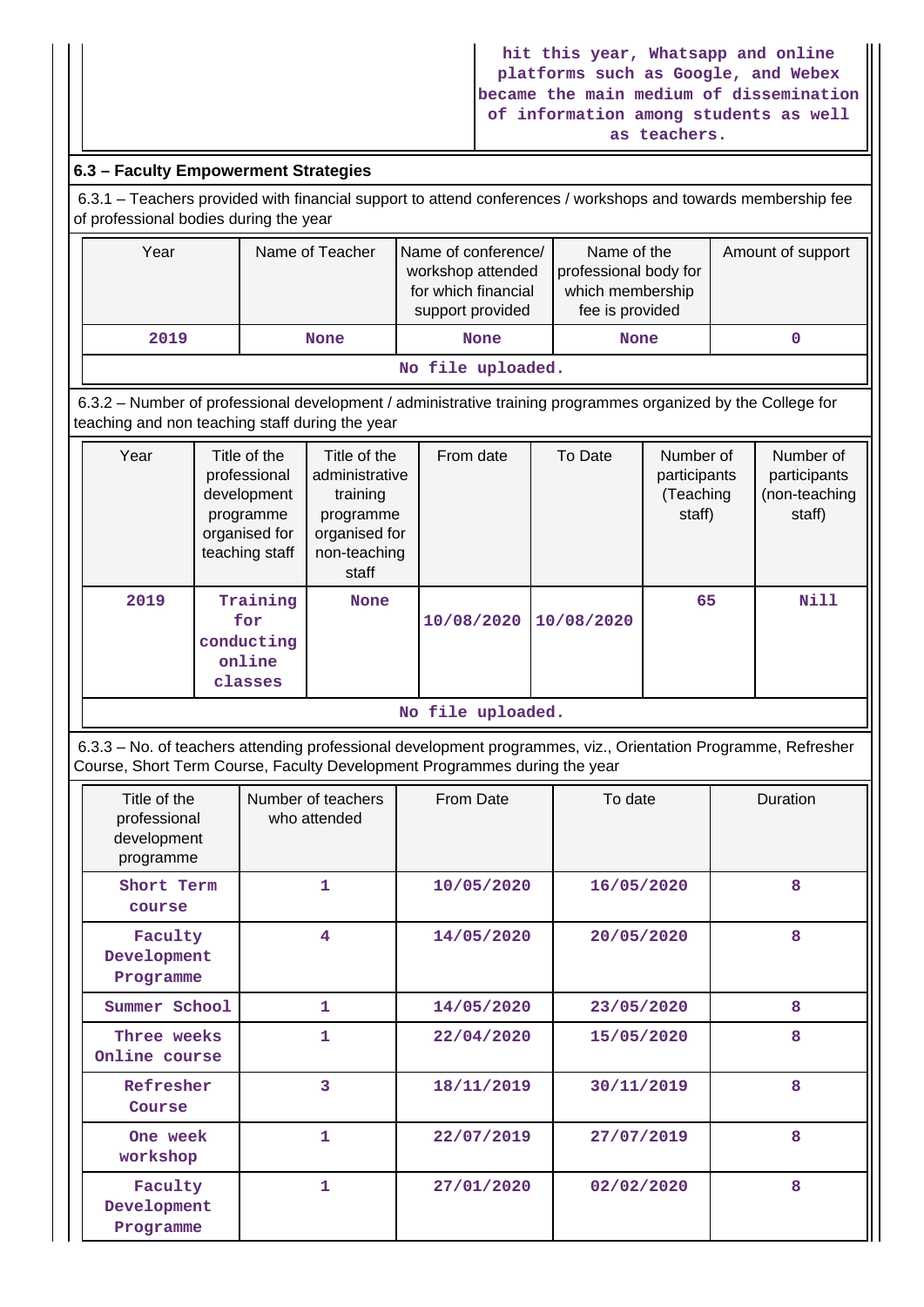## **6.3 – Faculty Empowerment Strategies**

 6.3.1 – Teachers provided with financial support to attend conferences / workshops and towards membership fee of professional bodies during the year

|                     | Year              | Name of Teacher | Name of conference/<br>workshop attended<br>for which financial<br>support provided | Name of the<br>professional body for<br>which membership<br>fee is provided | Amount of support |  |  |  |
|---------------------|-------------------|-----------------|-------------------------------------------------------------------------------------|-----------------------------------------------------------------------------|-------------------|--|--|--|
| 2019<br><b>None</b> |                   | <b>None</b>     | <b>None</b>                                                                         |                                                                             |                   |  |  |  |
|                     | No file uploaded. |                 |                                                                                     |                                                                             |                   |  |  |  |

 6.3.2 – Number of professional development / administrative training programmes organized by the College for teaching and non teaching staff during the year

| Year              | Title of the<br>professional<br>development<br>programme<br>organised for<br>teaching staff | Title of the<br>administrative<br>training<br>programme<br>organised for<br>non-teaching<br>staff | From date  | To Date    | Number of<br>participants<br>(Teaching<br>staff) | Number of<br>participants<br>(non-teaching<br>staff) |  |  |
|-------------------|---------------------------------------------------------------------------------------------|---------------------------------------------------------------------------------------------------|------------|------------|--------------------------------------------------|------------------------------------------------------|--|--|
| 2019              | Training<br>for<br>conducting<br>online<br>classes                                          | <b>None</b>                                                                                       | 10/08/2020 | 10/08/2020 | 65                                               | <b>Nill</b>                                          |  |  |
| No file uploaded. |                                                                                             |                                                                                                   |            |            |                                                  |                                                      |  |  |

 6.3.3 – No. of teachers attending professional development programmes, viz., Orientation Programme, Refresher Course, Short Term Course, Faculty Development Programmes during the year

| Title of the<br>professional<br>development<br>programme | Number of teachers<br>who attended | From Date  | To date    | Duration |
|----------------------------------------------------------|------------------------------------|------------|------------|----------|
| Short Term<br>course                                     | $\overline{1}$                     | 10/05/2020 | 16/05/2020 | 8        |
| Faculty<br>Development<br>Programme                      | 4                                  |            | 20/05/2020 | 8        |
| Summer School                                            | 1                                  | 14/05/2020 | 23/05/2020 | 8        |
| Three weeks<br>Online course                             | 1                                  | 22/04/2020 | 15/05/2020 | 8        |
| Refresher<br>Course                                      | 3                                  | 18/11/2019 | 30/11/2019 | 8        |
| One week<br>workshop                                     | 1                                  | 22/07/2019 | 27/07/2019 | 8        |
| Faculty<br>Development<br>Programme                      | 1                                  | 27/01/2020 | 02/02/2020 | 8        |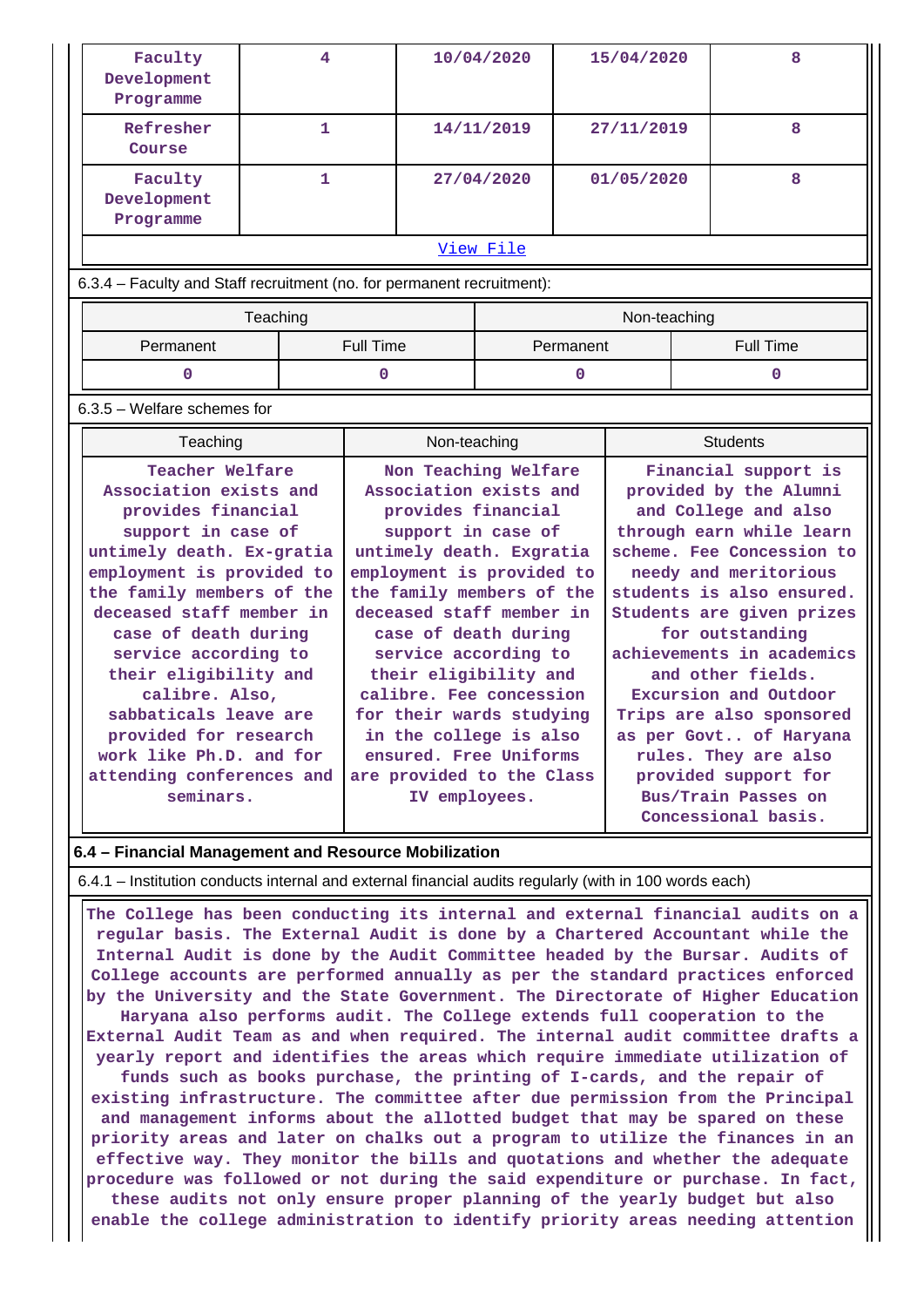| Faculty<br>Development<br>Programme                                                                                                                                                                      | 4            |                                                                                                                                                                                                              | 10/04/2020                                   |  | 15/04/2020                                                                                                                                                                                                         |   |            | 8                                            |   |
|----------------------------------------------------------------------------------------------------------------------------------------------------------------------------------------------------------|--------------|--------------------------------------------------------------------------------------------------------------------------------------------------------------------------------------------------------------|----------------------------------------------|--|--------------------------------------------------------------------------------------------------------------------------------------------------------------------------------------------------------------------|---|------------|----------------------------------------------|---|
| Refresher<br>Course                                                                                                                                                                                      |              | $\mathbf{1}$                                                                                                                                                                                                 |                                              |  | 14/11/2019                                                                                                                                                                                                         |   | 27/11/2019 |                                              | 8 |
| Faculty<br>Development<br>Programme                                                                                                                                                                      | $\mathbf{1}$ |                                                                                                                                                                                                              | 27/04/2020                                   |  | 01/05/2020                                                                                                                                                                                                         |   | 8          |                                              |   |
|                                                                                                                                                                                                          |              |                                                                                                                                                                                                              | View File                                    |  |                                                                                                                                                                                                                    |   |            |                                              |   |
| 6.3.4 - Faculty and Staff recruitment (no. for permanent recruitment):                                                                                                                                   |              |                                                                                                                                                                                                              |                                              |  |                                                                                                                                                                                                                    |   |            |                                              |   |
| Teaching                                                                                                                                                                                                 |              |                                                                                                                                                                                                              |                                              |  |                                                                                                                                                                                                                    |   |            | Non-teaching                                 |   |
| Permanent                                                                                                                                                                                                |              |                                                                                                                                                                                                              | Full Time<br>Permanent                       |  |                                                                                                                                                                                                                    |   |            | <b>Full Time</b>                             |   |
| $\mathbf 0$                                                                                                                                                                                              |              |                                                                                                                                                                                                              | $\mathbf 0$<br>0                             |  |                                                                                                                                                                                                                    | 0 |            |                                              |   |
| $6.3.5$ – Welfare schemes for                                                                                                                                                                            |              |                                                                                                                                                                                                              |                                              |  |                                                                                                                                                                                                                    |   |            |                                              |   |
| Teaching                                                                                                                                                                                                 |              |                                                                                                                                                                                                              | Non-teaching                                 |  |                                                                                                                                                                                                                    |   |            | <b>Students</b>                              |   |
| Teacher Welfare<br>Association exists and<br>provides financial<br>support in case of<br>untimely death. Ex-gratia<br>employment is provided to<br>the family members of the<br>deceased staff member in |              | Non Teaching Welfare<br>Association exists and<br>provides financial<br>support in case of<br>untimely death. Exgratia<br>employment is provided to<br>the family members of the<br>deceased staff member in |                                              |  | Financial support is<br>provided by the Alumni<br>and College and also<br>through earn while learn<br>scheme. Fee Concession to<br>needy and meritorious<br>students is also ensured.<br>Students are given prizes |   |            |                                              |   |
| case of death during<br>service according to                                                                                                                                                             |              |                                                                                                                                                                                                              | case of death during<br>service according to |  |                                                                                                                                                                                                                    |   |            | for outstanding<br>achievements in academics |   |

**their eligibility and calibre. Fee concession for their wards studying in the college is also ensured. Free Uniforms are provided to the Class IV employees.**

**and other fields. Excursion and Outdoor Trips are also sponsored as per Govt.. of Haryana rules. They are also provided support for Bus/Train Passes on Concessional basis.**

**6.4 – Financial Management and Resource Mobilization**

**their eligibility and calibre. Also, sabbaticals leave are provided for research work like Ph.D. and for attending conferences and seminars.**

6.4.1 – Institution conducts internal and external financial audits regularly (with in 100 words each)

 **The College has been conducting its internal and external financial audits on a regular basis. The External Audit is done by a Chartered Accountant while the Internal Audit is done by the Audit Committee headed by the Bursar. Audits of College accounts are performed annually as per the standard practices enforced by the University and the State Government. The Directorate of Higher Education Haryana also performs audit. The College extends full cooperation to the External Audit Team as and when required. The internal audit committee drafts a yearly report and identifies the areas which require immediate utilization of funds such as books purchase, the printing of I-cards, and the repair of existing infrastructure. The committee after due permission from the Principal and management informs about the allotted budget that may be spared on these priority areas and later on chalks out a program to utilize the finances in an effective way. They monitor the bills and quotations and whether the adequate procedure was followed or not during the said expenditure or purchase. In fact, these audits not only ensure proper planning of the yearly budget but also enable the college administration to identify priority areas needing attention**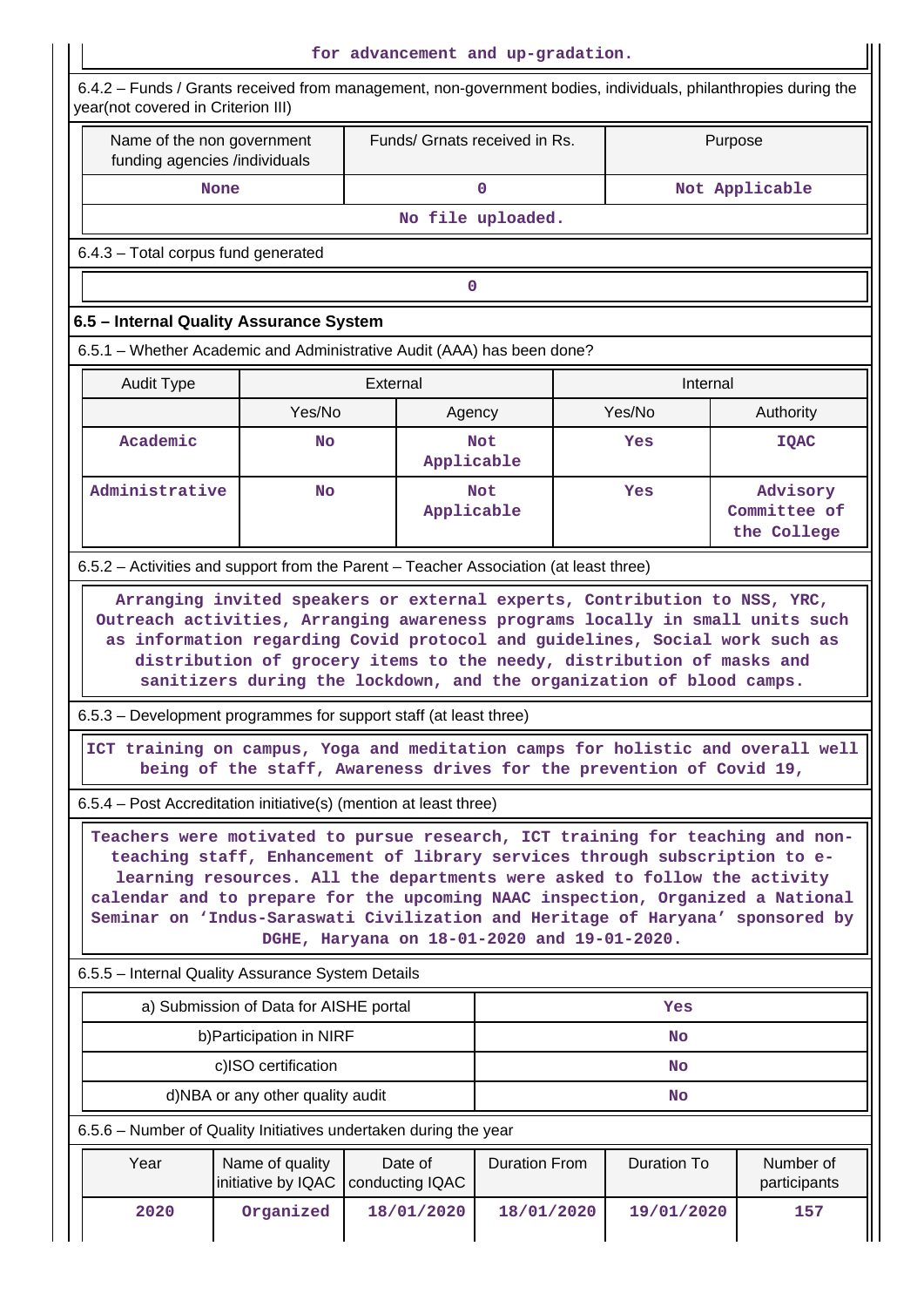|                                                                                                                                                                                                                                                                                                                                                                                                                                                              |                                        | for advancement and up-gradation. |                               |                                                                                                                                                         |                                         |  |  |  |  |  |
|--------------------------------------------------------------------------------------------------------------------------------------------------------------------------------------------------------------------------------------------------------------------------------------------------------------------------------------------------------------------------------------------------------------------------------------------------------------|----------------------------------------|-----------------------------------|-------------------------------|---------------------------------------------------------------------------------------------------------------------------------------------------------|-----------------------------------------|--|--|--|--|--|
| 6.4.2 - Funds / Grants received from management, non-government bodies, individuals, philanthropies during the<br>year(not covered in Criterion III)                                                                                                                                                                                                                                                                                                         |                                        |                                   |                               |                                                                                                                                                         |                                         |  |  |  |  |  |
| Name of the non government<br>funding agencies /individuals                                                                                                                                                                                                                                                                                                                                                                                                  |                                        |                                   | Funds/ Grnats received in Rs. |                                                                                                                                                         | Purpose                                 |  |  |  |  |  |
| <b>None</b>                                                                                                                                                                                                                                                                                                                                                                                                                                                  |                                        |                                   | 0                             |                                                                                                                                                         | Not Applicable                          |  |  |  |  |  |
| No file uploaded.                                                                                                                                                                                                                                                                                                                                                                                                                                            |                                        |                                   |                               |                                                                                                                                                         |                                         |  |  |  |  |  |
| 6.4.3 - Total corpus fund generated                                                                                                                                                                                                                                                                                                                                                                                                                          |                                        |                                   |                               |                                                                                                                                                         |                                         |  |  |  |  |  |
| $\mathbf 0$                                                                                                                                                                                                                                                                                                                                                                                                                                                  |                                        |                                   |                               |                                                                                                                                                         |                                         |  |  |  |  |  |
| 6.5 - Internal Quality Assurance System                                                                                                                                                                                                                                                                                                                                                                                                                      |                                        |                                   |                               |                                                                                                                                                         |                                         |  |  |  |  |  |
| 6.5.1 – Whether Academic and Administrative Audit (AAA) has been done?                                                                                                                                                                                                                                                                                                                                                                                       |                                        |                                   |                               |                                                                                                                                                         |                                         |  |  |  |  |  |
| <b>Audit Type</b>                                                                                                                                                                                                                                                                                                                                                                                                                                            |                                        | External                          |                               | Internal                                                                                                                                                |                                         |  |  |  |  |  |
|                                                                                                                                                                                                                                                                                                                                                                                                                                                              | Yes/No                                 |                                   | Agency                        | Yes/No                                                                                                                                                  | Authority                               |  |  |  |  |  |
| Academic                                                                                                                                                                                                                                                                                                                                                                                                                                                     | <b>No</b>                              |                                   | <b>Not</b><br>Applicable      | Yes                                                                                                                                                     | <b>IQAC</b>                             |  |  |  |  |  |
| Administrative                                                                                                                                                                                                                                                                                                                                                                                                                                               | <b>No</b>                              |                                   | <b>Not</b><br>Applicable      | Yes                                                                                                                                                     | Advisory<br>Committee of<br>the College |  |  |  |  |  |
| 6.5.2 - Activities and support from the Parent - Teacher Association (at least three)                                                                                                                                                                                                                                                                                                                                                                        |                                        |                                   |                               |                                                                                                                                                         |                                         |  |  |  |  |  |
| 6.5.3 – Development programmes for support staff (at least three)                                                                                                                                                                                                                                                                                                                                                                                            |                                        |                                   |                               | distribution of grocery items to the needy, distribution of masks and<br>sanitizers during the lockdown, and the organization of blood camps.           |                                         |  |  |  |  |  |
|                                                                                                                                                                                                                                                                                                                                                                                                                                                              |                                        |                                   |                               | ICT training on campus, Yoga and meditation camps for holistic and overall well<br>being of the staff, Awareness drives for the prevention of Covid 19, |                                         |  |  |  |  |  |
| 6.5.4 – Post Accreditation initiative(s) (mention at least three)                                                                                                                                                                                                                                                                                                                                                                                            |                                        |                                   |                               |                                                                                                                                                         |                                         |  |  |  |  |  |
| Teachers were motivated to pursue research, ICT training for teaching and non-<br>teaching staff, Enhancement of library services through subscription to e-<br>learning resources. All the departments were asked to follow the activity<br>calendar and to prepare for the upcoming NAAC inspection, Organized a National<br>Seminar on 'Indus-Saraswati Civilization and Heritage of Haryana' sponsored by<br>DGHE, Haryana on 18-01-2020 and 19-01-2020. |                                        |                                   |                               |                                                                                                                                                         |                                         |  |  |  |  |  |
| 6.5.5 - Internal Quality Assurance System Details                                                                                                                                                                                                                                                                                                                                                                                                            |                                        |                                   |                               |                                                                                                                                                         |                                         |  |  |  |  |  |
|                                                                                                                                                                                                                                                                                                                                                                                                                                                              | a) Submission of Data for AISHE portal |                                   |                               | Yes                                                                                                                                                     |                                         |  |  |  |  |  |
|                                                                                                                                                                                                                                                                                                                                                                                                                                                              | b) Participation in NIRF               |                                   |                               | <b>No</b>                                                                                                                                               |                                         |  |  |  |  |  |
|                                                                                                                                                                                                                                                                                                                                                                                                                                                              | c)ISO certification                    |                                   |                               | <b>No</b>                                                                                                                                               |                                         |  |  |  |  |  |
|                                                                                                                                                                                                                                                                                                                                                                                                                                                              | d)NBA or any other quality audit       |                                   |                               | <b>No</b>                                                                                                                                               |                                         |  |  |  |  |  |
| 6.5.6 - Number of Quality Initiatives undertaken during the year                                                                                                                                                                                                                                                                                                                                                                                             |                                        |                                   |                               |                                                                                                                                                         |                                         |  |  |  |  |  |
| Year                                                                                                                                                                                                                                                                                                                                                                                                                                                         | Name of quality<br>initiative by IQAC  | Date of<br>conducting IQAC        | <b>Duration From</b>          | <b>Duration To</b>                                                                                                                                      | Number of<br>participants               |  |  |  |  |  |
| 2020                                                                                                                                                                                                                                                                                                                                                                                                                                                         | Organized                              | 18/01/2020                        | 18/01/2020                    | 19/01/2020                                                                                                                                              | 157                                     |  |  |  |  |  |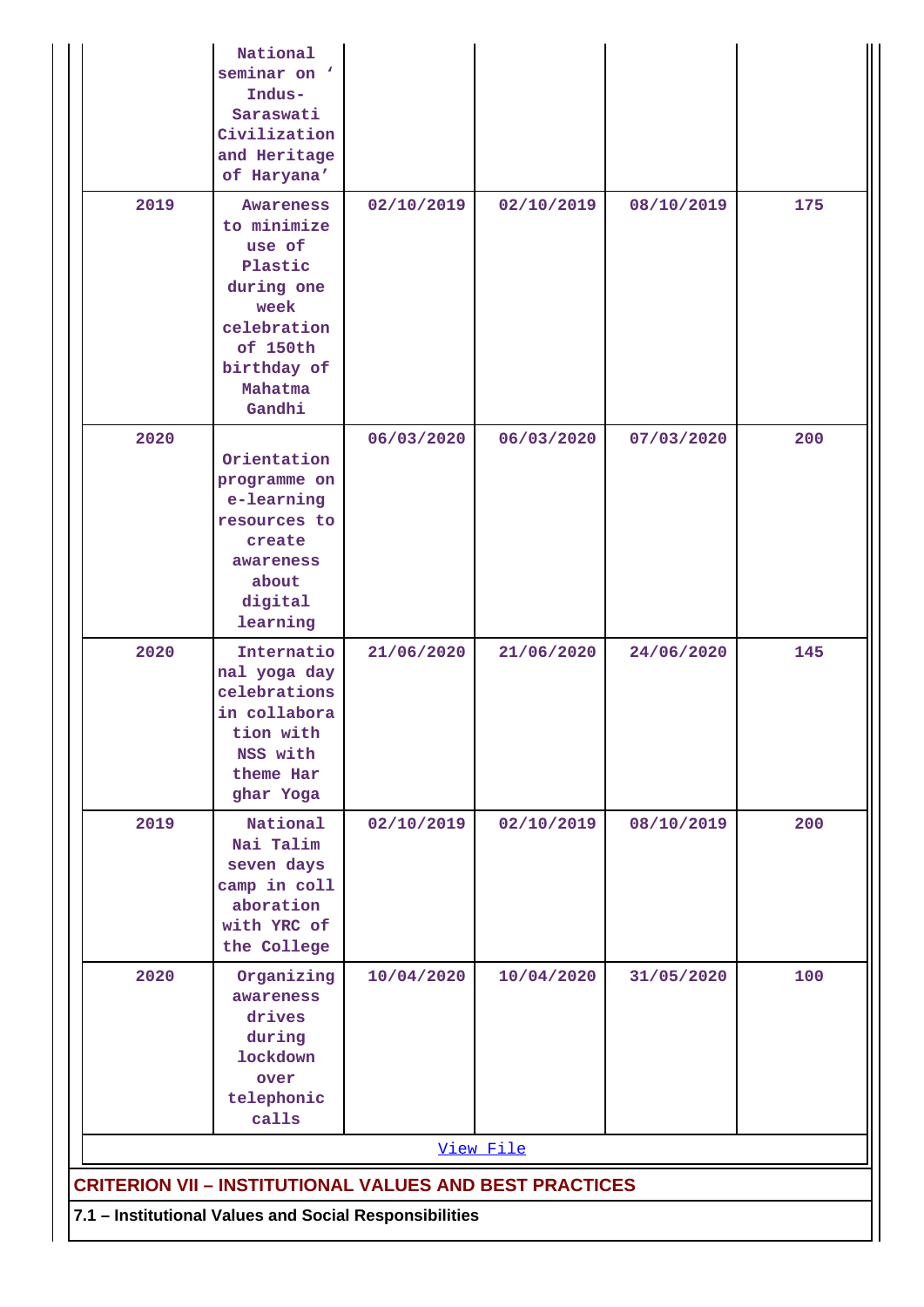|                                                                                                                          | National<br>seminar on '<br>Indus-<br>Saraswati<br>Civilization<br>and Heritage<br>of Haryana'                                            |            |            |            |     |
|--------------------------------------------------------------------------------------------------------------------------|-------------------------------------------------------------------------------------------------------------------------------------------|------------|------------|------------|-----|
| 2019                                                                                                                     | <b>Awareness</b><br>to minimize<br>use of<br>Plastic<br>during one<br>week<br>celebration<br>of 150th<br>birthday of<br>Mahatma<br>Gandhi | 02/10/2019 | 02/10/2019 | 08/10/2019 | 175 |
| 2020                                                                                                                     | Orientation<br>programme on<br>e-learning<br>resources to<br>create<br>awareness<br>about<br>digital<br>learning                          | 06/03/2020 | 06/03/2020 | 07/03/2020 | 200 |
| 2020                                                                                                                     | Internatio<br>nal yoga day<br>celebrations<br>in collabora<br>tion with<br>NSS with<br>theme Har<br>ghar Yoga                             | 21/06/2020 | 21/06/2020 | 24/06/2020 | 145 |
| 2019                                                                                                                     | National<br>Nai Talim<br>seven days<br>camp in coll<br>aboration<br>with YRC of<br>the College                                            | 02/10/2019 | 02/10/2019 | 08/10/2019 | 200 |
| 2020                                                                                                                     | Organizing<br>awareness<br>drives<br>during<br><b>lockdown</b><br>over<br>telephonic<br>calls                                             | 10/04/2020 | 10/04/2020 | 31/05/2020 | 100 |
|                                                                                                                          |                                                                                                                                           |            | View File  |            |     |
| <b>CRITERION VII - INSTITUTIONAL VALUES AND BEST PRACTICES</b><br>7.1 - Institutional Values and Social Responsibilities |                                                                                                                                           |            |            |            |     |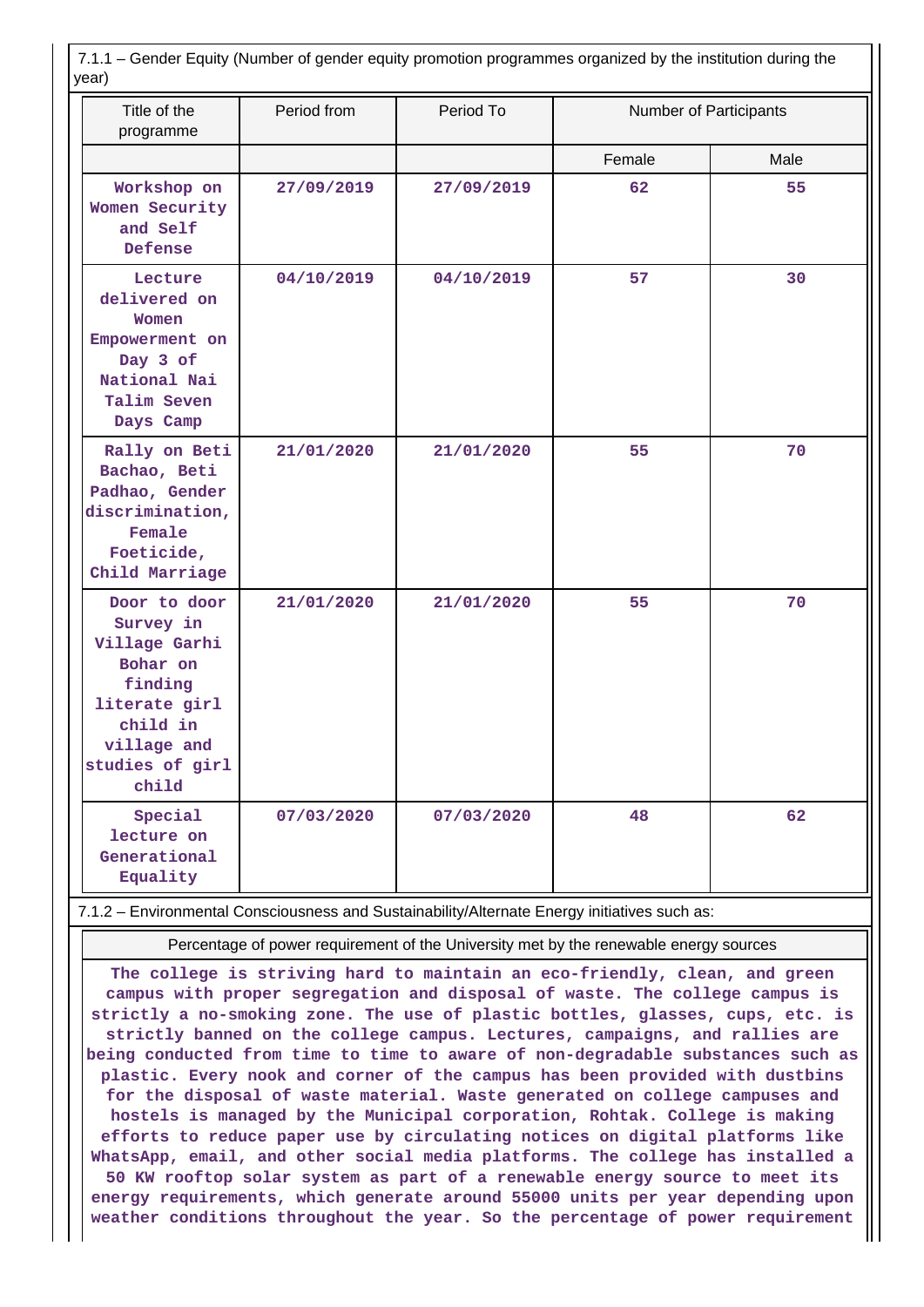| 7.1.1 – Gender Equity (Number of gender equity promotion programmes organized by the institution during the<br>year)                      |             |            |                        |      |  |
|-------------------------------------------------------------------------------------------------------------------------------------------|-------------|------------|------------------------|------|--|
| Title of the<br>programme                                                                                                                 | Period from | Period To  | Number of Participants |      |  |
|                                                                                                                                           |             |            | Female                 | Male |  |
| Workshop on<br>Women Security<br>and Self<br>Defense                                                                                      | 27/09/2019  | 27/09/2019 | 62                     | 55   |  |
| Lecture<br>delivered on<br>Women<br>Empowerment on<br>Day 3 of<br>National Nai<br>Talim Seven<br>Days Camp                                | 04/10/2019  | 04/10/2019 | 57                     | 30   |  |
| Rally on Beti<br>Bachao, Beti<br>Padhao, Gender<br>discrimination,<br>Female<br>Foeticide,<br>Child Marriage                              | 21/01/2020  | 21/01/2020 | 55                     | 70   |  |
| Door to door<br>Survey in<br>Village Garhi<br>Bohar on<br>finding<br>literate girl<br>child in<br>village and<br>studies of girl<br>child | 21/01/2020  | 21/01/2020 | 55                     | 70   |  |
| Special<br>lecture on<br>Generational<br>Equality                                                                                         | 07/03/2020  | 07/03/2020 | 48                     | 62   |  |

7.1.2 – Environmental Consciousness and Sustainability/Alternate Energy initiatives such as:

Percentage of power requirement of the University met by the renewable energy sources

**The college is striving hard to maintain an eco-friendly, clean, and green campus with proper segregation and disposal of waste. The college campus is strictly a no-smoking zone. The use of plastic bottles, glasses, cups, etc. is strictly banned on the college campus. Lectures, campaigns, and rallies are being conducted from time to time to aware of non-degradable substances such as plastic. Every nook and corner of the campus has been provided with dustbins for the disposal of waste material. Waste generated on college campuses and hostels is managed by the Municipal corporation, Rohtak. College is making efforts to reduce paper use by circulating notices on digital platforms like WhatsApp, email, and other social media platforms. The college has installed a 50 KW rooftop solar system as part of a renewable energy source to meet its energy requirements, which generate around 55000 units per year depending upon weather conditions throughout the year. So the percentage of power requirement**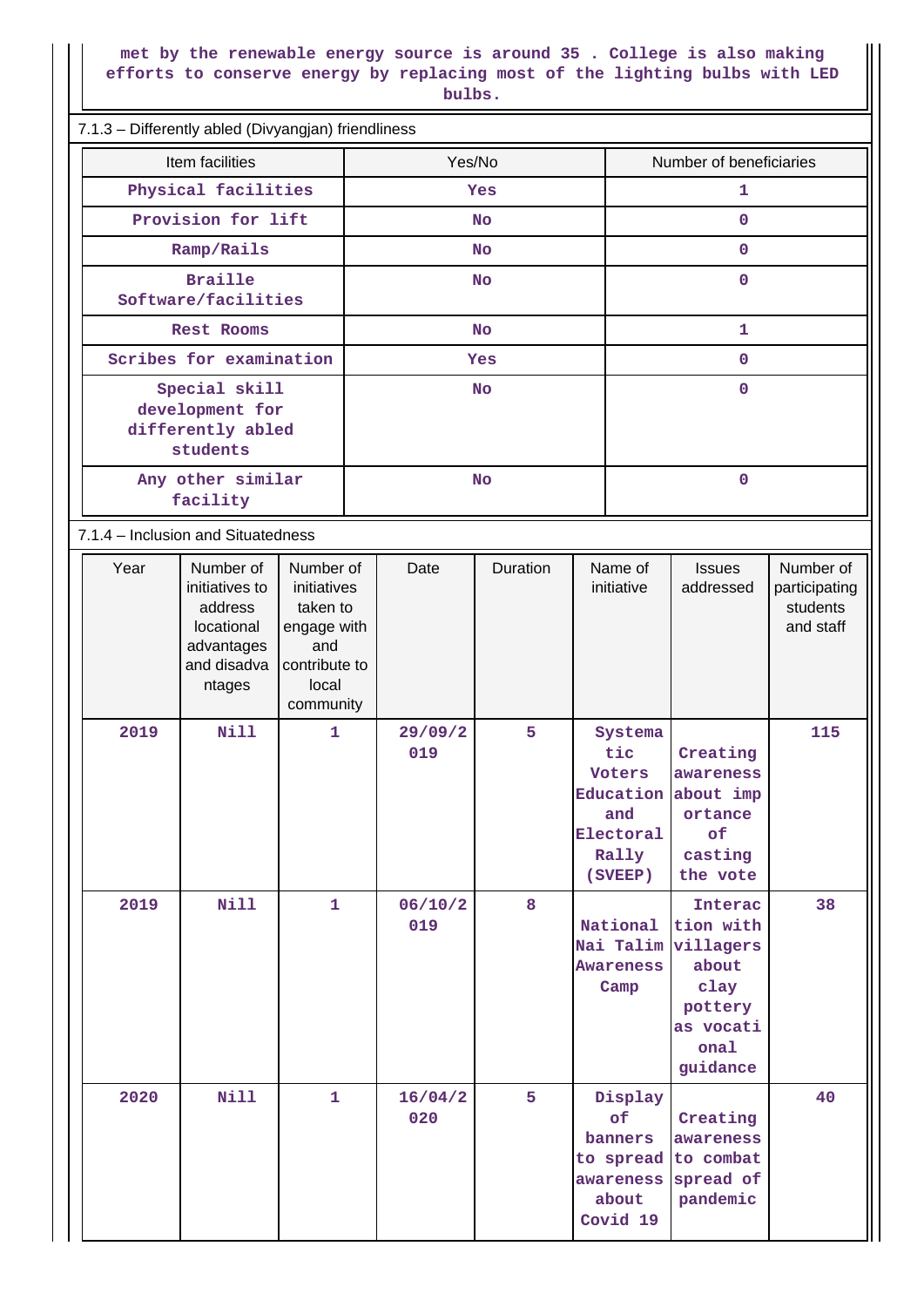#### **met by the renewable energy source is around 35 . College is also making efforts to conserve energy by replacing most of the lighting bulbs with LED bulbs.**

| 7.1.3 - Differently abled (Divyangjan) friendliness |                                                                   |                                                                                                            |                                                                                                        |           |                 |                         |           |                                                       |                                                                                                                 |                                                            |  |  |
|-----------------------------------------------------|-------------------------------------------------------------------|------------------------------------------------------------------------------------------------------------|--------------------------------------------------------------------------------------------------------|-----------|-----------------|-------------------------|-----------|-------------------------------------------------------|-----------------------------------------------------------------------------------------------------------------|------------------------------------------------------------|--|--|
| Item facilities                                     |                                                                   |                                                                                                            | Yes/No                                                                                                 |           |                 | Number of beneficiaries |           |                                                       |                                                                                                                 |                                                            |  |  |
|                                                     | Physical facilities                                               |                                                                                                            |                                                                                                        | Yes       |                 |                         |           | $\mathbf{1}$                                          |                                                                                                                 |                                                            |  |  |
|                                                     | Provision for lift                                                |                                                                                                            |                                                                                                        |           |                 | <b>No</b>               |           | $\mathbf 0$                                           |                                                                                                                 |                                                            |  |  |
|                                                     |                                                                   | Ramp/Rails                                                                                                 |                                                                                                        |           |                 | No                      |           | $\mathbf 0$                                           |                                                                                                                 |                                                            |  |  |
|                                                     |                                                                   | <b>Braille</b><br>Software/facilities                                                                      |                                                                                                        | <b>No</b> |                 |                         |           | $\mathbf 0$                                           |                                                                                                                 |                                                            |  |  |
|                                                     |                                                                   | Rest Rooms                                                                                                 |                                                                                                        | No        |                 |                         |           |                                                       | $\mathbf{1}$                                                                                                    |                                                            |  |  |
|                                                     |                                                                   | Scribes for examination                                                                                    |                                                                                                        | Yes       |                 |                         |           | $\mathbf 0$                                           |                                                                                                                 |                                                            |  |  |
|                                                     | Special skill<br>development for<br>differently abled<br>students |                                                                                                            |                                                                                                        | <b>No</b> |                 |                         |           | $\mathbf 0$                                           |                                                                                                                 |                                                            |  |  |
|                                                     | Any other similar<br>facility                                     |                                                                                                            |                                                                                                        | <b>No</b> |                 |                         | $\pmb{0}$ |                                                       |                                                                                                                 |                                                            |  |  |
|                                                     | 7.1.4 - Inclusion and Situatedness                                |                                                                                                            |                                                                                                        |           |                 |                         |           |                                                       |                                                                                                                 |                                                            |  |  |
|                                                     | Year<br>2019                                                      | Number of<br>initiatives to<br>address<br>locational<br>advantages<br>and disadva<br>ntages<br><b>Nill</b> | Number of<br>initiatives<br>taken to<br>engage with<br>and<br>contribute to<br>local<br>community<br>1 |           | Date<br>29/09/2 | Duration<br>5           |           | Name of<br>initiative<br>Systema                      | <b>Issues</b><br>addressed                                                                                      | Number of<br>participating<br>students<br>and staff<br>115 |  |  |
|                                                     |                                                                   |                                                                                                            |                                                                                                        |           | 019             |                         |           | tic<br>Voters<br>and<br>Electoral<br>Rally<br>(SVEEP) | Creating<br>awareness<br>Education about imp<br>ortance<br>of<br>casting<br>the vote                            |                                                            |  |  |
|                                                     | 2019                                                              | <b>Nill</b>                                                                                                | $\mathbf{1}$                                                                                           |           | 06/10/2<br>019  | 8                       |           | National<br><b>Awareness</b><br>Camp                  | <b>Interac</b><br>tion with<br>Nai Talim villagers<br>about<br>clay<br>pottery<br>as vocati<br>onal<br>guidance | 38                                                         |  |  |
|                                                     | 2020                                                              | Nill                                                                                                       | $\mathbf{1}$                                                                                           |           | 16/04/2<br>020  | $\overline{5}$          |           | Display<br>of<br>banners<br>about<br>Covid 19         | Creating<br>awareness<br>to spread to combat<br>awareness spread of<br>pandemic                                 | 40                                                         |  |  |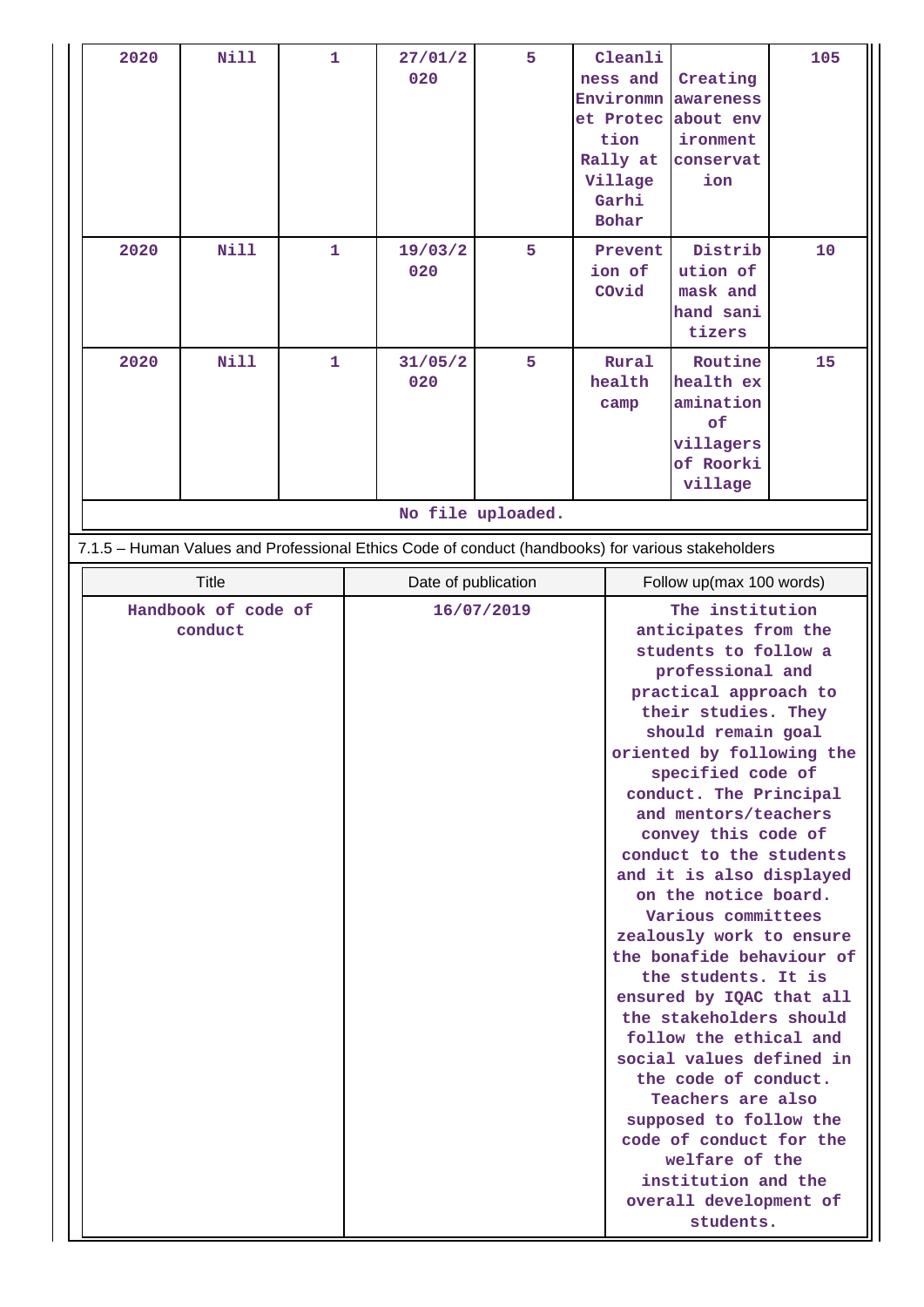| 2020    | <b>Nill</b>         | $\mathbf{1}$ |                     | 27/01/2<br>020 | 5                 |  | Cleanli<br>ness and<br>Environmn<br>et Protec<br>tion<br>Rally at<br>Village<br>Garhi<br><b>Bohar</b>                                                                                                                                                                                                                                                                                                                                                                                                                                                                                                                                                                                                      | Creating<br>awareness<br>about env<br>ironment<br>conservat<br>ion                                | 105 |
|---------|---------------------|--------------|---------------------|----------------|-------------------|--|------------------------------------------------------------------------------------------------------------------------------------------------------------------------------------------------------------------------------------------------------------------------------------------------------------------------------------------------------------------------------------------------------------------------------------------------------------------------------------------------------------------------------------------------------------------------------------------------------------------------------------------------------------------------------------------------------------|---------------------------------------------------------------------------------------------------|-----|
| 2020    | <b>Nill</b>         | 1            |                     | 19/03/2<br>020 | 5                 |  | Prevent<br>ion of<br>COvid                                                                                                                                                                                                                                                                                                                                                                                                                                                                                                                                                                                                                                                                                 | Distrib<br>ution of<br>mask and<br>hand sani<br>tizers                                            | 10  |
| 2020    | <b>Nill</b>         | 1            |                     | 31/05/2<br>020 | 5                 |  | Rural<br>health<br>camp                                                                                                                                                                                                                                                                                                                                                                                                                                                                                                                                                                                                                                                                                    | Routine<br>health ex<br>amination<br>of<br>villagers<br>of Roorki<br>village                      | 15  |
|         |                     |              |                     |                | No file uploaded. |  |                                                                                                                                                                                                                                                                                                                                                                                                                                                                                                                                                                                                                                                                                                            | 7.1.5 - Human Values and Professional Ethics Code of conduct (handbooks) for various stakeholders |     |
|         | <b>Title</b>        |              | Date of publication |                |                   |  | Follow up(max 100 words)                                                                                                                                                                                                                                                                                                                                                                                                                                                                                                                                                                                                                                                                                   |                                                                                                   |     |
|         | Handbook of code of |              | 16/07/2019          |                |                   |  |                                                                                                                                                                                                                                                                                                                                                                                                                                                                                                                                                                                                                                                                                                            |                                                                                                   |     |
| conduct |                     |              |                     |                |                   |  | The institution<br>anticipates from the<br>students to follow a<br>professional and<br>practical approach to<br>their studies. They<br>should remain goal<br>oriented by following the<br>specified code of<br>conduct. The Principal<br>and mentors/teachers<br>convey this code of<br>conduct to the students<br>and it is also displayed<br>on the notice board.<br>Various committees<br>zealously work to ensure<br>the bonafide behaviour of<br>the students. It is<br>ensured by IQAC that all<br>the stakeholders should<br>follow the ethical and<br>social values defined in<br>the code of conduct.<br>Teachers are also<br>supposed to follow the<br>code of conduct for the<br>welfare of the |                                                                                                   |     |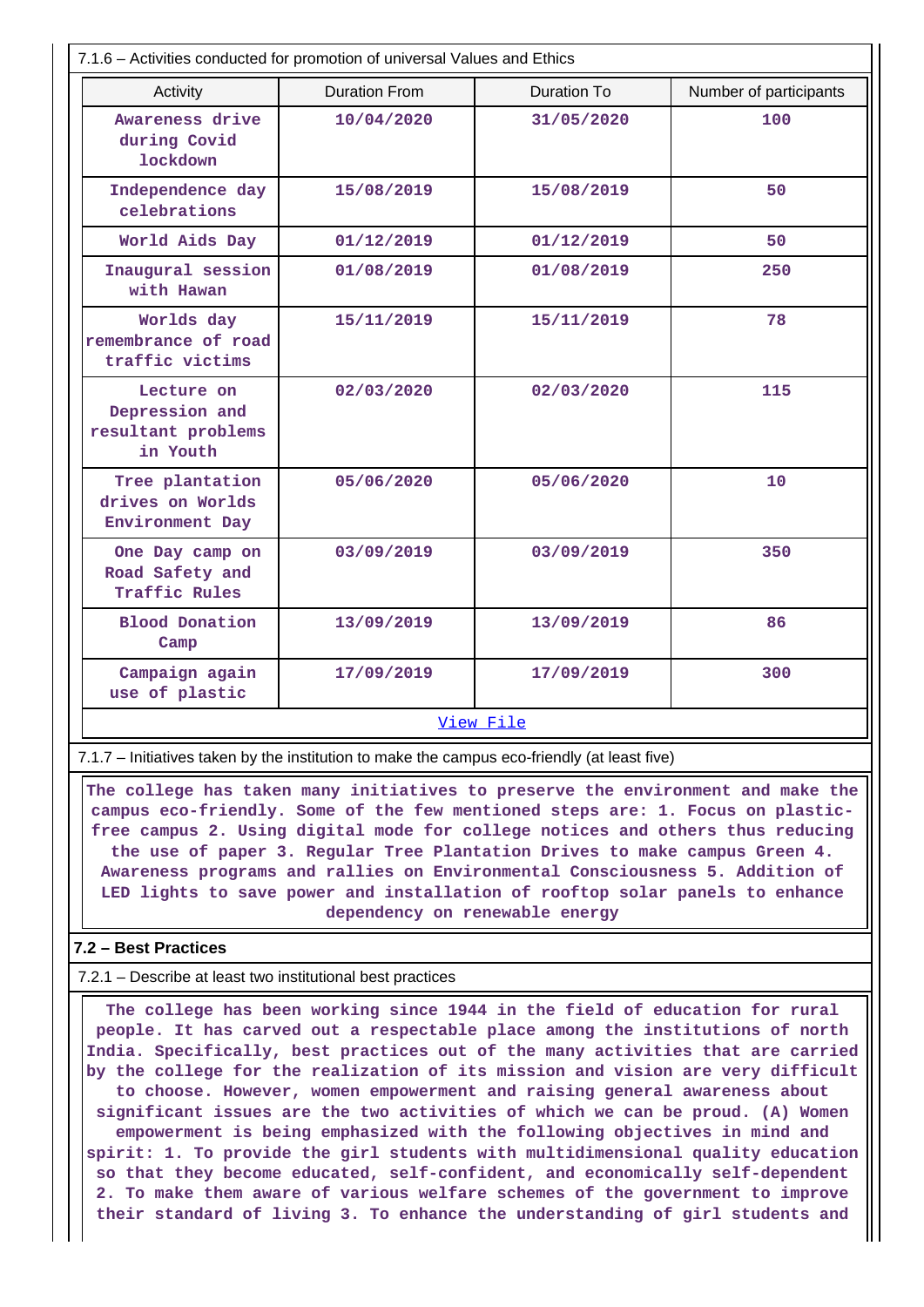| 7.1.6 - Activities conducted for promotion of universal Values and Ethics |                      |                        |     |  |  |  |  |  |  |
|---------------------------------------------------------------------------|----------------------|------------------------|-----|--|--|--|--|--|--|
| Activity                                                                  | <b>Duration From</b> | Number of participants |     |  |  |  |  |  |  |
| Awareness drive<br>during Covid<br><b>lockdown</b>                        | 10/04/2020           | 31/05/2020             | 100 |  |  |  |  |  |  |
| Independence day<br>celebrations                                          | 15/08/2019           | 15/08/2019             | 50  |  |  |  |  |  |  |
| World Aids Day                                                            | 01/12/2019           | 01/12/2019             | 50  |  |  |  |  |  |  |
| Inaugural session<br>with Hawan                                           | 01/08/2019           | 01/08/2019             | 250 |  |  |  |  |  |  |
| Worlds day<br>remembrance of road<br>traffic victims                      | 15/11/2019           | 15/11/2019             | 78  |  |  |  |  |  |  |
| Lecture on<br>Depression and<br>resultant problems<br>in Youth            | 02/03/2020           | 02/03/2020             | 115 |  |  |  |  |  |  |
| Tree plantation<br>drives on Worlds<br>Environment Day                    | 05/06/2020           | 05/06/2020             | 10  |  |  |  |  |  |  |
| One Day camp on<br>Road Safety and<br>Traffic Rules                       | 03/09/2019           | 03/09/2019             | 350 |  |  |  |  |  |  |
| <b>Blood Donation</b><br>Camp                                             | 13/09/2019           | 13/09/2019             | 86  |  |  |  |  |  |  |
| Campaign again<br>use of plastic                                          | 17/09/2019           | 17/09/2019             | 300 |  |  |  |  |  |  |
| View File                                                                 |                      |                        |     |  |  |  |  |  |  |

7.1.7 – Initiatives taken by the institution to make the campus eco-friendly (at least five)

 **The college has taken many initiatives to preserve the environment and make the campus eco-friendly. Some of the few mentioned steps are: 1. Focus on plasticfree campus 2. Using digital mode for college notices and others thus reducing the use of paper 3. Regular Tree Plantation Drives to make campus Green 4. Awareness programs and rallies on Environmental Consciousness 5. Addition of LED lights to save power and installation of rooftop solar panels to enhance dependency on renewable energy**

### **7.2 – Best Practices**

7.2.1 – Describe at least two institutional best practices

 **The college has been working since 1944 in the field of education for rural people. It has carved out a respectable place among the institutions of north India. Specifically, best practices out of the many activities that are carried by the college for the realization of its mission and vision are very difficult to choose. However, women empowerment and raising general awareness about significant issues are the two activities of which we can be proud. (A) Women empowerment is being emphasized with the following objectives in mind and spirit: 1. To provide the girl students with multidimensional quality education so that they become educated, self-confident, and economically self-dependent 2. To make them aware of various welfare schemes of the government to improve their standard of living 3. To enhance the understanding of girl students and**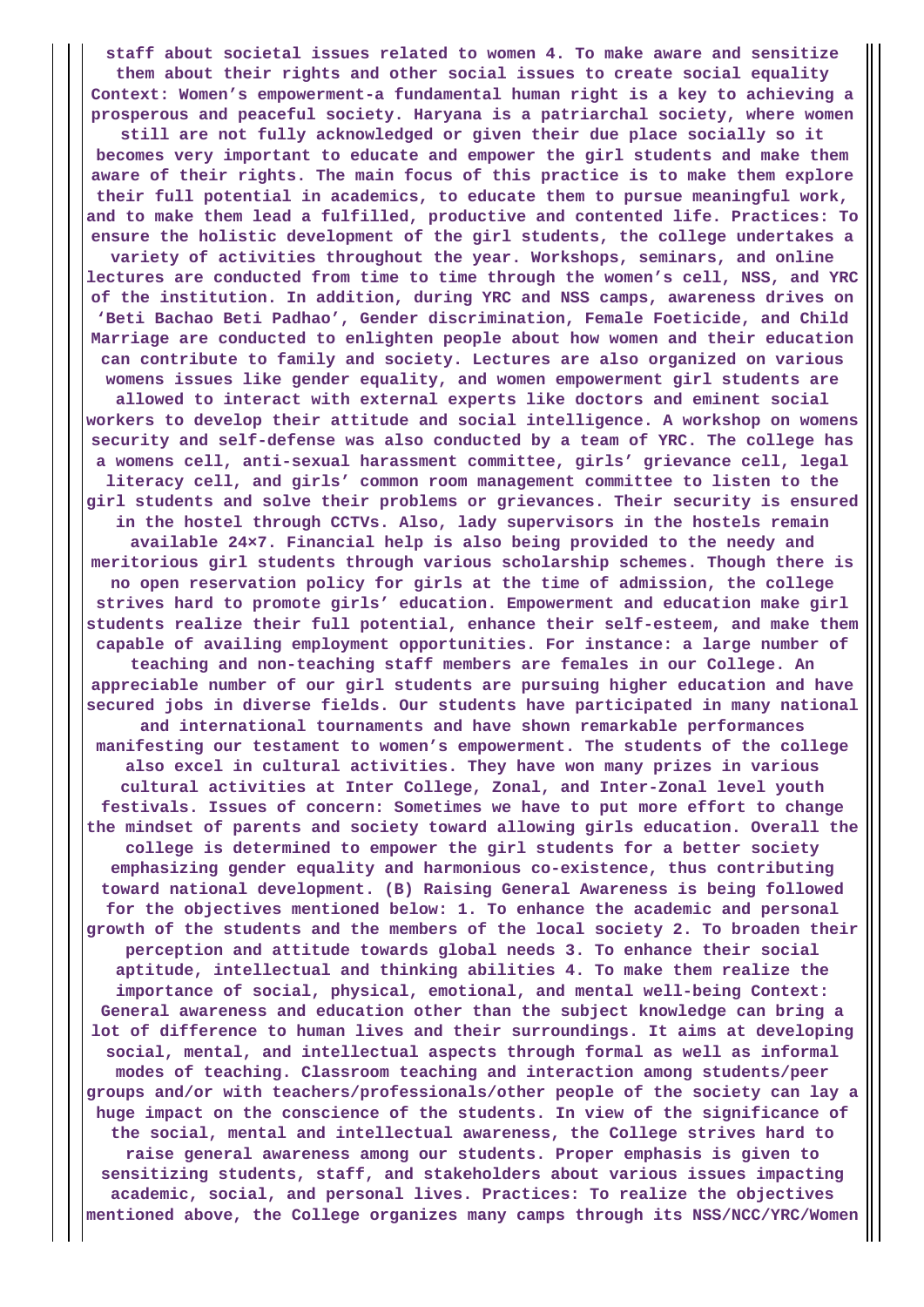**staff about societal issues related to women 4. To make aware and sensitize them about their rights and other social issues to create social equality Context: Women's empowerment-a fundamental human right is a key to achieving a prosperous and peaceful society. Haryana is a patriarchal society, where women still are not fully acknowledged or given their due place socially so it becomes very important to educate and empower the girl students and make them aware of their rights. The main focus of this practice is to make them explore their full potential in academics, to educate them to pursue meaningful work, and to make them lead a fulfilled, productive and contented life. Practices: To ensure the holistic development of the girl students, the college undertakes a variety of activities throughout the year. Workshops, seminars, and online lectures are conducted from time to time through the women's cell, NSS, and YRC of the institution. In addition, during YRC and NSS camps, awareness drives on 'Beti Bachao Beti Padhao', Gender discrimination, Female Foeticide, and Child Marriage are conducted to enlighten people about how women and their education can contribute to family and society. Lectures are also organized on various womens issues like gender equality, and women empowerment girl students are allowed to interact with external experts like doctors and eminent social workers to develop their attitude and social intelligence. A workshop on womens security and self-defense was also conducted by a team of YRC. The college has a womens cell, anti-sexual harassment committee, girls' grievance cell, legal literacy cell, and girls' common room management committee to listen to the girl students and solve their problems or grievances. Their security is ensured in the hostel through CCTVs. Also, lady supervisors in the hostels remain available 24×7. Financial help is also being provided to the needy and meritorious girl students through various scholarship schemes. Though there is no open reservation policy for girls at the time of admission, the college strives hard to promote girls' education. Empowerment and education make girl students realize their full potential, enhance their self-esteem, and make them capable of availing employment opportunities. For instance: a large number of teaching and non-teaching staff members are females in our College. An appreciable number of our girl students are pursuing higher education and have secured jobs in diverse fields. Our students have participated in many national and international tournaments and have shown remarkable performances manifesting our testament to women's empowerment. The students of the college also excel in cultural activities. They have won many prizes in various cultural activities at Inter College, Zonal, and Inter-Zonal level youth festivals. Issues of concern: Sometimes we have to put more effort to change the mindset of parents and society toward allowing girls education. Overall the college is determined to empower the girl students for a better society emphasizing gender equality and harmonious co-existence, thus contributing toward national development. (B) Raising General Awareness is being followed for the objectives mentioned below: 1. To enhance the academic and personal growth of the students and the members of the local society 2. To broaden their perception and attitude towards global needs 3. To enhance their social aptitude, intellectual and thinking abilities 4. To make them realize the importance of social, physical, emotional, and mental well-being Context: General awareness and education other than the subject knowledge can bring a lot of difference to human lives and their surroundings. It aims at developing social, mental, and intellectual aspects through formal as well as informal modes of teaching. Classroom teaching and interaction among students/peer groups and/or with teachers/professionals/other people of the society can lay a huge impact on the conscience of the students. In view of the significance of the social, mental and intellectual awareness, the College strives hard to raise general awareness among our students. Proper emphasis is given to sensitizing students, staff, and stakeholders about various issues impacting academic, social, and personal lives. Practices: To realize the objectives mentioned above, the College organizes many camps through its NSS/NCC/YRC/Women**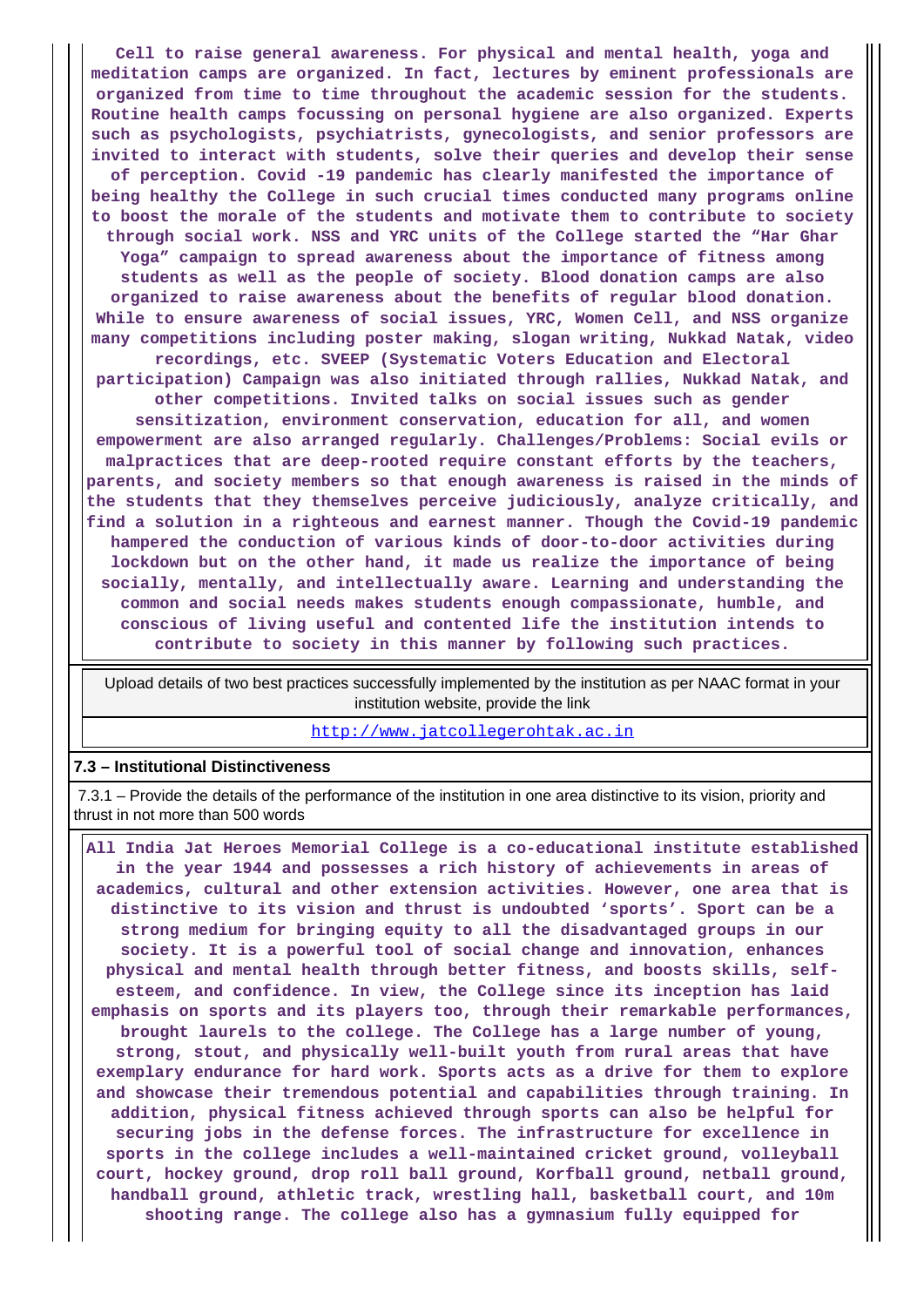**Cell to raise general awareness. For physical and mental health, yoga and meditation camps are organized. In fact, lectures by eminent professionals are organized from time to time throughout the academic session for the students. Routine health camps focussing on personal hygiene are also organized. Experts such as psychologists, psychiatrists, gynecologists, and senior professors are invited to interact with students, solve their queries and develop their sense of perception. Covid -19 pandemic has clearly manifested the importance of being healthy the College in such crucial times conducted many programs online to boost the morale of the students and motivate them to contribute to society through social work. NSS and YRC units of the College started the "Har Ghar Yoga" campaign to spread awareness about the importance of fitness among students as well as the people of society. Blood donation camps are also organized to raise awareness about the benefits of regular blood donation. While to ensure awareness of social issues, YRC, Women Cell, and NSS organize many competitions including poster making, slogan writing, Nukkad Natak, video recordings, etc. SVEEP (Systematic Voters Education and Electoral participation) Campaign was also initiated through rallies, Nukkad Natak, and other competitions. Invited talks on social issues such as gender sensitization, environment conservation, education for all, and women empowerment are also arranged regularly. Challenges/Problems: Social evils or malpractices that are deep-rooted require constant efforts by the teachers, parents, and society members so that enough awareness is raised in the minds of the students that they themselves perceive judiciously, analyze critically, and find a solution in a righteous and earnest manner. Though the Covid-19 pandemic hampered the conduction of various kinds of door-to-door activities during lockdown but on the other hand, it made us realize the importance of being socially, mentally, and intellectually aware. Learning and understanding the common and social needs makes students enough compassionate, humble, and conscious of living useful and contented life the institution intends to contribute to society in this manner by following such practices.**

 Upload details of two best practices successfully implemented by the institution as per NAAC format in your institution website, provide the link

<http://www.jatcollegerohtak.ac.in>

#### **7.3 – Institutional Distinctiveness**

 7.3.1 – Provide the details of the performance of the institution in one area distinctive to its vision, priority and thrust in not more than 500 words

 **All India Jat Heroes Memorial College is a co-educational institute established in the year 1944 and possesses a rich history of achievements in areas of academics, cultural and other extension activities. However, one area that is distinctive to its vision and thrust is undoubted 'sports'. Sport can be a strong medium for bringing equity to all the disadvantaged groups in our society. It is a powerful tool of social change and innovation, enhances physical and mental health through better fitness, and boosts skills, selfesteem, and confidence. In view, the College since its inception has laid emphasis on sports and its players too, through their remarkable performances, brought laurels to the college. The College has a large number of young, strong, stout, and physically well-built youth from rural areas that have exemplary endurance for hard work. Sports acts as a drive for them to explore and showcase their tremendous potential and capabilities through training. In addition, physical fitness achieved through sports can also be helpful for securing jobs in the defense forces. The infrastructure for excellence in sports in the college includes a well-maintained cricket ground, volleyball court, hockey ground, drop roll ball ground, Korfball ground, netball ground, handball ground, athletic track, wrestling hall, basketball court, and 10m shooting range. The college also has a gymnasium fully equipped for**